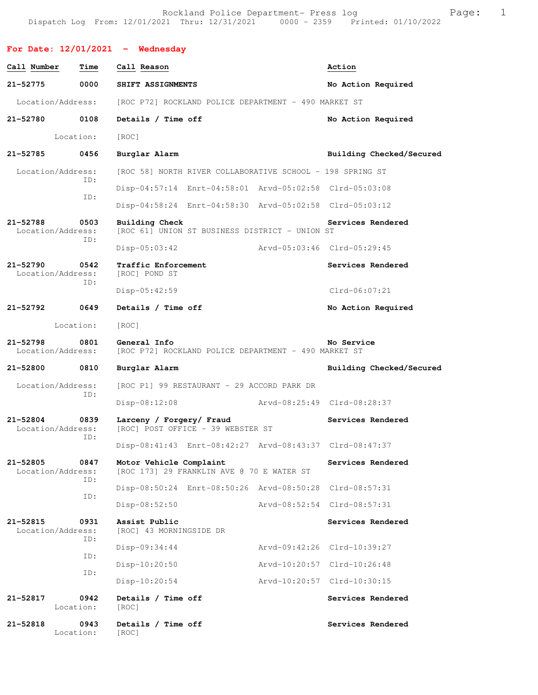Rockland Police Department- Press log entitled and Page: 1 Dispatch Log From: 12/01/2021 Thru: 12/31/2021 0000 - 2359 Printed: 01/10/2022

|                                   |             | For Date: $12/01/2021$ - Wednesday                                   |                             |                          |
|-----------------------------------|-------------|----------------------------------------------------------------------|-----------------------------|--------------------------|
| Call Number                       | Time        | Call Reason                                                          |                             | Action                   |
| 21-52775                          | 0000        | SHIFT ASSIGNMENTS                                                    |                             | No Action Required       |
| Location/Address:                 |             | [ROC P72] ROCKLAND POLICE DEPARTMENT - 490 MARKET ST                 |                             |                          |
| 21-52780                          | 0108        | Details / Time off                                                   |                             | No Action Required       |
| Location:                         |             | [ROC]                                                                |                             |                          |
| 21-52785                          | 0456        | Burglar Alarm                                                        |                             | Building Checked/Secured |
| Location/Address:                 | ID:         | [ROC 58] NORTH RIVER COLLABORATIVE SCHOOL - 198 SPRING ST            |                             |                          |
|                                   | ID:         | Disp-04:57:14 Enrt-04:58:01 Arvd-05:02:58 Clrd-05:03:08              |                             |                          |
|                                   |             | Disp-04:58:24 Enrt-04:58:30 Arvd-05:02:58 Clrd-05:03:12              |                             |                          |
| 21-52788<br>Location/Address:     | 0503<br>ID: | Building Check<br>[ROC 61] UNION ST BUSINESS DISTRICT - UNION ST     |                             | Services Rendered        |
|                                   |             | $Disp-05:03:42$                                                      | Arvd-05:03:46 Clrd-05:29:45 |                          |
| $21 - 52790$<br>Location/Address: | 0542        | Traffic Enforcement<br>[ROC] POND ST                                 |                             | Services Rendered        |
|                                   | ID:         | $Disp-05:42:59$                                                      |                             | $Clrd-06:07:21$          |
| 21-52792                          | 0649        | Details / Time off                                                   |                             | No Action Required       |
|                                   | Location:   | [ROC]                                                                |                             |                          |
|                                   |             |                                                                      |                             |                          |
| $21 - 52798$<br>Location/Address: | 0801        | General Info<br>[ROC P72] ROCKLAND POLICE DEPARTMENT - 490 MARKET ST |                             | No Service               |
| 21-52800                          | 0810        | Burglar Alarm                                                        |                             | Building Checked/Secured |
| Location/Address:                 |             | [ROC P1] 99 RESTAURANT - 29 ACCORD PARK DR                           |                             |                          |
|                                   | ID:         | $Disp-08:12:08$                                                      | Arvd-08:25:49 Clrd-08:28:37 |                          |
| 21-52804<br>Location/Address:     | 0839        | Larceny / Forgery/ Fraud<br>[ROC] POST OFFICE - 39 WEBSTER ST        |                             | Services Rendered        |
|                                   | ID:         | Disp-08:41:43 Enrt-08:42:27 Arvd-08:43:37 Clrd-08:47:37              |                             |                          |
| 21-52805<br>Location/Address:     | 0847        | Motor Vehicle Complaint<br>[ROC 173] 29 FRANKLIN AVE @ 70 E WATER ST |                             | Services Rendered        |
|                                   | ID:         | Disp-08:50:24 Enrt-08:50:26 Arvd-08:50:28 Clrd-08:57:31              |                             |                          |
|                                   | ID:         | Disp-08:52:50                                                        | Arvd-08:52:54 Clrd-08:57:31 |                          |
| 21-52815<br>Location/Address:     | 0931        | Assist Public<br>[ROC] 43 MORNINGSIDE DR                             |                             | Services Rendered        |
|                                   | ID:         | Disp-09:34:44                                                        | Arvd-09:42:26 Clrd-10:39:27 |                          |
|                                   | ID:         | $Disp-10:20:50$                                                      | Arvd-10:20:57 Clrd-10:26:48 |                          |
|                                   | ID:         | $Disp-10:20:54$                                                      | Arvd-10:20:57 Clrd-10:30:15 |                          |
| 21-52817<br>Location:             | 0942        | Details / Time off<br>[ROC]                                          |                             | Services Rendered        |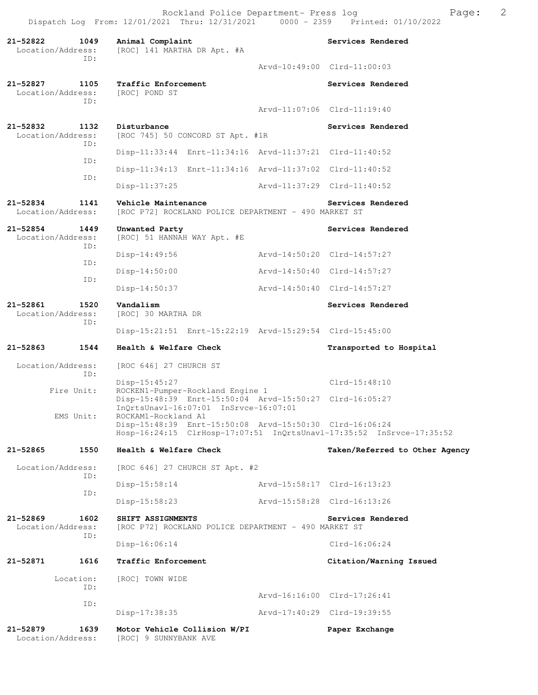Rockland Police Department- Press log Fage: 2 Dispatch Log From: 12/01/2021 Thru: 12/31/2021 0000 - 2359 Printed: 01/10/2022

**21-52822 1049 Animal Complaint Services Rendered**  Location/Address: [ROC] 141 MARTHA DR Apt. #A ID: Arvd-10:49:00 Clrd-11:00:03 **21-52827 1105 Traffic Enforcement Services Rendered**  Location/Address: [ROC] POND ST ID: Arvd-11:07:06 Clrd-11:19:40 **21-52832 1132 Disturbance Services Rendered Services Rendered Iocation/Address:** [ROC 745] 50 CONCORD ST Apt. #1R [ROC 745] 50 CONCORD ST Apt. #1R ID: Disp-11:33:44 Enrt-11:34:16 Arvd-11:37:21 Clrd-11:40:52 ID: Disp-11:34:13 Enrt-11:34:16 Arvd-11:37:02 Clrd-11:40:52 ID: Disp-11:37:25 Arvd-11:37:29 Clrd-11:40:52 **21-52834 1141 Vehicle Maintenance Services Rendered**  [ROC P72] ROCKLAND POLICE DEPARTMENT - 490 MARKET ST **21-52854 1449 Unwanted Party Services Rendered**  Location/Address: [ROC] 51 HANNAH WAY Apt. #E ID: Disp-14:49:56 Arvd-14:50:20 Clrd-14:57:27 ID: Disp-14:50:00 Arvd-14:50:40 Clrd-14:57:27 ID: Disp-14:50:37 Arvd-14:50:40 Clrd-14:57:27 **21-52861 1520 Vandalism Services Rendered**  Location/Address: [ROC] 30 MARTHA DR ID: Disp-15:21:51 Enrt-15:22:19 Arvd-15:29:54 Clrd-15:45:00 **21-52863 1544 Health & Welfare Check Transported to Hospital**  Location/Address: [ROC 646] 27 CHURCH ST ID: Disp-15:45:27 Clrd-15:48:10<br>Fire Unit ROCKEN1-Pumper-Rockland Engine 1 ROCKEN1-Pumper-Rockland Engine 1 Disp-15:48:39 Enrt-15:50:04 Arvd-15:50:27 Clrd-16:05:27 InQrtsUnavl-16:07:01 InSrvce-16:07:01<br>EMS Unit: ROCKAM1-Rockland A1 ROCKAM1-Rockland A1 Disp-15:48:39 Enrt-15:50:08 Arvd-15:50:30 Clrd-16:06:24 Hosp-16:24:15 ClrHosp-17:07:51 InQrtsUnavl-17:35:52 InSrvce-17:35:52 **21-52865 1550 Health & Welfare Check Taken/Referred to Other Agency** Location/Address: [ROC 646] 27 CHURCH ST Apt. #2 ID: Disp-15:58:14 Arvd-15:58:17 Clrd-16:13:23 ID: Disp-15:58:23 Arvd-15:58:28 Clrd-16:13:26 **21-52869 1602 SHIFT ASSIGNMENTS Services Rendered**  Location/Address: [ROC P72] ROCKLAND POLICE DEPARTMENT - 490 MARKET ST ID: Disp-16:06:14 Clrd-16:06:24 **21-52871 1616 Traffic Enforcement Citation/Warning Issued**  Location: [ROC] TOWN WIDE ID: Arvd-16:16:00 Clrd-17:26:41 ID: Disp-17:38:35 Arvd-17:40:29 Clrd-19:39:55 **21-52879 1639 Motor Vehicle Collision W/PI Paper Exchange**  Location/Address: [ROC] 9 SUNNYBANK AVE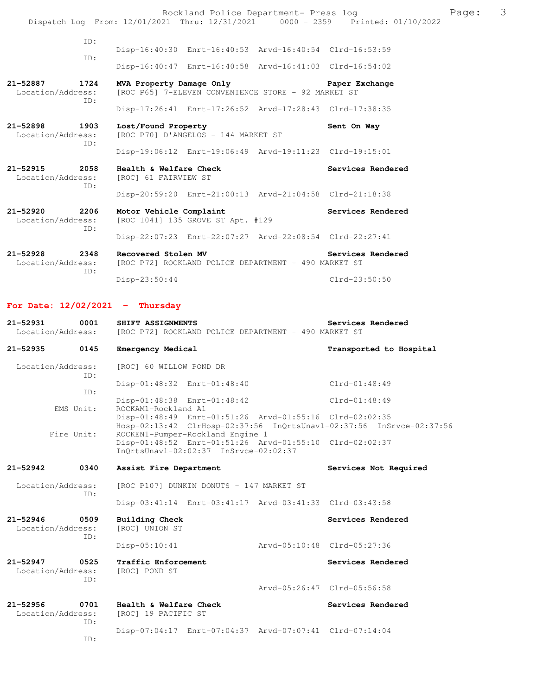Rockland Police Department- Press log Rage: 3 Dispatch Log From: 12/01/2021 Thru: 12/31/2021 0000 - 2359 Printed: 01/10/2022 ID: Disp-16:40:30 Enrt-16:40:53 Arvd-16:40:54 Clrd-16:53:59 ID: Disp-16:40:47 Enrt-16:40:58 Arvd-16:41:03 Clrd-16:54:02 **21-52887 1724 MVA Property Damage Only Paper Exchange**  Location/Address: [ROC P65] 7-ELEVEN CONVENIENCE STORE - 92 MARKET ST ID: Disp-17:26:41 Enrt-17:26:52 Arvd-17:28:43 Clrd-17:38:35 21-52898 1903 Lost/Found Property **1903** Sent On Way Location/Address: [ROC P70] D'ANGELOS - 144 MARKET ST [ROC P70] D'ANGELOS - 144 MARKET ST ID: Disp-19:06:12 Enrt-19:06:49 Arvd-19:11:23 Clrd-19:15:01 **21-52915 2058 Health & Welfare Check Services Rendered**  [ROC] 61 FAIRVIEW ST ID: Disp-20:59:20 Enrt-21:00:13 Arvd-21:04:58 Clrd-21:18:38 **21-52920 2206 Motor Vehicle Complaint Services Rendered**  Location/Address: [ROC 1041] 135 GROVE ST Apt. #129 ID: Disp-22:07:23 Enrt-22:07:27 Arvd-22:08:54 Clrd-22:27:41 **21-52928 2348 Recovered Stolen MV Services Rendered** 

Location/Address: [ROC P72] ROCKLAND POLICE DEPARTMENT - 490 MARKET ST ID: Disp-23:50:44 Clrd-23:50:50

**For Date: 12/02/2021 - Thursday**

ID:

| $21 - 52931$<br>0001<br>Location/Address: |             | Services Rendered<br>SHIFT ASSIGNMENTS<br>[ROC P72] ROCKLAND POLICE DEPARTMENT - 490 MARKET ST                                       |  |                             |
|-------------------------------------------|-------------|--------------------------------------------------------------------------------------------------------------------------------------|--|-----------------------------|
| 21-52935                                  | 0145        | <b>Emergency Medical</b>                                                                                                             |  | Transported to Hospital     |
| Location/Address:                         | ID:         | [ROC] 60 WILLOW POND DR                                                                                                              |  |                             |
|                                           | ID:         | Disp-01:48:32 Enrt-01:48:40                                                                                                          |  | $Clrd-01:48:49$             |
|                                           | EMS Unit:   | Disp-01:48:38 Enrt-01:48:42<br>ROCKAM1-Rockland A1                                                                                   |  | $Clrd-01:48:49$             |
|                                           |             | Disp-01:48:49 Enrt-01:51:26 Arvd-01:55:16 Clrd-02:02:35<br>Hosp-02:13:42 ClrHosp-02:37:56 InQrtsUnavl-02:37:56 InSrvce-02:37:56      |  |                             |
|                                           | Fire Unit:  | ROCKEN1-Pumper-Rockland Engine 1<br>Disp-01:48:52 Enrt-01:51:26 Arvd-01:55:10 Clrd-02:02:37<br>InOrtsUnavl-02:02:37 InSrvce-02:02:37 |  |                             |
| $21 - 52942$                              | 0340        | Assist Fire Department                                                                                                               |  | Services Not Required       |
| Location/Address:                         | ID:         | [ROC P107] DUNKIN DONUTS - 147 MARKET ST                                                                                             |  |                             |
|                                           |             | Disp-03:41:14 Enrt-03:41:17 Arvd-03:41:33 Clrd-03:43:58                                                                              |  |                             |
| $21 - 52946$<br>Location/Address:         | 0509<br>ID: | <b>Building Check</b><br>[ROC] UNION ST                                                                                              |  | Services Rendered           |
|                                           |             | Disp-05:10:41                                                                                                                        |  | Arvd-05:10:48 Clrd-05:27:36 |
| $21 - 52947$<br>Location/Address:         | 0525<br>TD: | Traffic Enforcement<br>[ROC] POND ST                                                                                                 |  | Services Rendered           |
|                                           |             |                                                                                                                                      |  | Arvd-05:26:47 Clrd-05:56:58 |
| $21 - 52956$<br>Location/Address:         | 0701<br>TD: | Health & Welfare Check<br>[ROC] 19 PACIFIC ST                                                                                        |  | Services Rendered           |
|                                           |             | Disp-07:04:17 Enrt-07:04:37 Arvd-07:07:41 Clrd-07:14:04                                                                              |  |                             |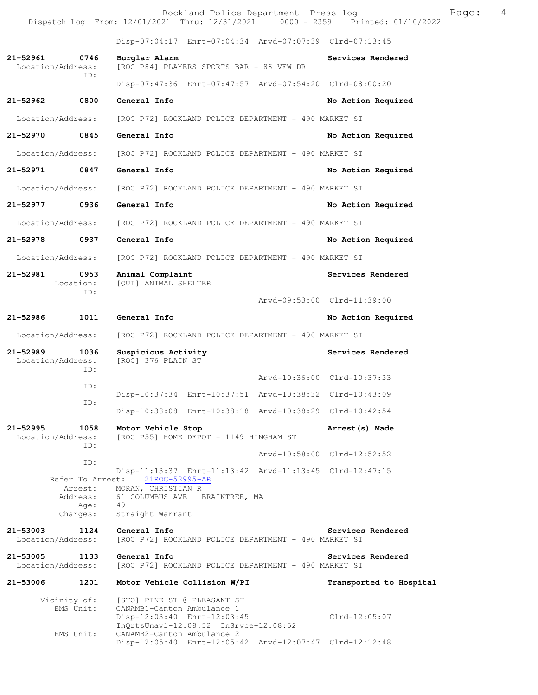Rockland Police Department- Press log example Press Page: 4 Dispatch Log From: 12/01/2021 Thru: 12/31/2021 0000 - 2359 Printed: 01/10/2022

 Disp-07:04:17 Enrt-07:04:34 Arvd-07:07:39 Clrd-07:13:45 **21-52961 0746 Burglar Alarm Services Rendered**  Location/Address: [ROC P84] PLAYERS SPORTS BAR - 86 VFW DR ID: Disp-07:47:36 Enrt-07:47:57 Arvd-07:54:20 Clrd-08:00:20 **21-52962 0800 General Info No Action Required**  Location/Address: [ROC P72] ROCKLAND POLICE DEPARTMENT - 490 MARKET ST **21-52970 0845 General Info No Action Required**  Location/Address: [ROC P72] ROCKLAND POLICE DEPARTMENT - 490 MARKET ST **21-52971 0847 General Info No Action Required**  Location/Address: [ROC P72] ROCKLAND POLICE DEPARTMENT - 490 MARKET ST **21-52977 0936 General Info No Action Required**  Location/Address: [ROC P72] ROCKLAND POLICE DEPARTMENT - 490 MARKET ST **21-52978 0937 General Info No Action Required**  Location/Address: [ROC P72] ROCKLAND POLICE DEPARTMENT - 490 MARKET ST **21-52981 0953 Animal Complaint Services Rendered**  Location: [QUI] ANIMAL SHELTER ID: Arvd-09:53:00 Clrd-11:39:00 **21-52986 1011 General Info No Action Required**  Location/Address: [ROC P72] ROCKLAND POLICE DEPARTMENT - 490 MARKET ST 21-52989 1036 Suspicious Activity **1026 Services Rendered**  Location/Address: [ROC] 376 PLAIN ST ID: Arvd-10:36:00 Clrd-10:37:33 ID: Disp-10:37:34 Enrt-10:37:51 Arvd-10:38:32 Clrd-10:43:09 ID: Disp-10:38:08 Enrt-10:38:18 Arvd-10:38:29 Clrd-10:42:54 **21-52995 1058 Motor Vehicle Stop Arrest(s) Made**  Location/Address: [ROC P55] HOME DEPOT - 1149 HINGHAM ST ID: Arvd-10:58:00 Clrd-12:52:52 ID: Disp-11:13:37 Enrt-11:13:42 Arvd-11:13:45 Clrd-12:47:15 Refer To Arrest: Arrest: MORAN, CHRISTIAN R Address: 61 COLUMBUS AVE BRAINTREE, MA<br>Age: 49 Age: Charges: Straight Warrant **21-53003 1124 General Info Services Rendered**  Location/Address: [ROC P72] ROCKLAND POLICE DEPARTMENT - 490 MARKET ST 21-53005 1133 General Info<br>
Location/Address: [ROC P72] ROCKLAND POLICE DEPARTMENT - 490 MARKET ST [ROC P72] ROCKLAND POLICE DEPARTMENT - 490 MARKET ST **21-53006 1201 Motor Vehicle Collision W/PI Transported to Hospital** 

 Vicinity of: [STO] PINE ST @ PLEASANT ST EMS Unit: CANAMB1-Canton Ambulance 1 Disp-12:03:40 Enrt-12:03:45 Clrd-12:05:07 InQrtsUnavl-12:08:52 InSrvce-12:08:52 EMS Unit: CANAMB2-Canton Ambulance 2 Disp-12:05:40 Enrt-12:05:42 Arvd-12:07:47 Clrd-12:12:48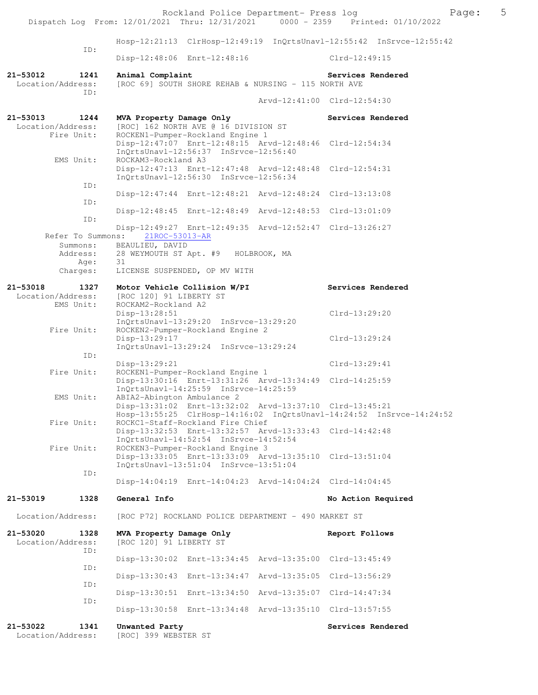|                                             |             |                                                     | Rockland Police Department- Press log                                                                                                |                             | Dispatch Log From: 12/01/2021 Thru: 12/31/2021 0000 - 2359 Printed: 01/10/2022 | 5<br>Page: |
|---------------------------------------------|-------------|-----------------------------------------------------|--------------------------------------------------------------------------------------------------------------------------------------|-----------------------------|--------------------------------------------------------------------------------|------------|
|                                             |             |                                                     |                                                                                                                                      |                             | Hosp-12:21:13 ClrHosp-12:49:19 InQrtsUnavl-12:55:42 InSrvce-12:55:42           |            |
|                                             | ID:         |                                                     | Disp-12:48:06 Enrt-12:48:16                                                                                                          |                             | $Clrd-12:49:15$                                                                |            |
| 21-53012<br>Location/Address:               | 1241        | Animal Complaint                                    | [ROC 69] SOUTH SHORE REHAB & NURSING - 115 NORTH AVE                                                                                 |                             | Services Rendered                                                              |            |
|                                             | TD:         |                                                     |                                                                                                                                      | Arvd-12:41:00 Clrd-12:54:30 |                                                                                |            |
| 21-53013<br>Location/Address:<br>Fire Unit: | 1244        | MVA Property Damage Only                            | [ROC] 162 NORTH AVE @ 16 DIVISION ST<br>ROCKEN1-Pumper-Rockland Engine 1                                                             |                             | Services Rendered                                                              |            |
| EMS Unit:                                   |             | ROCKAM3-Rockland A3                                 | Disp-12:47:07 Enrt-12:48:15 Arvd-12:48:46 Clrd-12:54:34<br>InQrtsUnavl-12:56:37 InSrvce-12:56:40                                     |                             |                                                                                |            |
|                                             | ID:         |                                                     | Disp-12:47:13 Enrt-12:47:48 Arvd-12:48:48 Clrd-12:54:31<br>InQrtsUnavl-12:56:30 InSrvce-12:56:34                                     |                             |                                                                                |            |
|                                             | ID:         |                                                     | Disp-12:47:44 Enrt-12:48:21 Arvd-12:48:24 Clrd-13:13:08                                                                              |                             |                                                                                |            |
|                                             | ID:         |                                                     | Disp-12:48:45 Enrt-12:48:49 Arvd-12:48:53 Clrd-13:01:09                                                                              |                             |                                                                                |            |
| Refer To Summons:                           |             | 21ROC-53013-AR                                      | Disp-12:49:27 Enrt-12:49:35 Arvd-12:52:47 Clrd-13:26:27                                                                              |                             |                                                                                |            |
| Summons:<br>Address:<br>Age:                |             | BEAULIEU, DAVID<br>31                               | 28 WEYMOUTH ST Apt. #9 HOLBROOK, MA                                                                                                  |                             |                                                                                |            |
| Charges:                                    |             |                                                     | LICENSE SUSPENDED, OP MV WITH                                                                                                        |                             |                                                                                |            |
| 21-53018<br>Location/Address:               | 1327        | [ROC 120] 91 LIBERTY ST                             | Motor Vehicle Collision W/PI                                                                                                         |                             | Services Rendered                                                              |            |
| EMS Unit:                                   |             | ROCKAM2-Rockland A2<br>Disp-13:28:51                | InQrtsUnavl-13:29:20 InSrvce-13:29:20                                                                                                |                             | Clrd-13:29:20                                                                  |            |
| Fire Unit:                                  |             | Disp-13:29:17                                       | ROCKEN2-Pumper-Rockland Engine 2<br>InQrtsUnavl-13:29:24 InSrvce-13:29:24                                                            |                             | Clrd-13:29:24                                                                  |            |
|                                             | ID:         | $Disp-13:29:21$                                     |                                                                                                                                      |                             | $Clrd-13:29:41$                                                                |            |
| Fire Unit:                                  |             |                                                     | ROCKEN1-Pumper-Rockland Engine 1<br>Disp-13:30:16 Enrt-13:31:26 Arvd-13:34:49 Clrd-14:25:59<br>InQrtsUnavl-14:25:59 InSrvce-14:25:59 |                             |                                                                                |            |
| EMS Unit:                                   |             | ABIA2-Abington Ambulance 2                          | Disp-13:31:02 Enrt-13:32:02 Arvd-13:37:10 Clrd-13:45:21                                                                              |                             | Hosp-13:55:25 ClrHosp-14:16:02 InQrtsUnavl-14:24:52 InSrvce-14:24:52           |            |
| Fire Unit:                                  |             |                                                     | ROCKC1-Staff-Rockland Fire Chief<br>Disp-13:32:53 Enrt-13:32:57 Arvd-13:33:43 Clrd-14:42:48<br>InOrtsUnavl-14:52:54 InSrvce-14:52:54 |                             |                                                                                |            |
| Fire Unit:                                  |             |                                                     | ROCKEN3-Pumper-Rockland Engine 3<br>Disp-13:33:05 Enrt-13:33:09 Arvd-13:35:10 Clrd-13:51:04                                          |                             |                                                                                |            |
|                                             | ID:         |                                                     | InQrtsUnavl-13:51:04 InSrvce-13:51:04<br>Disp-14:04:19 Enrt-14:04:23 Arvd-14:04:24 Clrd-14:04:45                                     |                             |                                                                                |            |
| 21-53019                                    | 1328        | General Info                                        |                                                                                                                                      |                             | No Action Required                                                             |            |
| Location/Address:                           |             |                                                     | [ROC P72] ROCKLAND POLICE DEPARTMENT - 490 MARKET ST                                                                                 |                             |                                                                                |            |
| 21-53020<br>Location/Address:               | 1328<br>ID: | MVA Property Damage Only<br>[ROC 120] 91 LIBERTY ST |                                                                                                                                      |                             | Report Follows                                                                 |            |
|                                             | ID:         |                                                     | Disp-13:30:02 Enrt-13:34:45 Arvd-13:35:00 Clrd-13:45:49                                                                              |                             |                                                                                |            |
|                                             | ID:         |                                                     | Disp-13:30:43 Enrt-13:34:47 Arvd-13:35:05 Clrd-13:56:29                                                                              |                             |                                                                                |            |
|                                             | ID:         |                                                     | Disp-13:30:51 Enrt-13:34:50 Arvd-13:35:07 Clrd-14:47:34                                                                              |                             |                                                                                |            |
|                                             |             |                                                     | Disp-13:30:58 Enrt-13:34:48 Arvd-13:35:10 Clrd-13:57:55                                                                              |                             |                                                                                |            |
| 21-53022<br>Location/Address:               | 1341        | Unwanted Party<br>[ROC] 399 WEBSTER ST              |                                                                                                                                      |                             | Services Rendered                                                              |            |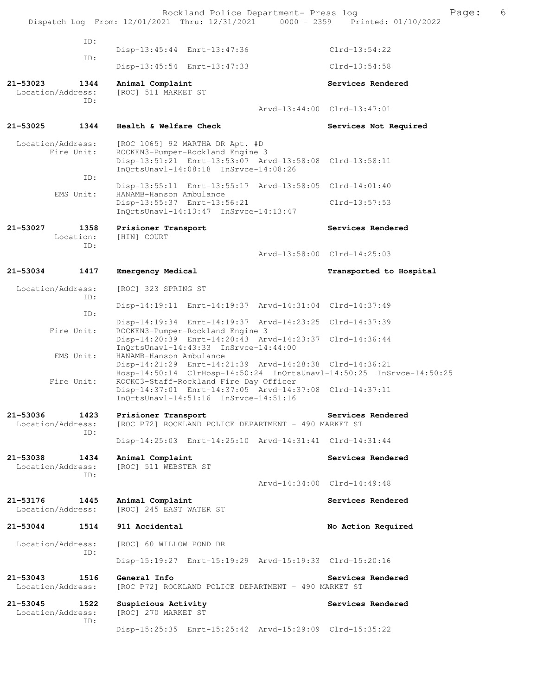|              |                                  |                                             | Rockland Police Department- Press log                                                                                                                                   | Page:<br>Dispatch Log From: 12/01/2021 Thru: 12/31/2021 0000 - 2359 Printed: 01/10/2022 | 6 |
|--------------|----------------------------------|---------------------------------------------|-------------------------------------------------------------------------------------------------------------------------------------------------------------------------|-----------------------------------------------------------------------------------------|---|
|              | ID:                              |                                             |                                                                                                                                                                         |                                                                                         |   |
|              | ID:                              |                                             | Disp-13:45:44 Enrt-13:47:36                                                                                                                                             | $Clrd-13:54:22$                                                                         |   |
|              |                                  |                                             | Disp-13:45:54 Enrt-13:47:33                                                                                                                                             | $Clrd-13:54:58$                                                                         |   |
| $21 - 53023$ | 1344<br>Location/Address:<br>ID: | Animal Complaint<br>[ROC] 511 MARKET ST     |                                                                                                                                                                         | Services Rendered                                                                       |   |
|              |                                  |                                             |                                                                                                                                                                         | Arvd-13:44:00 Clrd-13:47:01                                                             |   |
| 21-53025     | 1344                             | Health & Welfare Check                      |                                                                                                                                                                         | Services Not Required                                                                   |   |
|              | Location/Address:<br>Fire Unit:  |                                             | [ROC 1065] 92 MARTHA DR Apt. #D<br>ROCKEN3-Pumper-Rockland Engine 3<br>Disp-13:51:21 Enrt-13:53:07 Arvd-13:58:08 Clrd-13:58:11<br>InQrtsUnavl-14:08:18 InSrvce-14:08:26 |                                                                                         |   |
|              | ID:                              |                                             | Disp-13:55:11 Enrt-13:55:17 Arvd-13:58:05 Clrd-14:01:40                                                                                                                 |                                                                                         |   |
|              | EMS Unit:                        | HANAMB-Hanson Ambulance                     | Disp-13:55:37 Enrt-13:56:21<br>InOrtsUnavl-14:13:47 InSrvce-14:13:47                                                                                                    | $Clrd-13:57:53$                                                                         |   |
| 21-53027     | 1358<br>Location:<br>ID:         | Prisioner Transport<br>[HIN] COURT          |                                                                                                                                                                         | Services Rendered                                                                       |   |
|              |                                  |                                             |                                                                                                                                                                         | Arvd-13:58:00 Clrd-14:25:03                                                             |   |
| 21-53034     | 1417                             | Emergency Medical                           |                                                                                                                                                                         | Transported to Hospital                                                                 |   |
|              | Location/Address:                | [ROC] 323 SPRING ST                         |                                                                                                                                                                         |                                                                                         |   |
|              | ID:                              |                                             | Disp-14:19:11 Enrt-14:19:37 Arvd-14:31:04 Clrd-14:37:49                                                                                                                 |                                                                                         |   |
|              | ID:                              |                                             | Disp-14:19:34 Enrt-14:19:37 Arvd-14:23:25 Clrd-14:37:39                                                                                                                 |                                                                                         |   |
|              | Fire Unit:                       |                                             | ROCKEN3-Pumper-Rockland Engine 3<br>Disp-14:20:39 Enrt-14:20:43 Arvd-14:23:37 Clrd-14:36:44<br>InOrtsUnavl-14:43:33 InSrvce-14:44:00                                    |                                                                                         |   |
|              | EMS Unit:                        | HANAMB-Hanson Ambulance                     | Disp-14:21:29 Enrt-14:21:39 Arvd-14:28:38 Clrd-14:36:21                                                                                                                 | Hosp-14:50:14 ClrHosp-14:50:24 InQrtsUnavl-14:50:25 InSrvce-14:50:25                    |   |
|              | Fire Unit:                       |                                             | ROCKC3-Staff-Rockland Fire Day Officer<br>Disp-14:37:01 Enrt-14:37:05 Arvd-14:37:08 Clrd-14:37:11<br>$InQrtsUnav1-14:51:16$ $InSrvce-14:51:16$                          |                                                                                         |   |
| 21-53036     | 1423<br>Location/Address:<br>ID: | Prisioner Transport                         | [ROC P72] ROCKLAND POLICE DEPARTMENT - 490 MARKET ST                                                                                                                    | Services Rendered                                                                       |   |
|              |                                  |                                             | Disp-14:25:03 Enrt-14:25:10 Arvd-14:31:41 Clrd-14:31:44                                                                                                                 |                                                                                         |   |
| 21-53038     | 1434<br>Location/Address:<br>ID: | Animal Complaint<br>[ROC] 511 WEBSTER ST    |                                                                                                                                                                         | Services Rendered                                                                       |   |
|              |                                  |                                             |                                                                                                                                                                         | Arvd-14:34:00 Clrd-14:49:48                                                             |   |
| 21-53176     | 1445<br>Location/Address:        | Animal Complaint<br>[ROC] 245 EAST WATER ST |                                                                                                                                                                         | Services Rendered                                                                       |   |
| 21-53044     | 1514                             | 911 Accidental                              |                                                                                                                                                                         | No Action Required                                                                      |   |
|              | Location/Address:                | [ROC] 60 WILLOW POND DR                     |                                                                                                                                                                         |                                                                                         |   |
|              | ID:                              |                                             | Disp-15:19:27 Enrt-15:19:29 Arvd-15:19:33 Clrd-15:20:16                                                                                                                 |                                                                                         |   |
| $21 - 53043$ | 1516<br>Location/Address:        | General Info                                | [ROC P72] ROCKLAND POLICE DEPARTMENT - 490 MARKET ST                                                                                                                    | Services Rendered                                                                       |   |
| $21 - 53045$ | 1522<br>Location/Address:<br>ID: | Suspicious Activity<br>[ROC] 270 MARKET ST  |                                                                                                                                                                         | Services Rendered                                                                       |   |
|              |                                  |                                             | Disp-15:25:35 Enrt-15:25:42 Arvd-15:29:09 Clrd-15:35:22                                                                                                                 |                                                                                         |   |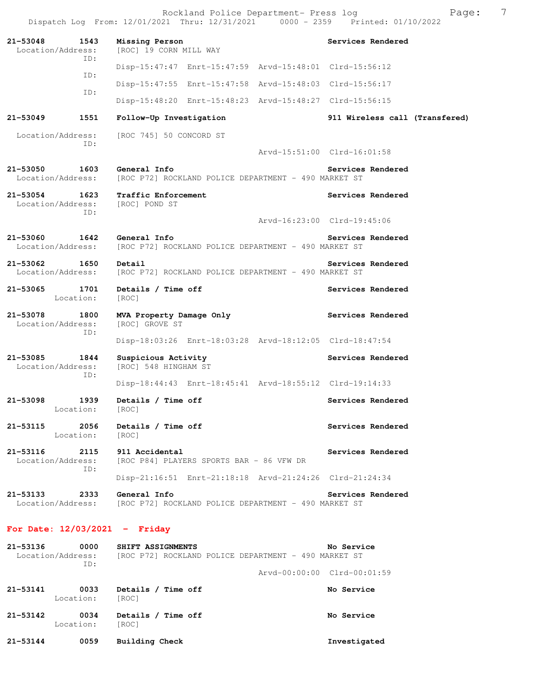Rockland Police Department- Press log Fage: 7 Dispatch Log From: 12/01/2021 Thru: 12/31/2021 0000 - 2359 Printed: 01/10/2022 **21-53048 1543 Missing Person Services Rendered**  Location/Address: [ROC] 19 CORN MILL WAY ID: Disp-15:47:47 Enrt-15:47:59 Arvd-15:48:01 Clrd-15:56:12 ID: Disp-15:47:55 Enrt-15:47:58 Arvd-15:48:03 Clrd-15:56:17 ID: Disp-15:48:20 Enrt-15:48:23 Arvd-15:48:27 Clrd-15:56:15 **21-53049 1551 Follow-Up Investigation 911 Wireless call (Transfered)** Location/Address: [ROC 745] 50 CONCORD ST ID: Arvd-15:51:00 Clrd-16:01:58 **21-53050 1603 General Info Services Rendered**  Location/Address: [ROC P72] ROCKLAND POLICE DEPARTMENT - 490 MARKET ST **21-53054 1623 Traffic Enforcement Services Rendered**  Location/Address: [ROC] POND ST ID: Arvd-16:23:00 Clrd-19:45:06 21-53060 1642 General Info<br>
Location/Address: [ROC P72] ROCKLAND POLICE DEPARTMENT - 490 MARKET ST [ROC P72] ROCKLAND POLICE DEPARTMENT - 490 MARKET ST **21-53062 1650 Detail Services Rendered**  Location/Address: [ROC P72] ROCKLAND POLICE DEPARTMENT - 490 MARKET ST **21-53065 1701 Details / Time off Services Rendered**  Location: [ROC] **21-53078 1800 MVA Property Damage Only Services Rendered**  Location/Address: [ROC] GROVE ST ID: Disp-18:03:26 Enrt-18:03:28 Arvd-18:12:05 Clrd-18:47:54 **21-53085 1844 Suspicious Activity Services Rendered**  Location/Address: [ROC] 548 HINGHAM ST ID: Disp-18:44:43 Enrt-18:45:41 Arvd-18:55:12 Clrd-19:14:33 **21-53098 1939 Details / Time off Services Rendered**  Location: [ROC] 21-53115 2056 Details / Time off **Services Rendered**  Location: [ROC] **21-53116 2115 911 Accidental Services Rendered**  Location/Address: [ROC P84] PLAYERS SPORTS BAR - 86 VFW DR ID: Disp-21:16:51 Enrt-21:18:18 Arvd-21:24:26 Clrd-21:24:34 **21-53133 2333 General Info Services Rendered**  Location/Address: [ROC P72] ROCKLAND POLICE DEPARTMENT - 490 MARKET ST **For Date: 12/03/2021 - Friday**

| 21-53136 | 0000<br>Location/Address:<br>TD: | SHIFT ASSIGNMENTS           | No Service<br>[ROC P72] ROCKLAND POLICE DEPARTMENT - 490 MARKET ST |
|----------|----------------------------------|-----------------------------|--------------------------------------------------------------------|
|          |                                  |                             | Arvd-00:00:00 Clrd-00:01:59                                        |
| 21-53141 | 0033<br>Location:                | Details / Time off<br>[ROC] | No Service                                                         |
| 21-53142 | 0034<br>Location:                | Details / Time off<br>[ROC] | No Service                                                         |
| 21-53144 | 0059                             | Building Check              | Investigated                                                       |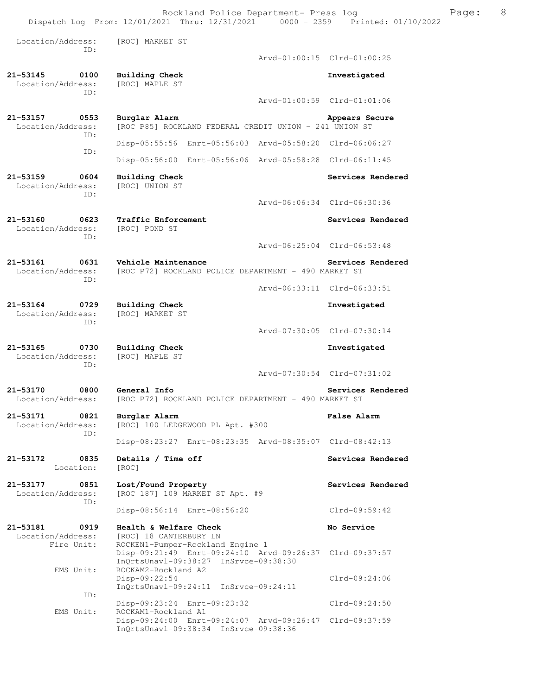Rockland Police Department- Press log Freed Page: 8 Dispatch Log From: 12/01/2021 Thru: 12/31/2021 0000 - 2359 Printed: 01/10/2022

 Location/Address: [ROC] MARKET ST ID: Arvd-01:00:15 Clrd-01:00:25 **21-53145 0100 Building Check Investigated**  Location/Address: ID: Arvd-01:00:59 Clrd-01:01:06 **21-53157 0553 Burglar Alarm Appears Secure**  Location/Address: [ROC P85] ROCKLAND FEDERAL CREDIT UNION - 241 UNION ST ID: Disp-05:55:56 Enrt-05:56:03 Arvd-05:58:20 Clrd-06:06:27 ID: Disp-05:56:00 Enrt-05:56:06 Arvd-05:58:28 Clrd-06:11:45 **21-53159 0604 Building Check Services Rendered**  Location/Address: [ROC] UNION ST ID: Arvd-06:06:34 Clrd-06:30:36 21-53160 0623 Traffic Enforcement **Services Rendered Services Rendered**  Location/Address: [ROC] POND ST ID: Arvd-06:25:04 Clrd-06:53:48 **21-53161 0631 Vehicle Maintenance Services Rendered**  [ROC P72] ROCKLAND POLICE DEPARTMENT - 490 MARKET ST ID: Arvd-06:33:11 Clrd-06:33:51 **21-53164 0729 Building Check Investigated**  Location/Address: ID: Arvd-07:30:05 Clrd-07:30:14 **21-53165 0730 Building Check Investigated**  Location/Address: ID: Arvd-07:30:54 Clrd-07:31:02 **21-53170 0800 General Info Services Rendered**  Location/Address: [ROC P72] ROCKLAND POLICE DEPARTMENT - 490 MARKET ST **21-53171 0821 Burglar Alarm False Alarm**  [ROC] 100 LEDGEWOOD PL Apt. #300 ID: Disp-08:23:27 Enrt-08:23:35 Arvd-08:35:07 Clrd-08:42:13 21-53172 0835 Details / Time off **Services Rendered Services** Rendered Location: [ROC] **21-53177 0851 Lost/Found Property Services Rendered**  Location/Address: [ROC 187] 109 MARKET ST Apt. #9 ID: Disp-08:56:14 Enrt-08:56:20 Clrd-09:59:42 **21-53181 0919 Health & Welfare Check No Service No Service Indianally Research ISO** [ROC] 18 CANTERBURY LN Fire Unit: ROCKEN1-Pumper-Rockland Engine 1 Disp-09:21:49 Enrt-09:24:10 Arvd-09:26:37 Clrd-09:37:57 InQrtsUnavl-09:38:27 InSrvce-09:38:30<br>EMS Unit: ROCKAM2-Rockland A2 ROCKAM2-Rockland A2 Disp-09:22:54 Clrd-09:24:06 InQrtsUnavl-09:24:11 InSrvce-09:24:11 ID: Disp-09:23:24 Enrt-09:23:32 Clrd-09:24:50<br>EMS Unit: ROCKAM1-Rockland A1 ROCKAM1-Rockland A1 Disp-09:24:00 Enrt-09:24:07 Arvd-09:26:47 Clrd-09:37:59 InQrtsUnavl-09:38:34 InSrvce-09:38:36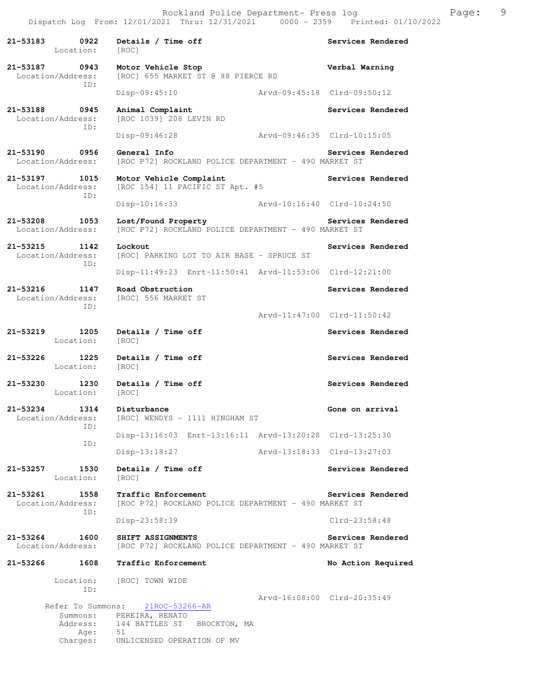21-53183 0922 Details / Time off **Services Rendered** Location: [ROC] **21-53187 0943 Motor Vehicle Stop Verbal Warning**  Location/Address: [ROC] 655 MARKET ST @ 88 PIERCE RD ID: Disp-09:45:10 Arvd-09:45:18 Clrd-09:50:12 **21-53188 0945 Animal Complaint Services Rendered**  Location/Address: [ROC 1039] 208 LEVIN RD ID: Disp-09:46:28 Arvd-09:46:35 Clrd-10:15:05 **21-53190 0956 General Info Services Rendered**  Location/Address: [ROC P72] ROCKLAND POLICE DEPARTMENT - 490 MARKET ST 21-53197 1015 Motor Vehicle Complaint **Services Rendered** Location/Address: [ROC 154] 11 PACIFIC ST Apt. #5 [ROC 154] 11 PACIFIC ST Apt. #5 ID: Disp-10:16:33 Arvd-10:16:40 Clrd-10:24:50 **21-53208 1053 Lost/Found Property Services Rendered**  Location/Address: [ROC P72] ROCKLAND POLICE DEPARTMENT - 490 MARKET ST 21-53215 1142 Lockout **Services Rendered**<br>Location/Address: [ROC] PARKING LOT TO AIR BASE - SPRUCE ST [ROC] PARKING LOT TO AIR BASE - SPRUCE ST ID: Disp-11:49:23 Enrt-11:50:41 Arvd-11:53:06 Clrd-12:21:00 **21-53216 1147 Road Obstruction Services Rendered**  Location/Address: [ROC] 556 MARKET ST ID: Arvd-11:47:00 Clrd-11:50:42 **21-53219 1205 Details / Time off Services Rendered**  Location: [ROC] **21-53226 1225 Details / Time off Services Rendered**  Location: [ROC] 21-53230 1230 Details / Time off **Services Rendered**  Location: [ROC] **21-53234 1314 Disturbance Gone on arrival**<br>Location/Address: [ROC] WENDYS - 1111 HINGHAM ST [ROC] WENDYS - 1111 HINGHAM ST ID: Disp-13:16:03 Enrt-13:16:11 Arvd-13:20:28 Clrd-13:25:30 ID: Disp-13:18:27 Arvd-13:18:33 Clrd-13:27:03 **21-53257 1530 Details / Time off Services Rendered**  Location: [ROC] **21-53261 1558 Traffic Enforcement Services Rendered**  Location/Address: [ROC P72] ROCKLAND POLICE DEPARTMENT - 490 MARKET ST ID: Disp-23:58:39 Clrd-23:58:48 **21-53264 1600 SHIFT ASSIGNMENTS Services Rendered**  Location/Address: [ROC P72] ROCKLAND POLICE DEPARTMENT - 490 MARKET ST **21-53266 1608 Traffic Enforcement No Action Required**  Location: [ROC] TOWN WIDE ID: Arvd-16:08:00 Clrd-20:35:49 Refer To Summons: 21ROC-53266-AR Summons: PEREIRA, RENATO Address: 144 BATTLES ST BROCKTON, MA<br>Age: 51 Age: Charges: UNLICENSED OPERATION OF MV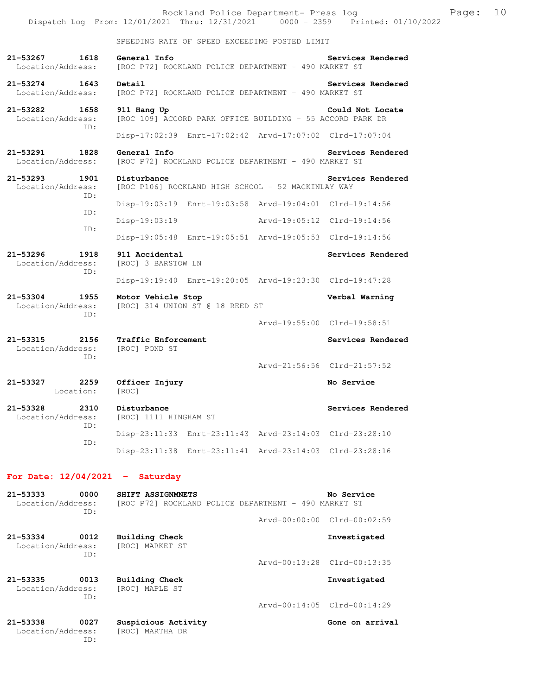|                                                  | Rockland Police Department- Press log<br>Dispatch Log From: 12/01/2021 Thru: 12/31/2021 0000 - 2359 Printed: 01/10/2022 |                             |                             | Page: | 10 |
|--------------------------------------------------|-------------------------------------------------------------------------------------------------------------------------|-----------------------------|-----------------------------|-------|----|
|                                                  | SPEEDING RATE OF SPEED EXCEEDING POSTED LIMIT                                                                           |                             |                             |       |    |
| 21-53267<br>1618<br>Location/Address:            | General Info<br>[ROC P72] ROCKLAND POLICE DEPARTMENT - 490 MARKET ST                                                    |                             | Services Rendered           |       |    |
| 21-53274<br>1643<br>Location/Address:            | Detail<br>[ROC P72] ROCKLAND POLICE DEPARTMENT - 490 MARKET ST                                                          |                             | Services Rendered           |       |    |
| 21-53282<br>1658<br>Location/Address:<br>TD:     | 911 Hang Up<br>[ROC 109] ACCORD PARK OFFICE BUILDING - 55 ACCORD PARK DR                                                |                             | Could Not Locate            |       |    |
|                                                  | Disp-17:02:39 Enrt-17:02:42 Arvd-17:07:02 Clrd-17:07:04                                                                 |                             |                             |       |    |
| 21-53291<br>1828<br>Location/Address:            | General Info<br>[ROC P72] ROCKLAND POLICE DEPARTMENT - 490 MARKET ST                                                    |                             | Services Rendered           |       |    |
| 21-53293<br>1901<br>Location/Address:<br>ID:     | Disturbance<br>[ROC P106] ROCKLAND HIGH SCHOOL - 52 MACKINLAY WAY                                                       |                             | Services Rendered           |       |    |
| ID:                                              | Disp-19:03:19 Enrt-19:03:58 Arvd-19:04:01 Clrd-19:14:56                                                                 |                             |                             |       |    |
| ID:                                              | Disp-19:03:19                                                                                                           | Arvd-19:05:12 Clrd-19:14:56 |                             |       |    |
|                                                  | Disp-19:05:48 Enrt-19:05:51 Arvd-19:05:53 Clrd-19:14:56                                                                 |                             |                             |       |    |
| 21-53296<br>1918<br>Location/Address:<br>ID:     | 911 Accidental<br>[ROC] 3 BARSTOW LN                                                                                    |                             | Services Rendered           |       |    |
|                                                  | Disp-19:19:40 Enrt-19:20:05 Arvd-19:23:30 Clrd-19:47:28                                                                 |                             |                             |       |    |
| 21-53304<br>1955<br>Location/Address:<br>ID:     | Motor Vehicle Stop<br>[ROC] 314 UNION ST @ 18 REED ST                                                                   |                             | Verbal Warning              |       |    |
|                                                  |                                                                                                                         |                             | Arvd-19:55:00 Clrd-19:58:51 |       |    |
| 21-53315<br>2156<br>Location/Address:<br>ID:     | Traffic Enforcement<br>[ROC] POND ST                                                                                    |                             | Services Rendered           |       |    |
|                                                  |                                                                                                                         |                             | Arvd-21:56:56 Clrd-21:57:52 |       |    |
| 21-53327<br>2259<br>Location:                    | Officer Injury<br>[ROC]                                                                                                 |                             | No Service                  |       |    |
| 21-53328<br>2310<br>Location/Address:<br>ID:     | Disturbance<br>[ROC] 1111 HINGHAM ST                                                                                    |                             | Services Rendered           |       |    |
|                                                  | Disp-23:11:33 Enrt-23:11:43 Arvd-23:14:03 Clrd-23:28:10                                                                 |                             |                             |       |    |
| ID:                                              | Disp-23:11:38 Enrt-23:11:41 Arvd-23:14:03 Clrd-23:28:16                                                                 |                             |                             |       |    |
| For Date: $12/04/2021$ - Saturday                |                                                                                                                         |                             |                             |       |    |
| $21 - 53333$<br>0000<br>Location/Address:<br>ID: | SHIFT ASSIGNMNETS<br>[ROC P72] ROCKLAND POLICE DEPARTMENT - 490 MARKET ST                                               |                             | No Service                  |       |    |
|                                                  |                                                                                                                         |                             | Arvd-00:00:00 Clrd-00:02:59 |       |    |
| 21-53334<br>0012<br>Location/Address:            | <b>Building Check</b><br>[ROC] MARKET ST                                                                                |                             | Investigated                |       |    |
| ID:                                              |                                                                                                                         |                             | Arvd-00:13:28 Clrd-00:13:35 |       |    |

Arvd-00:14:05 Clrd-00:14:29

**21-53335 0013 Building Check Investigated**  Location/Address: [ROC] MAPLE ST ID:

21-53338 0027 Suspicious Activity **Gone on arrival** Gone on arrival Location/Address: [ROC] MARTHA DR Location/Address: ID: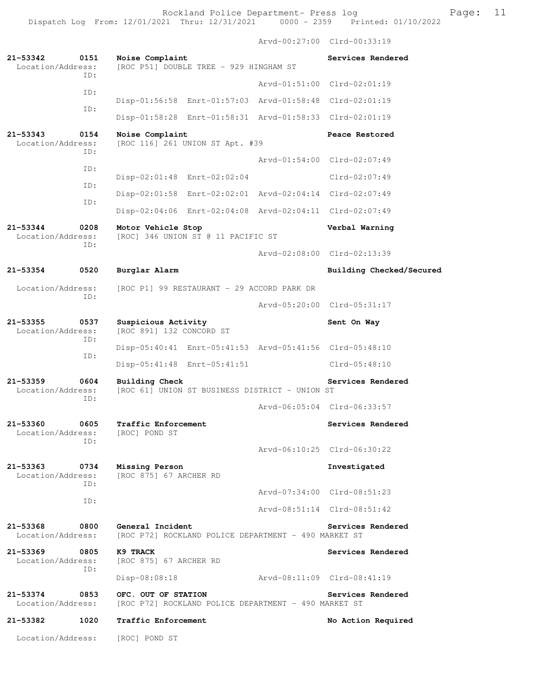Arvd-00:27:00 Clrd-00:33:19 **21-53342 0151 Noise Complaint Services Rendered** Location/Address: [ROC P51] DOUBLE TREE - 929 HINGHAM ST [ROC P51] DOUBLE TREE - 929 HINGHAM ST ID: Arvd-01:51:00 Clrd-02:01:19 ID: Disp-01:56:58 Enrt-01:57:03 Arvd-01:58:48 Clrd-02:01:19 ID: Disp-01:58:28 Enrt-01:58:31 Arvd-01:58:33 Clrd-02:01:19 **21-53343 0154 Noise Complaint Peace Restored**  Location/Address: [ROC 116] 261 UNION ST Apt. #39 ID: Arvd-01:54:00 Clrd-02:07:49 ID: Disp-02:01:48 Enrt-02:02:04 Clrd-02:07:49 ID: Disp-02:01:58 Enrt-02:02:01 Arvd-02:04:14 Clrd-02:07:49 ID: Disp-02:04:06 Enrt-02:04:08 Arvd-02:04:11 Clrd-02:07:49 **21-53344 0208 Motor Vehicle Stop Verbal Warning**  [ROC] 346 UNION ST @ 11 PACIFIC ST ID: Arvd-02:08:00 Clrd-02:13:39 **21-53354 0520 Burglar Alarm Building Checked/Secured**  Location/Address: [ROC P1] 99 RESTAURANT - 29 ACCORD PARK DR ID: Arvd-05:20:00 Clrd-05:31:17 21-53355 0537 Suspicious Activity **Sent On Way** Location/Address: [ROC 891] 132 CONCORD ST ID: Disp-05:40:41 Enrt-05:41:53 Arvd-05:41:56 Clrd-05:48:10 ID: Disp-05:41:48 Enrt-05:41:51 Clrd-05:48:10 **21-53359 0604 Building Check Services Rendered**  [ROC 61] UNION ST BUSINESS DISTRICT - UNION ST ID: Arvd-06:05:04 Clrd-06:33:57 **21-53360 0605 Traffic Enforcement Services Rendered**  Location/Address: [ROC] POND ST ID: Arvd-06:10:25 Clrd-06:30:22 **21-53363 0734 Missing Person Investigated**  Location/Address: [ROC 875] 67 ARCHER RD ID: Arvd-07:34:00 Clrd-08:51:23 ID: Arvd-08:51:14 Clrd-08:51:42 21-53368 0800 General Incident Services Rendered Location/Address: [ROC P72] ROCKLAND POLICE DEPARTMENT - 490 MARKET ST [ROC P72] ROCKLAND POLICE DEPARTMENT - 490 MARKET ST **21-53369 0805 K9 TRACK Services Rendered**  Location/Address: [ROC 875] 67 ARCHER RD ID: Disp-08:08:18 Arvd-08:11:09 Clrd-08:41:19 **21-53374 0853 OFC. OUT OF STATION Services Rendered**  Location/Address: [ROC P72] ROCKLAND POLICE DEPARTMENT - 490 MARKET ST **21-53382 1020 Traffic Enforcement No Action Required**  Location/Address: [ROC] POND ST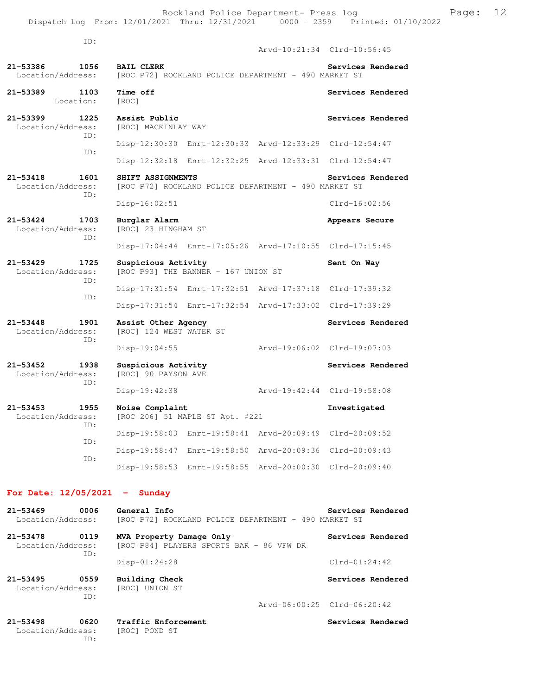| ID:                                              |                                                                           |                             | Arvd-10:21:34 Clrd-10:56:45 |
|--------------------------------------------------|---------------------------------------------------------------------------|-----------------------------|-----------------------------|
| 21-53386<br>1056<br>Location/Address:            | <b>BAIL CLERK</b><br>[ROC P72] ROCKLAND POLICE DEPARTMENT - 490 MARKET ST |                             | Services Rendered           |
| 21-53389<br>1103<br>Location:                    | Time off<br>[ROC]                                                         |                             | Services Rendered           |
| 21-53399<br>1225<br>Location/Address:<br>TD:     | Assist Public<br>[ROC] MACKINLAY WAY                                      |                             | Services Rendered           |
|                                                  | Disp-12:30:30 Enrt-12:30:33 Arvd-12:33:29 Clrd-12:54:47                   |                             |                             |
| ID:                                              | Disp-12:32:18 Enrt-12:32:25                                               | Arvd-12:33:31 Clrd-12:54:47 |                             |
| 21-53418<br>1601<br>Location/Address:<br>TD:     | SHIFT ASSIGNMENTS<br>[ROC P72] ROCKLAND POLICE DEPARTMENT - 490 MARKET ST |                             | Services Rendered           |
|                                                  | $Disp-16:02:51$                                                           |                             | $Clrd-16:02:56$             |
| $21 - 53424$<br>1703<br>Location/Address:<br>TD: | Burglar Alarm<br>[ROC] 23 HINGHAM ST                                      |                             | Appears Secure              |
|                                                  | Disp-17:04:44 Enrt-17:05:26 Arvd-17:10:55 Clrd-17:15:45                   |                             |                             |
|                                                  |                                                                           |                             |                             |
| $21 - 53429$<br>1725<br>Location/Address:        | Suspicious Activity<br>[ROC P93] THE BANNER - 167 UNION ST                |                             | Sent On Way                 |
| TD:                                              | Disp-17:31:54 Enrt-17:32:51                                               | Arvd-17:37:18 Clrd-17:39:32 |                             |
| ID:                                              | Disp-17:31:54 Enrt-17:32:54 Arvd-17:33:02 Clrd-17:39:29                   |                             |                             |
| $21 - 53448$<br>1901<br>Location/Address:        | Assist Other Agency<br>[ROC] 124 WEST WATER ST                            |                             | Services Rendered           |
| TD:                                              | $Disp-19:04:55$                                                           |                             | Arvd-19:06:02 Clrd-19:07:03 |
| 21-53452<br>1938<br>Location/Address:            | Suspicious Activity<br>[ROC] 90 PAYSON AVE                                |                             | Services Rendered           |
| TD:                                              | Disp-19:42:38                                                             |                             | Arvd-19:42:44 Clrd-19:58:08 |
| $21 - 53453$<br>1955<br>Location/Address:        | Noise Complaint<br>[ROC 206] 51 MAPLE ST Apt. #221                        |                             | Investigated                |
| ID:                                              | Disp-19:58:03 Enrt-19:58:41 Arvd-20:09:49 Clrd-20:09:52                   |                             |                             |
| ID:<br>ID:                                       | Disp-19:58:47 Enrt-19:58:50                                               | Arvd-20:09:36               | $Clrd-20:09:43$             |

## **For Date: 12/05/2021 - Sunday**

| $21 - 53469$<br>Location/Address: | 0006        | General Info<br>[ROC P72] ROCKLAND POLICE DEPARTMENT - 490 MARKET ST | Services Rendered           |
|-----------------------------------|-------------|----------------------------------------------------------------------|-----------------------------|
| $21 - 53478$<br>Location/Address: | 0119<br>ID: | MVA Property Damage Only<br>[ROC P84] PLAYERS SPORTS BAR - 86 VFW DR | Services Rendered           |
|                                   |             | $Disp-01:24:28$                                                      | $Clrd-01:24:42$             |
| $21 - 53495$<br>Location/Address: | 0559<br>TD: | Building Check<br>[ROC] UNION ST                                     | Services Rendered           |
|                                   |             |                                                                      | Arvd-06:00:25 Clrd-06:20:42 |
| $21 - 53498$                      | 0620        | Traffic Enforcement                                                  | Services Rendered           |

 Location/Address: [ROC] POND ST ID: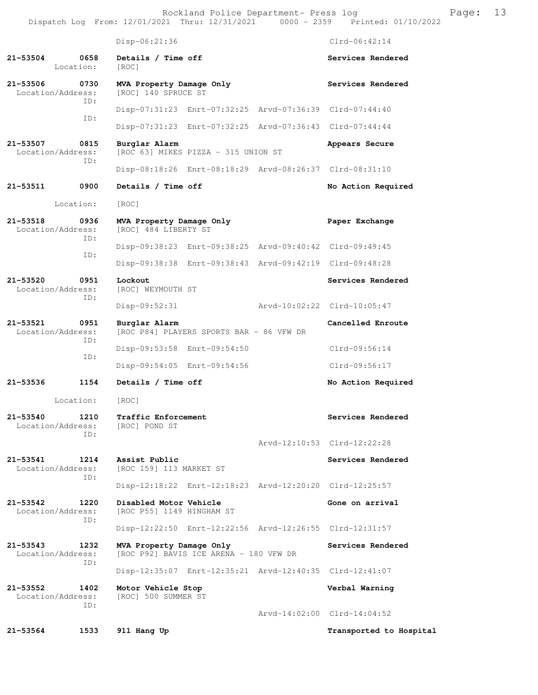Rockland Police Department- Press log Frank Page: 13 Dispatch Log From: 12/01/2021 Thru: 12/31/2021 0000 - 2359 Printed: 01/10/2022

 Disp-06:21:36 Clrd-06:42:14 **21-53504 0658 Details / Time off Services Rendered**  Location: [ROC] 21-53506 0730 **MVA Property Damage Only Services Rendered** Location/Address: [ROC] 140 SPRUCE ST [ROC] 140 SPRUCE ST ID: Disp-07:31:23 Enrt-07:32:25 Arvd-07:36:39 Clrd-07:44:40 ID: Disp-07:31:23 Enrt-07:32:25 Arvd-07:36:43 Clrd-07:44:44 **21-53507 0815 Burglar Alarm Appears Secure**  Location/Address: [ROC 63] MIKES PIZZA - 315 UNION ST ID: Disp-08:18:26 Enrt-08:18:29 Arvd-08:26:37 Clrd-08:31:10 **21-53511 0900 Details / Time off No Action Required**  Location: [ROC] **21-53518 0936 MVA Property Damage Only Paper Exchange**  Location/Address: [ROC] 484 LIBERTY ST ID: Disp-09:38:23 Enrt-09:38:25 Arvd-09:40:42 Clrd-09:49:45 ID: Disp-09:38:38 Enrt-09:38:43 Arvd-09:42:19 Clrd-09:48:28 **21-53520 0951 Lockout Services Rendered**  Location/Address: [ROC] WEYMOUTH ST ID: Disp-09:52:31 Arvd-10:02:22 Clrd-10:05:47 **21-53521 0951 Burglar Alarm Cancelled Enroute**  [ROC P84] PLAYERS SPORTS BAR - 86 VFW DR ID: Disp-09:53:58 Enrt-09:54:50 Clrd-09:56:14 ID: Disp-09:54:05 Enrt-09:54:56 Clrd-09:56:17 **21-53536 1154 Details / Time off No Action Required**  Location: [ROC] **21-53540 1210 Traffic Enforcement Services Rendered**  Location/Address: [ROC] POND ST ID: Arvd-12:10:53 Clrd-12:22:28 **21-53541 1214 Assist Public Services Rendered Location/Address:** [ROC 159] 113 MARKET ST [ROC 159] 113 MARKET ST ID: Disp-12:18:22 Enrt-12:18:23 Arvd-12:20:20 Clrd-12:25:57 **21-53542 1220 Disabled Motor Vehicle Gone on arrival**  Location/Address: [ROC P55] 1149 HINGHAM ST ID: Disp-12:22:50 Enrt-12:22:56 Arvd-12:26:55 Clrd-12:31:57 **21-53543 1232 MVA Property Damage Only Services Rendered**  Location/Address: [ROC P92] BAVIS ICE ARENA - 180 VFW DR ID: Disp-12:35:07 Enrt-12:35:21 Arvd-12:40:35 Clrd-12:41:07 **21-53552 1402 Motor Vehicle Stop Verbal Warning**  Location/Address: [ROC] 500 SUMMER ST ID: Arvd-14:02:00 Clrd-14:04:52 **21-53564 1533 911 Hang Up Transported to Hospital**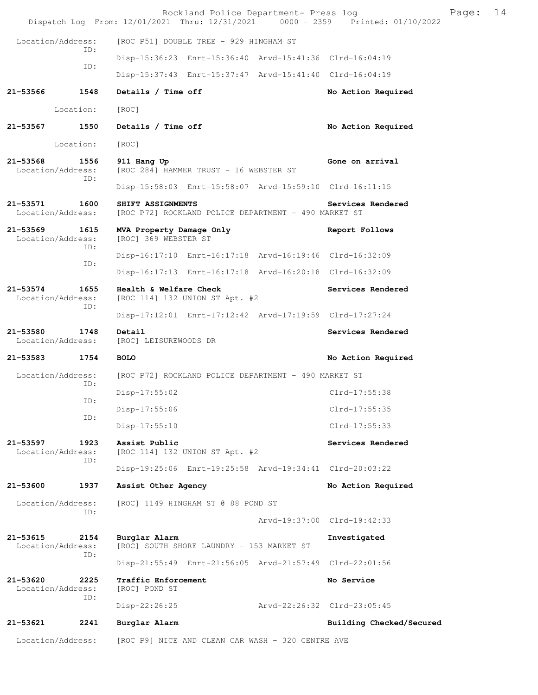|                                   |             | Rockland Police Department- Press log<br>Dispatch Log From: 12/01/2021 Thru: 12/31/2021 0000 - 2359 Printed: 01/10/2022 |                             |                             | Page: | 14 |
|-----------------------------------|-------------|-------------------------------------------------------------------------------------------------------------------------|-----------------------------|-----------------------------|-------|----|
| Location/Address:                 |             | [ROC P51] DOUBLE TREE - 929 HINGHAM ST                                                                                  |                             |                             |       |    |
|                                   | ID:         | Disp-15:36:23 Enrt-15:36:40 Arvd-15:41:36 Clrd-16:04:19                                                                 |                             |                             |       |    |
|                                   | ID:         | Disp-15:37:43 Enrt-15:37:47 Arvd-15:41:40 Clrd-16:04:19                                                                 |                             |                             |       |    |
| 21-53566                          | 1548        | Details / Time off                                                                                                      |                             | No Action Required          |       |    |
|                                   | Location:   | [ROC]                                                                                                                   |                             |                             |       |    |
| 21-53567                          | 1550        | Details / Time off                                                                                                      |                             | No Action Required          |       |    |
|                                   | Location:   | [ROC]                                                                                                                   |                             |                             |       |    |
| $21 - 53568$<br>Location/Address: | 1556<br>ID: | 911 Hang Up<br>[ROC 284] HAMMER TRUST - 16 WEBSTER ST                                                                   |                             | Gone on arrival             |       |    |
|                                   |             | Disp-15:58:03 Enrt-15:58:07 Arvd-15:59:10 Clrd-16:11:15                                                                 |                             |                             |       |    |
| 21-53571<br>Location/Address:     | 1600        | SHIFT ASSIGNMENTS<br>[ROC P72] ROCKLAND POLICE DEPARTMENT - 490 MARKET ST                                               |                             | Services Rendered           |       |    |
| 21-53569<br>Location/Address:     | 1615<br>ID: | MVA Property Damage Only<br>[ROC] 369 WEBSTER ST                                                                        |                             | Report Follows              |       |    |
|                                   | ID:         | Disp-16:17:10 Enrt-16:17:18 Arvd-16:19:46 Clrd-16:32:09                                                                 |                             |                             |       |    |
|                                   |             | Disp-16:17:13 Enrt-16:17:18 Arvd-16:20:18 Clrd-16:32:09                                                                 |                             |                             |       |    |
| 21-53574<br>Location/Address:     | 1655<br>ID: | Health & Welfare Check<br>[ROC 114] 132 UNION ST Apt. #2                                                                |                             | Services Rendered           |       |    |
|                                   |             | Disp-17:12:01 Enrt-17:12:42 Arvd-17:19:59 Clrd-17:27:24                                                                 |                             |                             |       |    |
| 21-53580<br>Location/Address:     | 1748        | Detail<br>[ROC] LEISUREWOODS DR                                                                                         |                             | Services Rendered           |       |    |
| 21-53583                          | 1754        | <b>BOLO</b>                                                                                                             |                             | No Action Required          |       |    |
| Location/Address:                 | ID:         | [ROC P72] ROCKLAND POLICE DEPARTMENT - 490 MARKET ST                                                                    |                             |                             |       |    |
|                                   | ID:         | $Disp-17:55:02$                                                                                                         |                             | Clrd-17:55:38               |       |    |
|                                   | ID:         | Disp-17:55:06                                                                                                           |                             | Clrd-17:55:35               |       |    |
|                                   |             | $Disp-17:55:10$                                                                                                         |                             | $Clrd-17:55:33$             |       |    |
| 21-53597<br>Location/Address:     | 1923<br>ID: | Assist Public<br>[ROC 114] 132 UNION ST Apt. #2                                                                         |                             | Services Rendered           |       |    |
|                                   |             | Disp-19:25:06 Enrt-19:25:58 Arvd-19:34:41 Clrd-20:03:22                                                                 |                             |                             |       |    |
| 21-53600                          | 1937        | Assist Other Agency                                                                                                     |                             | No Action Required          |       |    |
| Location/Address:                 | ID:         | [ROC] 1149 HINGHAM ST @ 88 POND ST                                                                                      |                             |                             |       |    |
|                                   |             |                                                                                                                         |                             | Arvd-19:37:00 Clrd-19:42:33 |       |    |
| 21-53615<br>Location/Address:     | 2154<br>ID: | Burglar Alarm<br>[ROC] SOUTH SHORE LAUNDRY - 153 MARKET ST                                                              |                             | Investigated                |       |    |
|                                   |             | Disp-21:55:49 Enrt-21:56:05 Arvd-21:57:49 Clrd-22:01:56                                                                 |                             |                             |       |    |
| 21-53620<br>Location/Address:     | 2225<br>ID: | Traffic Enforcement<br>[ROC] POND ST                                                                                    |                             | No Service                  |       |    |
|                                   |             | Disp-22:26:25                                                                                                           | Arvd-22:26:32 Clrd-23:05:45 |                             |       |    |
| 21-53621                          | 2241        | Burglar Alarm                                                                                                           |                             | Building Checked/Secured    |       |    |
| Location/Address:                 |             | [ROC P9] NICE AND CLEAN CAR WASH - 320 CENTRE AVE                                                                       |                             |                             |       |    |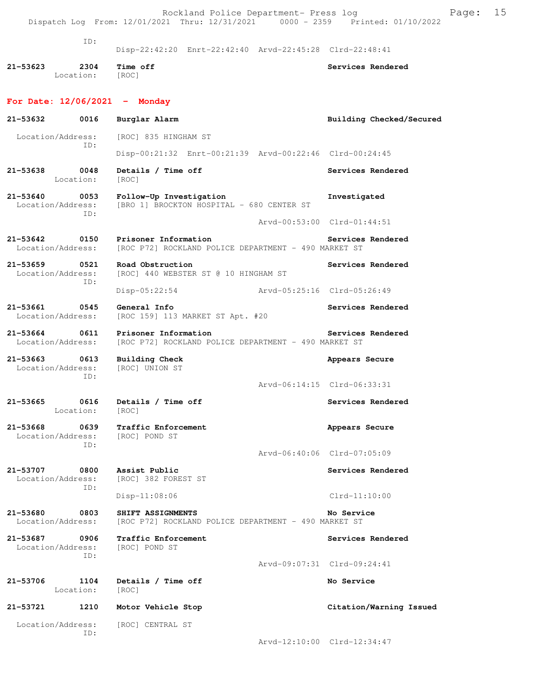|                                    |                         | Rockland Police Department- Press log                                                      | Page:<br>Dispatch Log From: 12/01/2021 Thru: 12/31/2021 0000 - 2359 Printed: 01/10/2022 | 15 |
|------------------------------------|-------------------------|--------------------------------------------------------------------------------------------|-----------------------------------------------------------------------------------------|----|
|                                    | ID:                     | Disp-22:42:20 Enrt-22:42:40 Arvd-22:45:28 Clrd-22:48:41                                    |                                                                                         |    |
| 21-53623                           | 2304<br>Location: [ROC] | Time off                                                                                   | Services Rendered                                                                       |    |
| For Date: $12/06/2021$ - Monday    |                         |                                                                                            |                                                                                         |    |
| 21–53632                           | 0016                    | Burglar Alarm                                                                              | Building Checked/Secured                                                                |    |
| Location/Address:                  | ID:                     | [ROC] 835 HINGHAM ST                                                                       |                                                                                         |    |
|                                    |                         | Disp-00:21:32 Enrt-00:21:39 Arvd-00:22:46 Clrd-00:24:45                                    |                                                                                         |    |
| 21-53638                           | 0048<br>Location:       | Details / Time off<br>[ROC]                                                                | Services Rendered                                                                       |    |
| 21-53640<br>Location/Address:      | 0053<br>ID:             | Follow-Up Investigation<br>[BRO 1] BROCKTON HOSPITAL - 680 CENTER ST                       | Investigated                                                                            |    |
|                                    |                         |                                                                                            | Arvd-00:53:00 Clrd-01:44:51                                                             |    |
| Location/Address:                  |                         | 21-53642 0150 Prisoner Information<br>[ROC P72] ROCKLAND POLICE DEPARTMENT - 490 MARKET ST | Services Rendered                                                                       |    |
| 21-53659 0521<br>Location/Address: | ID:                     | Road Obstruction<br>[ROC] 440 WEBSTER ST @ 10 HINGHAM ST                                   | Services Rendered                                                                       |    |
|                                    |                         | Disp-05:22:54                                                                              | Arvd-05:25:16 Clrd-05:26:49                                                             |    |
| 21-53661<br>Location/Address:      | 0545                    | General Info<br>[ROC 159] 113 MARKET ST Apt. #20                                           | Services Rendered                                                                       |    |
| 21-53664 0611<br>Location/Address: |                         | Prisoner Information<br>[ROC P72] ROCKLAND POLICE DEPARTMENT - 490 MARKET ST               | Services Rendered                                                                       |    |
| 21-53663 0613<br>Location/Address: | ID:                     | <b>Building Check</b><br>[ROC] UNION ST                                                    | Appears Secure                                                                          |    |
|                                    |                         |                                                                                            | Arvd-06:14:15 Clrd-06:33:31                                                             |    |
| 21-53665                           | Location:               | 0616 Details / Time off<br>[ROC]                                                           | Services Rendered                                                                       |    |
| 21-53668<br>Location/Address:      | ID:                     | 0639 Traffic Enforcement<br>[ROC] POND ST                                                  | Appears Secure                                                                          |    |
|                                    |                         |                                                                                            | Arvd-06:40:06 Clrd-07:05:09                                                             |    |
| 21-53707<br>Location/Address:      | 0800<br>ID:             | Assist Public<br>[ROC] 382 FOREST ST                                                       | Services Rendered                                                                       |    |
|                                    |                         | $Disp-11:08:06$                                                                            | $Clrd-11:10:00$                                                                         |    |
| 21-53680<br>Location/Address:      | 0803                    | SHIFT ASSIGNMENTS<br>[ROC P72] ROCKLAND POLICE DEPARTMENT - 490 MARKET ST                  | No Service                                                                              |    |
| 21-53687<br>Location/Address:      | 0906<br>ID:             | Traffic Enforcement<br>[ROC] POND ST                                                       | Services Rendered                                                                       |    |
|                                    |                         |                                                                                            | Arvd-09:07:31 Clrd-09:24:41                                                             |    |
| 21-53706                           | 1104<br>Location:       | Details / Time off<br>[ROC]                                                                | No Service                                                                              |    |
| 21-53721                           | 1210                    | Motor Vehicle Stop                                                                         | Citation/Warning Issued                                                                 |    |
| Location/Address:                  |                         | [ROC] CENTRAL ST                                                                           |                                                                                         |    |
|                                    | ID:                     |                                                                                            | Arvd-12:10:00 Clrd-12:34:47                                                             |    |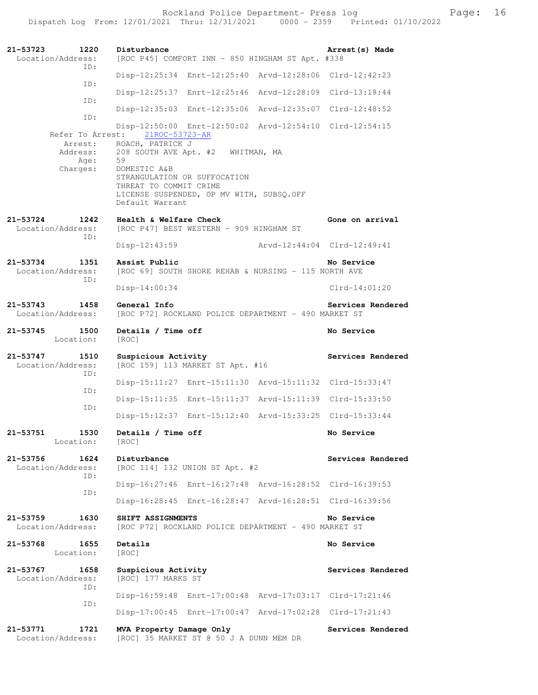Rockland Police Department- Press log entitled and Page: 16 Dispatch Log From: 12/01/2021 Thru: 12/31/2021 0000 - 2359 Printed: 01/10/2022

| 1220<br>21-53723<br>Location/Address:<br>TD: | Disturbance<br>[ROC P45] COMFORT INN - 850 HINGHAM ST Apt. #338                                                                                                                                      | Arrest (s) Made             |
|----------------------------------------------|------------------------------------------------------------------------------------------------------------------------------------------------------------------------------------------------------|-----------------------------|
|                                              | Disp-12:25:34 Enrt-12:25:40 Arvd-12:28:06 Clrd-12:42:23                                                                                                                                              |                             |
| ID:<br>ID:                                   | Disp-12:25:37 Enrt-12:25:46 Arvd-12:28:09 Clrd-13:18:44                                                                                                                                              |                             |
| ID:                                          | Disp-12:35:03 Enrt-12:35:06 Arvd-12:35:07 Clrd-12:48:52                                                                                                                                              |                             |
| Refer To Arrest:                             | Disp-12:50:00 Enrt-12:50:02 Arvd-12:54:10 Clrd-12:54:15<br>21ROC-53723-AR                                                                                                                            |                             |
| Arrest:<br>Address:<br>Age:<br>Charges:      | ROACH, PATRICK J<br>208 SOUTH AVE Apt. #2 WHITMAN, MA<br>59<br>DOMESTIC A&B<br>STRANGULATION OR SUFFOCATION<br>THREAT TO COMMIT CRIME<br>LICENSE SUSPENDED, OP MV WITH, SUBSQ.OFF<br>Default Warrant |                             |
| 21-53724<br>1242<br>Location/Address:<br>ID: | Health & Welfare Check<br>[ROC P47] BEST WESTERN - 909 HINGHAM ST                                                                                                                                    | Gone on arrival             |
|                                              | $Disp-12:43:59$                                                                                                                                                                                      | Arvd-12:44:04 Clrd-12:49:41 |
| 21-53734<br>1351<br>Location/Address:<br>ID: | Assist Public<br>[ROC 69] SOUTH SHORE REHAB & NURSING - 115 NORTH AVE                                                                                                                                | No Service                  |
|                                              | Disp-14:00:34                                                                                                                                                                                        | $Clrd-14:01:20$             |
| $21 - 53743$<br>1458<br>Location/Address:    | General Info<br>[ROC P72] ROCKLAND POLICE DEPARTMENT - 490 MARKET ST                                                                                                                                 | Services Rendered           |
| 21-53745<br>1500<br>Location:                | Details / Time off<br>[ROC]                                                                                                                                                                          | No Service                  |
|                                              |                                                                                                                                                                                                      |                             |
| 21-53747<br>1510<br>Location/Address:        | Suspicious Activity<br>[ROC 159] 113 MARKET ST Apt. #16                                                                                                                                              | Services Rendered           |
| ID:                                          | Disp-15:11:27 Enrt-15:11:30 Arvd-15:11:32 Clrd-15:33:47                                                                                                                                              |                             |
| ID:                                          | Disp-15:11:35 Enrt-15:11:37 Arvd-15:11:39 Clrd-15:33:50                                                                                                                                              |                             |
| ID:                                          | Disp-15:12:37 Enrt-15:12:40 Arvd-15:33:25 Clrd-15:33:44                                                                                                                                              |                             |
| 1530<br>21-53751<br>Location:                | Details / Time off<br>[ROC]                                                                                                                                                                          | No Service                  |
| 21-53756<br>1624<br>Location/Address:        | Disturbance<br>[ROC 114] 132 UNION ST Apt. #2                                                                                                                                                        | Services Rendered           |
| ID:                                          | Disp-16:27:46 Enrt-16:27:48 Arvd-16:28:52 Clrd-16:39:53                                                                                                                                              |                             |
| ID:                                          | Disp-16:28:45 Enrt-16:28:47 Arvd-16:28:51 Clrd-16:39:56                                                                                                                                              |                             |
| 1630<br>21-53759<br>Location/Address:        | SHIFT ASSIGNMENTS<br>[ROC P72] ROCKLAND POLICE DEPARTMENT - 490 MARKET ST                                                                                                                            | No Service                  |
| 21-53768<br>1655<br>Location:                | Details<br>[ROC]                                                                                                                                                                                     | No Service                  |
| 21-53767<br>1658<br>Location/Address:        | Suspicious Activity<br>[ROC] 177 MARKS ST                                                                                                                                                            | Services Rendered           |
| ID:                                          | Disp-16:59:48 Enrt-17:00:48 Arvd-17:03:17 Clrd-17:21:46                                                                                                                                              |                             |
| ID:                                          | Disp-17:00:45 Enrt-17:00:47 Arvd-17:02:28 Clrd-17:21:43                                                                                                                                              |                             |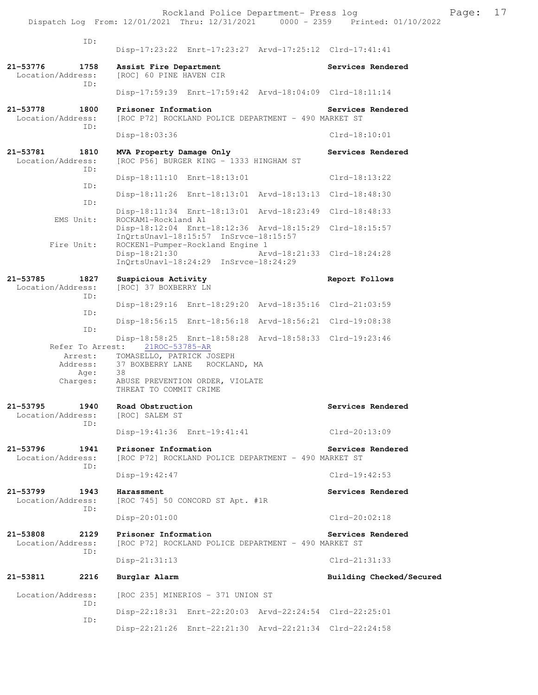ID: Disp-17:23:22 Enrt-17:23:27 Arvd-17:25:12 Clrd-17:41:41 **21-53776 1758 Assist Fire Department Services Rendered**  Location/Address: [ROC] 60 PINE HAVEN CIR ID: Disp-17:59:39 Enrt-17:59:42 Arvd-18:04:09 Clrd-18:11:14 **21-53778 1800 Prisoner Information Services Rendered**  Location/Address: [ROC P72] ROCKLAND POLICE DEPARTMENT - 490 MARKET ST ID: Disp-18:03:36 Clrd-18:10:01 **21-53781 1810 MVA Property Damage Only Services Rendered**  Location/Address: [ROC P56] BURGER KING - 1333 HINGHAM ST ID: Disp-18:11:10 Enrt-18:13:01 Clrd-18:13:22 ID: Disp-18:11:26 Enrt-18:13:01 Arvd-18:13:13 Clrd-18:48:30 ID: Disp-18:11:34 Enrt-18:13:01 Arvd-18:23:49 Clrd-18:48:33 EMS Unit: ROCKAM1-Rockland A1 Disp-18:12:04 Enrt-18:12:36 Arvd-18:15:29 Clrd-18:15:57 InQrtsUnavl-18:15:57 InSrvce-18:15:57 Fire Unit: ROCKEN1-Pumper-Rockland Engine 1<br>Disp-18:21:30 Ar Disp-18:21:30 Arvd-18:21:33 Clrd-18:24:28 InQrtsUnavl-18:24:29 InSrvce-18:24:29 **21-53785 1827 Suspicious Activity Report Follows**  Location/Address: [ROC] 37 BOXBERRY LN ID: Disp-18:29:16 Enrt-18:29:20 Arvd-18:35:16 Clrd-21:03:59 ID: Disp-18:56:15 Enrt-18:56:18 Arvd-18:56:21 Clrd-19:08:38 ID: Disp-18:58:25 Enrt-18:58:28 Arvd-18:58:33 Clrd-19:23:46 Refer To Arrest: Arrest: TOMASELLO, PATRICK JOSEPH Address: 37 BOXBERRY LANE ROCKLAND, MA Age: 38 Charges: ABUSE PREVENTION ORDER, VIOLATE THREAT TO COMMIT CRIME **21-53795 1940 Road Obstruction Services Rendered**  Location/Address: ID: Disp-19:41:36 Enrt-19:41:41 Clrd-20:13:09 **21-53796 1941 Prisoner Information Services Rendered**  Location/Address: [ROC P72] ROCKLAND POLICE DEPARTMENT - 490 MARKET ST ID: Disp-19:42:47 Clrd-19:42:53 **21-53799 1943 Harassment Services Rendered**  Location/Address: [ROC 745] 50 CONCORD ST Apt. #1R ID: Disp-20:01:00 Clrd-20:02:18 **21-53808 2129 Prisoner Information Services Rendered**  Location/Address: [ROC P72] ROCKLAND POLICE DEPARTMENT - 490 MARKET ST ID: Disp-21:31:13 Clrd-21:31:33 **21-53811 2216 Burglar Alarm Building Checked/Secured**  Location/Address: [ROC 235] MINERIOS - 371 UNION ST ID: Disp-22:18:31 Enrt-22:20:03 Arvd-22:24:54 Clrd-22:25:01 ID: Disp-22:21:26 Enrt-22:21:30 Arvd-22:21:34 Clrd-22:24:58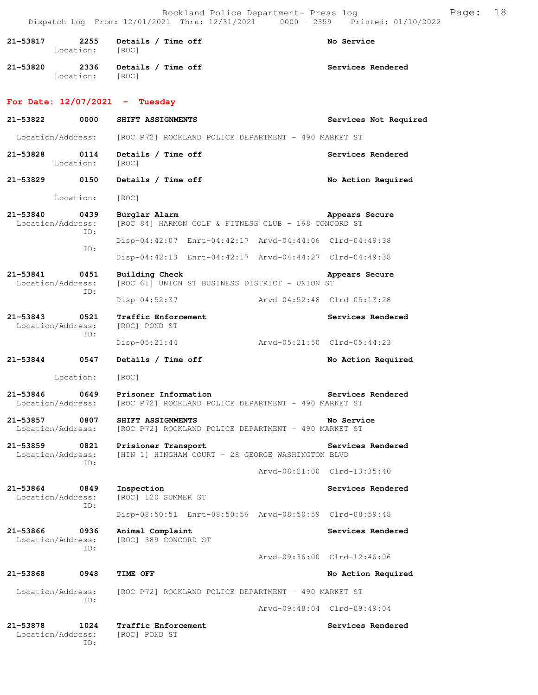Rockland Police Department- Press log entitled Page: 18 Dispatch Log From: 12/01/2021 Thru: 12/31/2021 0000 - 2359 Printed: 01/10/2022

| 21-53817                           | 2255<br>Location: [ROC] | Details / Time off                                                                             |                             | No Service            |
|------------------------------------|-------------------------|------------------------------------------------------------------------------------------------|-----------------------------|-----------------------|
| 21-53820                           | 2336<br>Location: [ROC] | Details / Time off                                                                             |                             | Services Rendered     |
| For Date: $12/07/2021$ - Tuesday   |                         |                                                                                                |                             |                       |
| 21-53822                           | 0000                    | SHIFT ASSIGNMENTS                                                                              |                             | Services Not Required |
| Location/Address:                  |                         | [ROC P72] ROCKLAND POLICE DEPARTMENT - 490 MARKET ST                                           |                             |                       |
| 21-53828 0114                      | Location:               | Details / Time off<br>[ROC]                                                                    |                             | Services Rendered     |
| 21-53829 0150                      |                         | Details / Time off                                                                             |                             | No Action Required    |
| Location:                          |                         | [ROC]                                                                                          |                             |                       |
| 21-53840<br>Location/Address:      | 0439<br>ID:             | Burglar Alarm<br>[ROC 84] HARMON GOLF & FITNESS CLUB - 168 CONCORD ST                          |                             | Appears Secure        |
|                                    | ID:                     | Disp-04:42:07 Enrt-04:42:17 Arvd-04:44:06 Clrd-04:49:38                                        |                             |                       |
|                                    |                         | Disp-04:42:13 Enrt-04:42:17 Arvd-04:44:27 Clrd-04:49:38                                        |                             |                       |
| 21-53841<br>Location/Address:      | 0451<br>ID:             | Building Check<br>[ROC 61] UNION ST BUSINESS DISTRICT - UNION ST                               |                             | Appears Secure        |
|                                    |                         | $Disp-04:52:37$                                                                                | Arvd-04:52:48 Clrd-05:13:28 |                       |
| 21-53843<br>Location/Address:      | 0521<br>ID:             | Traffic Enforcement<br>[ROC] POND ST                                                           |                             | Services Rendered     |
|                                    |                         | Disp-05:21:44                                                                                  | Arvd-05:21:50 Clrd-05:44:23 |                       |
| 21-53844 0547                      |                         | Details / Time off                                                                             |                             | No Action Required    |
|                                    | Location:               | [ROC]                                                                                          |                             |                       |
| $21 - 53846$                       | 0649                    | Prisoner Information<br>Location/Address: [ROC P72] ROCKLAND POLICE DEPARTMENT - 490 MARKET ST |                             | Services Rendered     |
| 21-53857 0807<br>Location/Address: |                         | SHIFT ASSIGNMENTS<br>[ROC P72] ROCKLAND POLICE DEPARTMENT - 490 MARKET ST                      |                             | No Service            |
| 21-53859<br>Location/Address:      | ID:                     | 0821 Prisioner Transport<br>[HIN 1] HINGHAM COURT - 28 GEORGE WASHINGTON BLVD                  |                             | Services Rendered     |
|                                    |                         |                                                                                                | Arvd-08:21:00 Clrd-13:35:40 |                       |
| 21-53864 0849<br>Location/Address: | ID:                     | Inspection<br>[ROC] 120 SUMMER ST                                                              |                             | Services Rendered     |
|                                    |                         | Disp-08:50:51 Enrt-08:50:56 Arvd-08:50:59 Clrd-08:59:48                                        |                             |                       |
| 21-53866<br>Location/Address:      | 0936<br>ID:             | Animal Complaint<br>[ROC] 389 CONCORD ST                                                       |                             | Services Rendered     |
|                                    |                         |                                                                                                | Arvd-09:36:00 Clrd-12:46:06 |                       |
| 21-53868                           | 0948                    | TIME OFF                                                                                       |                             | No Action Required    |
| Location/Address:                  | ID:                     | [ROC P72] ROCKLAND POLICE DEPARTMENT - 490 MARKET ST                                           |                             |                       |
|                                    |                         |                                                                                                | Arvd-09:48:04 Clrd-09:49:04 |                       |
| 21-53878<br>Location/Address:      | 1024<br>ID:             | Traffic Enforcement<br>[ROC] POND ST                                                           |                             | Services Rendered     |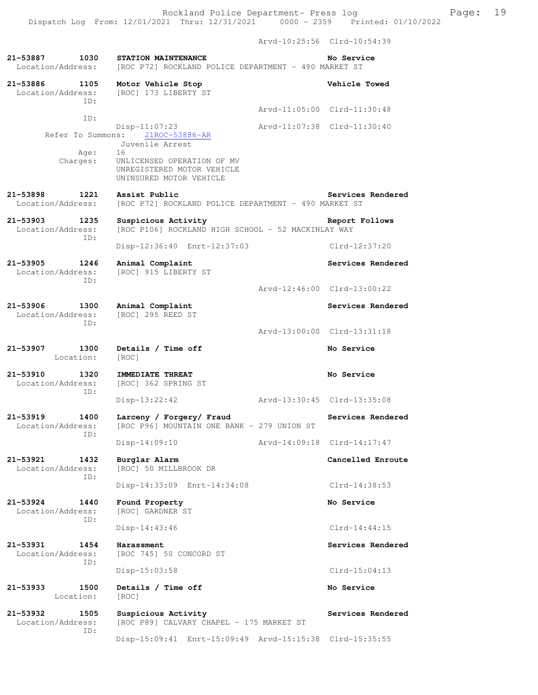Arvd-10:25:56 Clrd-10:54:39 **21-53887 1030 STATION MAINTENANCE No Service**  Location/Address: [ROC P72] ROCKLAND POLICE DEPARTMENT - 490 MARKET ST **21-53886 1105 Motor Vehicle Stop Vehicle Towed**  Location/Address: [ROC] 173 LIBERTY ST ID: Arvd-11:05:00 Clrd-11:30:48 ID: Disp-11:07:23 Arvd-11:07:38 Clrd-11:30:40 Refer To Summons: 21ROC-53886-AR Juvenile Arrest Age: 16 Charges: UNLICENSED OPERATION OF MV UNREGISTERED MOTOR VEHICLE UNINSURED MOTOR VEHICLE 21-53898 1221 Assist Public **Services Rendered** Location/Address: [ROC P72] ROCKLAND POLICE DEPARTMENT - 490 MARKET ST [ROC P72] ROCKLAND POLICE DEPARTMENT - 490 MARKET ST **21-53903 1235 Suspicious Activity Report Follows**  Location/Address: [ROC P106] ROCKLAND HIGH SCHOOL - 52 MACKINLAY WAY ID: Disp-12:36:40 Enrt-12:37:03 Clrd-12:37:20 **21-53905 1246 Animal Complaint Services Rendered**  Location/Address: [ROC] 915 LIBERTY ST ID: Arvd-12:46:00 Clrd-13:00:22 **21-53906 1300 Animal Complaint Services Rendered**  Location/Address: [ROC] 295 REED ST ID: Arvd-13:00:00 Clrd-13:31:18 **21-53907 1300 Details / Time off No Service**  Location: [ROC] **21-53910 1320 IMMEDIATE THREAT No Service**  Location/Address: [ROC] 362 SPRING ST ID: Disp-13:22:42 Arvd-13:30:45 Clrd-13:35:08 **21-53919 1400 Larceny / Forgery/ Fraud Services Rendered**  Location/Address: [ROC P96] MOUNTAIN ONE BANK - 279 UNION ST ID: Disp-14:09:10 Arvd-14:09:18 Clrd-14:17:47 **21-53921 1432 Burglar Alarm Cancelled Enroute**  Location/Address: [ROC] 50 MILLBROOK DR ID: Disp-14:33:09 Enrt-14:34:08 Clrd-14:38:53 **21-53924 1440 Found Property No Service**  [ROC] GARDNER ST ID: Disp-14:43:46 Clrd-14:44:15 **21-53931 1454 Harassment Services Rendered**  Location/Address: [ROC 745] 50 CONCORD ST ID: Disp-15:03:58 Clrd-15:04:13 **21-53933 1500 Details / Time off No Service**  Location: [ROC] **21-53932 1505 Suspicious Activity Services Rendered**  [ROC P89] CALVARY CHAPEL - 175 MARKET ST ID:

Disp-15:09:41 Enrt-15:09:49 Arvd-15:15:38 Clrd-15:35:55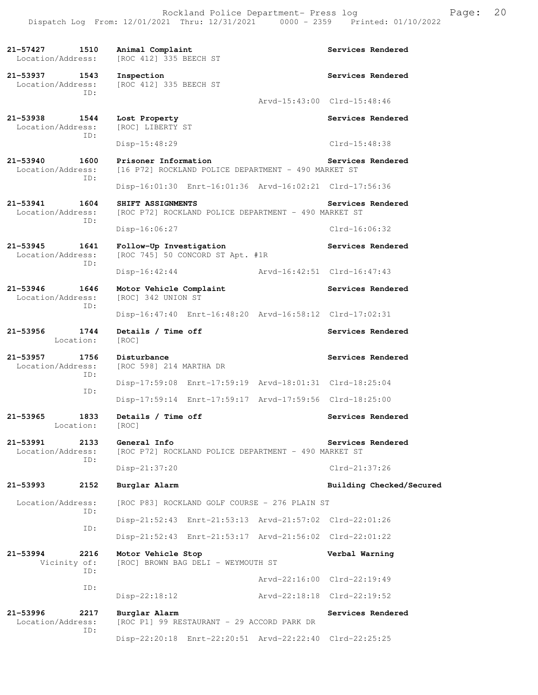**21-57427 1510 Animal Complaint Services Rendered**  Location/Address: [ROC 412] 335 BEECH ST **21-53937 1543 Inspection 1543 Inspection Services Rendered Inspection Services Rendered** [ROC 412] 335 BEECH ST ID: Arvd-15:43:00 Clrd-15:48:46 **21-53938 1544 Lost Property Services Rendered**  Location/Address: [ROC] LIBERTY ST ID: Disp-15:48:29 Clrd-15:48:38 **21-53940 1600 Prisoner Information Services Rendered**  Location/Address: [16 P72] ROCKLAND POLICE DEPARTMENT - 490 MARKET ST ID: Disp-16:01:30 Enrt-16:01:36 Arvd-16:02:21 Clrd-17:56:36 **21-53941 1604 SHIFT ASSIGNMENTS Services Rendered**  Location/Address: [ROC P72] ROCKLAND POLICE DEPARTMENT - 490 MARKET ST ID: Disp-16:06:27 Clrd-16:06:32 **21-53945 1641 Follow-Up Investigation Services Rendered**   $[ROC 745] 50 CONCORD ST Apt. #1R$  ID: Disp-16:42:44 Arvd-16:42:51 Clrd-16:47:43 **21-53946 1646 Motor Vehicle Complaint Services Rendered**  Location/Address: [ROC] 342 UNION ST ID: Disp-16:47:40 Enrt-16:48:20 Arvd-16:58:12 Clrd-17:02:31 21-53956 1744 Details / Time off **Services Rendered**  Location: [ROC] 21-53957 1756 Disturbance<br>
Location/Address: [ROC 598] 214 MARTHA DR<br> **Example 214 MARTHA DR** [ROC 598] 214 MARTHA DR ID: Disp-17:59:08 Enrt-17:59:19 Arvd-18:01:31 Clrd-18:25:04 ID: Disp-17:59:14 Enrt-17:59:17 Arvd-17:59:56 Clrd-18:25:00 21-53965 1833 Details / Time off Services Rendered Location: [ROC] **21-53991 2133 General Info Services Rendered**  Location/Address: [ROC P72] ROCKLAND POLICE DEPARTMENT - 490 MARKET ST ID: Disp-21:37:20 Clrd-21:37:26 **21-53993 2152 Burglar Alarm Building Checked/Secured**  Location/Address: [ROC P83] ROCKLAND GOLF COURSE - 276 PLAIN ST ID: Disp-21:52:43 Enrt-21:53:13 Arvd-21:57:02 Clrd-22:01:26 ID: Disp-21:52:43 Enrt-21:53:17 Arvd-21:56:02 Clrd-22:01:22 **21-53994 2216 Motor Vehicle Stop Verbal Warning**  Vicinity of: [ROC] BROWN BAG DELI - WEYMOUTH ST ID: Arvd-22:16:00 Clrd-22:19:49 ID: Disp-22:18:12 Arvd-22:18:18 Clrd-22:19:52 **21-53996 2217 Burglar Alarm Services Rendered**  Location/Address: [ROC P1] 99 RESTAURANT - 29 ACCORD PARK DR ID: Disp-22:20:18 Enrt-22:20:51 Arvd-22:22:40 Clrd-22:25:25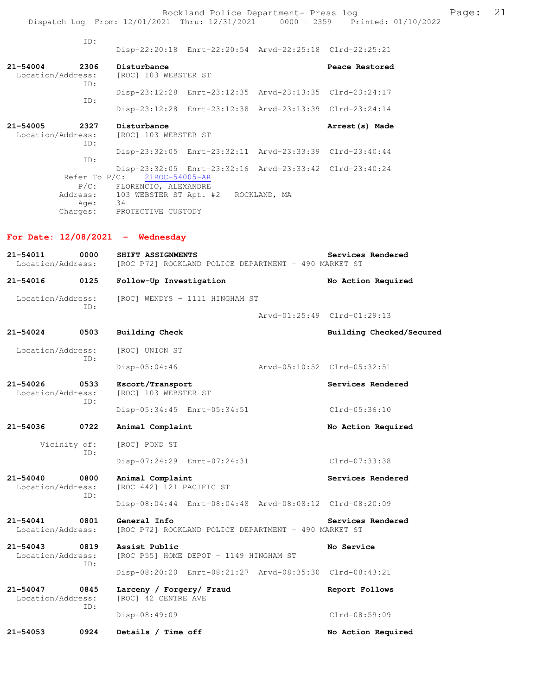Rockland Police Department- Press log entitled and Page: 21 Dispatch Log From: 12/01/2021 Thru: 12/31/2021 0000 - 2359 Printed: 01/10/2022

| TD:                                              | Disp-22:20:18 Enrt-22:20:54 Arvd-22:25:18 Clrd-22:25:21                                                  |                   |
|--------------------------------------------------|----------------------------------------------------------------------------------------------------------|-------------------|
| 2306<br>$21 - 54004$<br>ID:                      | Disturbance<br>Location/Address: [ROC] 103 WEBSTER ST                                                    | Peace Restored    |
| TD:                                              | Disp-23:12:28 Enrt-23:12:35 Arvd-23:13:35 Clrd-23:24:17                                                  |                   |
|                                                  | Disp-23:12:28 Enrt-23:12:38 Arvd-23:13:39 Clrd-23:24:14                                                  |                   |
| $21 - 54005$<br>2327<br>Location/Address:<br>TD: | Disturbance<br>[ROC] 103 WEBSTER ST                                                                      | Arrest (s) Made   |
| TD:                                              | Disp-23:32:05 Enrt-23:32:11 Arvd-23:33:39 Clrd-23:40:44                                                  |                   |
| Refer To P/C:                                    | Disp-23:32:05 Enrt-23:32:16 Arvd-23:33:42 Clrd-23:40:24<br>21ROC-54005-AR                                |                   |
| Age: 34                                          | P/C: FLORENCIO, ALEXANDRE<br>Address: 103 WEBSTER ST Apt. #2 ROCKLAND, MA<br>Charges: PROTECTIVE CUSTODY |                   |
| For Date: $12/08/2021$ - Wednesday               |                                                                                                          |                   |
| $21 - 54011$                                     | 0000 SHIFT ASSIGNMENTS<br>Location/Address: [ROC P72] ROCKLAND POLICE DEPARTMENT - 490 MARKET ST         | Services Rendered |

| 21-54016                              | 0125 | Follow-Up Investigation                                              | No Action Required          |
|---------------------------------------|------|----------------------------------------------------------------------|-----------------------------|
| Location/Address:                     |      | [ROC] WENDYS - 1111 HINGHAM ST                                       |                             |
|                                       | TD:  |                                                                      | Arvd-01:25:49 Clrd-01:29:13 |
| 21-54024                              | 0503 | <b>Building Check</b>                                                | Building Checked/Secured    |
| Location/Address:                     |      | [ROC] UNION ST                                                       |                             |
|                                       | TD:  | Disp-05:04:46<br>Arvd-05:10:52 Clrd-05:32:51                         |                             |
| 21-54026<br>0533<br>Location/Address: |      | Escort/Transport<br>[ROC] 103 WEBSTER ST                             | Services Rendered           |
|                                       | TD:  | Disp-05:34:45 Enrt-05:34:51                                          | Clrd-05:36:10               |
| 21-54036                              | 0722 | Animal Complaint                                                     | No Action Required          |
| Vicinity of:                          |      | [ROC] POND ST                                                        |                             |
|                                       | TD:  | Disp-07:24:29 Enrt-07:24:31                                          | Clrd-07:33:38               |
| 21-54040<br>Location/Address:         | 0800 | Animal Complaint<br>[ROC 442] 121 PACIFIC ST                         | Services Rendered           |
|                                       | TD:  | Disp-08:04:44 Enrt-08:04:48 Arvd-08:08:12 Clrd-08:20:09              |                             |
| 21-54041<br>Location/Address:         | 0801 | General Info<br>[ROC P72] ROCKLAND POLICE DEPARTMENT - 490 MARKET ST | Services Rendered           |
| 21-54043<br>Location/Address:         | 0819 | Assist Public<br>[ROC P55] HOME DEPOT - 1149 HINGHAM ST              | No Service                  |
|                                       | ID:  | Disp-08:20:20 Enrt-08:21:27 Arvd-08:35:30 Clrd-08:43:21              |                             |
| 21-54047<br>Location/Address:         | 0845 | Larceny / Forgery/ Fraud<br>[ROC] 42 CENTRE AVE                      | Report Follows              |
|                                       | TD:  | Disp-08:49:09                                                        | Clrd-08:59:09               |

21-54053 0924 Details / Time off **No Action Required**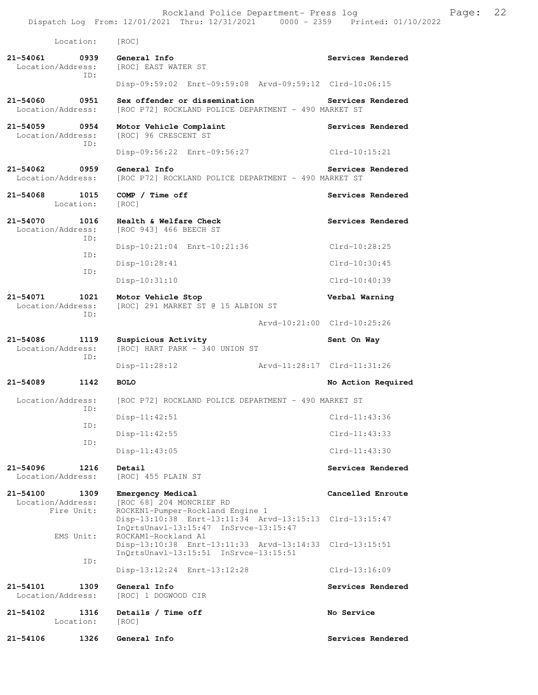Location: [ROC]

**21-54061 0939 General Info Services Rendered Location/Address:** [ROC] EAST WATER ST [ROC] EAST WATER ST ID: Disp-09:59:02 Enrt-09:59:08 Arvd-09:59:12 Clrd-10:06:15

### **21-54060 0951 Sex offender or dissemination Services Rendered**  Location/Address: [ROC P72] ROCKLAND POLICE DEPARTMENT - 490 MARKET ST

21-54059 0954 Motor Vehicle Complaint **Services Rendered** Location/Address: [ROC] 96 CRESCENT ST [ROC] 96 CRESCENT ST ID:

Disp-09:56:22 Enrt-09:56:27 Clrd-10:15:21

## 21-54062 0959 General Info<br>
Location/Address: [ROC P72] ROCKLAND POLICE DEPARTMENT - 490 MARKET ST [ROC P72] ROCKLAND POLICE DEPARTMENT - 490 MARKET ST

Disp-13:10:38 Enrt-13:11:34 Arvd-13:15:13 Clrd-13:15:47

Disp-13:10:38 Enrt-13:11:33 Arvd-13:14:33 Clrd-13:15:51

**21-54068 1015 COMP / Time off Services Rendered**  Location: [ROC]

#### **21-54070 1016 Health & Welfare Check Services Rendered**  Location/Address: [ROC 943] 466 BEECH ST ID: Disp-10:21:04 Enrt-10:21:36 Clrd-10:28:25 ID:

 Disp-10:28:41 Clrd-10:30:45 ID: Disp-10:31:10 Clrd-10:40:39

**21-54071 1021 Motor Vehicle Stop Verbal Warning**  ID:

Arvd-10:21:00 Clrd-10:25:26

ID:

 $[ROC]$  HART PARK - 340 UNION ST Disp-11:28:12 Arvd-11:28:17 Clrd-11:31:26

[ROC] 291 MARKET ST @ 15 ALBION ST

**21-54089 1142 BOLO No Action Required** 

Location/Address: [ROC P72] ROCKLAND POLICE DEPARTMENT - 490 MARKET ST ID: ID:

ID:

Location/Address: [ROC] 455 PLAIN ST

 Location/Address: [ROC 68] 204 MONCRIEF RD Fire Unit: ROCKEN1-Pumper-Rockland Engine 1

InQrtsUnavl-13:15:47 InSrvce-13:15:47<br>EMS Unit: ROCKAM1-Rockland A1

 InQrtsUnavl-13:15:51 InSrvce-13:15:51 ID: Disp-13:12:24 Enrt-13:12:28 Clrd-13:16:09

ROCKAM1-Rockland A1

**21-54101 1309 General Info Services Rendered**  Location/Address: [ROC] 1 DOGWOOD CIR

**21-54102 1316 Details / Time off No Service No Service Integral** Location:

**21-54106 1326 General Info Services Rendered** 

**21-54086 1119 Suspicious Activity 61-54086 1119 Sent On Way**<br>
Location/Address: [ROC] HART PARK - 340 UNION ST

 Disp-11:42:51 Clrd-11:43:36 Disp-11:42:55 Clrd-11:43:33

Disp-11:43:05 Clrd-11:43:30

# **21-54096 1216 Detail Services Rendered**

**21-54100 1309 Emergency Medical Cancelled Enroute**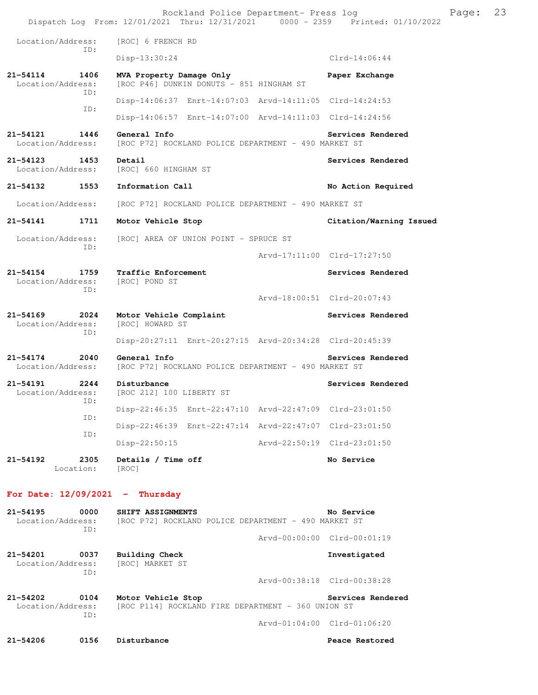|                                   |                   | Rockland Police Department- Press log<br>Dispatch Log From: 12/01/2021 Thru: 12/31/2021 0000 - 2359 Printed: 01/10/2022 |                             |                             | Page: | 23 |
|-----------------------------------|-------------------|-------------------------------------------------------------------------------------------------------------------------|-----------------------------|-----------------------------|-------|----|
| Location/Address:                 |                   | [ROC] 6 FRENCH RD                                                                                                       |                             |                             |       |    |
|                                   | ID:               | Disp-13:30:24                                                                                                           |                             | $Clrd-14:06:44$             |       |    |
| 21-54114<br>Location/Address:     | 1406              | MVA Property Damage Only<br>[ROC P46] DUNKIN DONUTS - 851 HINGHAM ST                                                    |                             | Paper Exchange              |       |    |
|                                   | ID:               | Disp-14:06:37 Enrt-14:07:03 Arvd-14:11:05 Clrd-14:24:53                                                                 |                             |                             |       |    |
|                                   | ID:               | Disp-14:06:57 Enrt-14:07:00 Arvd-14:11:03 Clrd-14:24:56                                                                 |                             |                             |       |    |
| 21-54121<br>Location/Address:     | 1446              | General Info<br>[ROC P72] ROCKLAND POLICE DEPARTMENT - 490 MARKET ST                                                    |                             | Services Rendered           |       |    |
| 21-54123<br>Location/Address:     | 1453              | Detail<br>[ROC] 660 HINGHAM ST                                                                                          |                             | Services Rendered           |       |    |
| 21-54132                          | 1553              | Information Call                                                                                                        |                             | No Action Required          |       |    |
| Location/Address:                 |                   | [ROC P72] ROCKLAND POLICE DEPARTMENT - 490 MARKET ST                                                                    |                             |                             |       |    |
| 21-54141                          | 1711              | Motor Vehicle Stop                                                                                                      |                             | Citation/Warning Issued     |       |    |
| Location/Address:                 | ID:               | [ROC] AREA OF UNION POINT - SPRUCE ST                                                                                   |                             |                             |       |    |
|                                   |                   |                                                                                                                         |                             | Arvd-17:11:00 Clrd-17:27:50 |       |    |
| 21-54154<br>Location/Address:     | 1759<br>ID:       | Traffic Enforcement<br>[ROC] POND ST                                                                                    |                             | Services Rendered           |       |    |
|                                   |                   |                                                                                                                         |                             | Arvd-18:00:51 Clrd-20:07:43 |       |    |
| 21-54169<br>Location/Address:     | 2024<br>ID:       | Motor Vehicle Complaint<br>[ROC] HOWARD ST                                                                              |                             | Services Rendered           |       |    |
|                                   |                   | Disp-20:27:11 Enrt-20:27:15 Arvd-20:34:28 Clrd-20:45:39                                                                 |                             |                             |       |    |
| $21 - 54174$<br>Location/Address: | 2040              | General Info<br>[ROC P72] ROCKLAND POLICE DEPARTMENT - 490 MARKET ST                                                    |                             | Services Rendered           |       |    |
| 21-54191<br>Location/Address:     | 2244<br>ID:       | Disturbance<br>[ROC 212] 100 LIBERTY ST                                                                                 |                             | Services Rendered           |       |    |
|                                   | ID:               | Disp-22:46:35 Enrt-22:47:10 Arvd-22:47:09 Clrd-23:01:50                                                                 |                             |                             |       |    |
|                                   | ID:               | Disp-22:46:39 Enrt-22:47:14 Arvd-22:47:07 Clrd-23:01:50                                                                 |                             |                             |       |    |
|                                   |                   | Disp-22:50:15                                                                                                           | Arvd-22:50:19 Clrd-23:01:50 |                             |       |    |
| 21-54192                          | 2305<br>Location: | Details / Time off<br>[ROC]                                                                                             |                             | No Service                  |       |    |
|                                   |                   | For Date: $12/09/2021$ - Thursday                                                                                       |                             |                             |       |    |
| $21 - 54195$<br>Location/Address: | 0000<br>ID:       | SHIFT ASSIGNMENTS<br>[ROC P72] ROCKLAND POLICE DEPARTMENT - 490 MARKET ST                                               |                             | No Service                  |       |    |
|                                   |                   |                                                                                                                         |                             | Arvd-00:00:00 Clrd-00:01:19 |       |    |
| 21-54201<br>Location/Address:     | 0037<br>ID:       | Building Check<br>[ROC] MARKET ST                                                                                       |                             | Investigated                |       |    |
|                                   |                   |                                                                                                                         |                             | Arvd-00:38:18 Clrd-00:38:28 |       |    |
| $21 - 54202$<br>Location/Address: | 0104<br>ID:       | Motor Vehicle Stop<br>[ROC P114] ROCKLAND FIRE DEPARTMENT - 360 UNION ST                                                |                             | Services Rendered           |       |    |
|                                   |                   |                                                                                                                         |                             | Arvd-01:04:00 Clrd-01:06:20 |       |    |
| $21 - 54206$                      | 0156              | Disturbance                                                                                                             |                             | Peace Restored              |       |    |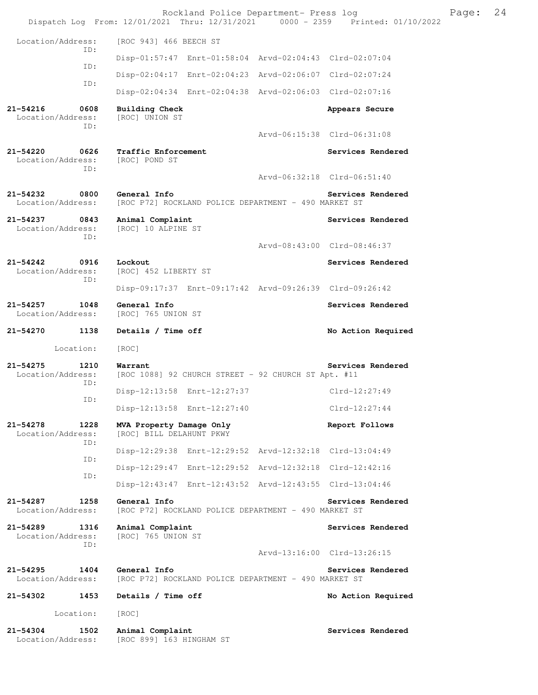|                                              |                                                                      | Rockland Police Department- Press log<br>Dispatch Log From: 12/01/2021 Thru: 12/31/2021 0000 - 2359 Printed: 01/10/2022 | Page: | 24 |
|----------------------------------------------|----------------------------------------------------------------------|-------------------------------------------------------------------------------------------------------------------------|-------|----|
| Location/Address:                            | [ROC 943] 466 BEECH ST                                               |                                                                                                                         |       |    |
| ID:                                          |                                                                      | Disp-01:57:47 Enrt-01:58:04 Arvd-02:04:43 Clrd-02:07:04                                                                 |       |    |
| ID:                                          |                                                                      | Disp-02:04:17 Enrt-02:04:23 Arvd-02:06:07 Clrd-02:07:24                                                                 |       |    |
| ID:                                          |                                                                      | Disp-02:04:34 Enrt-02:04:38 Arvd-02:06:03 Clrd-02:07:16                                                                 |       |    |
| 21-54216<br>0608<br>Location/Address:<br>ID: | <b>Building Check</b><br>[ROC] UNION ST                              | Appears Secure                                                                                                          |       |    |
|                                              |                                                                      | Arvd-06:15:38 Clrd-06:31:08                                                                                             |       |    |
| 21-54220<br>0626<br>Location/Address:<br>ID: | Traffic Enforcement<br>[ROC] POND ST                                 | Services Rendered                                                                                                       |       |    |
|                                              |                                                                      | Arvd-06:32:18 Clrd-06:51:40                                                                                             |       |    |
| 21-54232<br>0800<br>Location/Address:        | General Info<br>[ROC P72] ROCKLAND POLICE DEPARTMENT - 490 MARKET ST | Services Rendered                                                                                                       |       |    |
| 21-54237 0843<br>Location/Address:<br>ID:    | Animal Complaint<br>[ROC] 10 ALPINE ST                               | Services Rendered                                                                                                       |       |    |
|                                              |                                                                      | Arvd-08:43:00 Clrd-08:46:37                                                                                             |       |    |
| 21-54242<br>0916<br>Location/Address:<br>ID: | Lockout<br>[ROC] 452 LIBERTY ST                                      | Services Rendered                                                                                                       |       |    |
|                                              |                                                                      | Disp-09:17:37 Enrt-09:17:42 Arvd-09:26:39 Clrd-09:26:42                                                                 |       |    |
| 21–54257<br>1048<br>Location/Address:        | General Info<br>[ROC] 765 UNION ST                                   | Services Rendered                                                                                                       |       |    |
| 1138<br>21-54270                             | Details / Time off                                                   | No Action Required                                                                                                      |       |    |
| Location:                                    | [ROC]                                                                |                                                                                                                         |       |    |
| 21–54275<br>1210<br>Location/Address:<br>ID: | Warrant<br>[ROC 1088] 92 CHURCH STREET - 92 CHURCH ST Apt. #11       | Services Rendered                                                                                                       |       |    |
| ID:                                          | Disp-12:13:58 Enrt-12:27:37                                          | $Clrd-12:27:49$                                                                                                         |       |    |
|                                              | Disp-12:13:58 Enrt-12:27:40                                          | $Clrd-12:27:44$                                                                                                         |       |    |
| 21-54278<br>1228<br>Location/Address:<br>ID: | MVA Property Damage Only<br>[ROC] BILL DELAHUNT PKWY                 | Report Follows                                                                                                          |       |    |
| ID:                                          |                                                                      | Disp-12:29:38 Enrt-12:29:52 Arvd-12:32:18 Clrd-13:04:49                                                                 |       |    |
| ID:                                          |                                                                      | Disp-12:29:47 Enrt-12:29:52 Arvd-12:32:18 Clrd-12:42:16                                                                 |       |    |
|                                              |                                                                      | Disp-12:43:47 Enrt-12:43:52 Arvd-12:43:55 Clrd-13:04:46                                                                 |       |    |
| 21-54287<br>1258<br>Location/Address:        | General Info<br>[ROC P72] ROCKLAND POLICE DEPARTMENT - 490 MARKET ST | Services Rendered                                                                                                       |       |    |
| 21-54289<br>1316<br>Location/Address:<br>ID: | Animal Complaint<br>[ROC] 765 UNION ST                               | Services Rendered                                                                                                       |       |    |
|                                              |                                                                      | Arvd-13:16:00 Clrd-13:26:15                                                                                             |       |    |
| 21-54295<br>1404<br>Location/Address:        | General Info<br>[ROC P72] ROCKLAND POLICE DEPARTMENT - 490 MARKET ST | Services Rendered                                                                                                       |       |    |
| 1453<br>21-54302                             | Details / Time off                                                   | No Action Required                                                                                                      |       |    |
| Location:                                    | [ROC]                                                                |                                                                                                                         |       |    |
| 21-54304<br>1502<br>Location/Address:        | Animal Complaint<br>[ROC 899] 163 HINGHAM ST                         | Services Rendered                                                                                                       |       |    |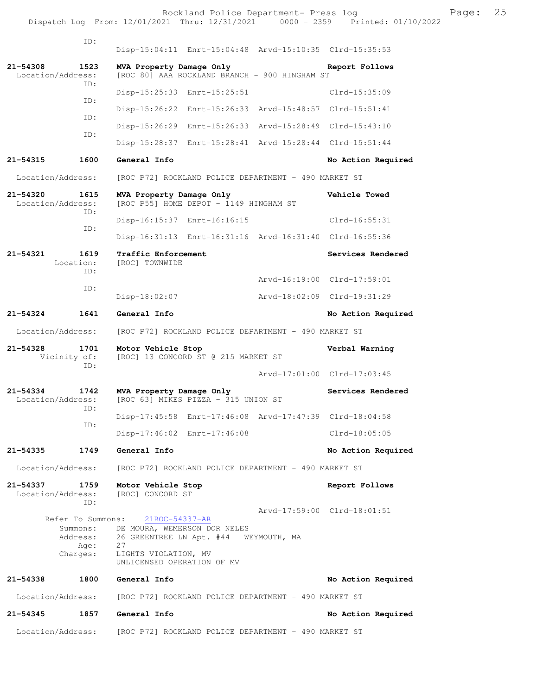Rockland Police Department- Press log Page: 25 Dispatch Log From: 12/01/2021 Thru: 12/31/2021 0000 - 2359 Printed: 01/10/2022

 ID: Disp-15:04:11 Enrt-15:04:48 Arvd-15:10:35 Clrd-15:35:53 **21-54308 1523 MVA Property Damage Only Report Follows**  Location/Address: [ROC 80] AAA ROCKLAND BRANCH - 900 HINGHAM ST ID: Disp-15:25:33 Enrt-15:25:51 Clrd-15:35:09 ID: Disp-15:26:22 Enrt-15:26:33 Arvd-15:48:57 Clrd-15:51:41 ID: Disp-15:26:29 Enrt-15:26:33 Arvd-15:28:49 Clrd-15:43:10 ID: Disp-15:28:37 Enrt-15:28:41 Arvd-15:28:44 Clrd-15:51:44 **21-54315 1600 General Info No Action Required**  Location/Address: [ROC P72] ROCKLAND POLICE DEPARTMENT - 490 MARKET ST **21-54320 1615 MVA Property Damage Only Vehicle Towed**  Location/Address: [ROC P55] HOME DEPOT - 1149 HINGHAM ST ID: Disp-16:15:37 Enrt-16:16:15 Clrd-16:55:31 ID: Disp-16:31:13 Enrt-16:31:16 Arvd-16:31:40 Clrd-16:55:36 **21-54321 1619 Traffic Enforcement Services Rendered**  Location: [ROC] TOWNWIDE ID: Arvd-16:19:00 Clrd-17:59:01 ID: Disp-18:02:07 Arvd-18:02:09 Clrd-19:31:29 **21-54324 1641 General Info No Action Required**  Location/Address: [ROC P72] ROCKLAND POLICE DEPARTMENT - 490 MARKET ST **21-54328 1701 Motor Vehicle Stop Werbal Warning**<br>Vicinity of: [ROC] 13 CONCORD ST @ 215 MARKET ST [ROC] 13 CONCORD ST @ 215 MARKET ST ID: Arvd-17:01:00 Clrd-17:03:45 **21-54334 1742 MVA Property Damage Only Services Rendered** Location/Address: [ROC 63] MIKES PIZZA - 315 UNION ST [ROC 63] MIKES PIZZA - 315 UNION ST ID: Disp-17:45:58 Enrt-17:46:08 Arvd-17:47:39 Clrd-18:04:58 ID: Disp-17:46:02 Enrt-17:46:08 Clrd-18:05:05 **21-54335 1749 General Info No Action Required**  Location/Address: [ROC P72] ROCKLAND POLICE DEPARTMENT - 490 MARKET ST **21-54337 1759 Motor Vehicle Stop Report Follows**  Location/Address: [ROC] CONCORD ST ID: Arvd-17:59:00 Clrd-18:01:51 Refer To Summons: Summons: DE MOURA, WEMERSON DOR NELES Address: 26 GREENTREE LN Apt. #44 WEYMOUTH, MA Age: Charges: LIGHTS VIOLATION, MV UNLICENSED OPERATION OF MV **21-54338 1800 General Info No Action Required**  Location/Address: [ROC P72] ROCKLAND POLICE DEPARTMENT - 490 MARKET ST **21-54345 1857 General Info No Action Required**  Location/Address: [ROC P72] ROCKLAND POLICE DEPARTMENT - 490 MARKET ST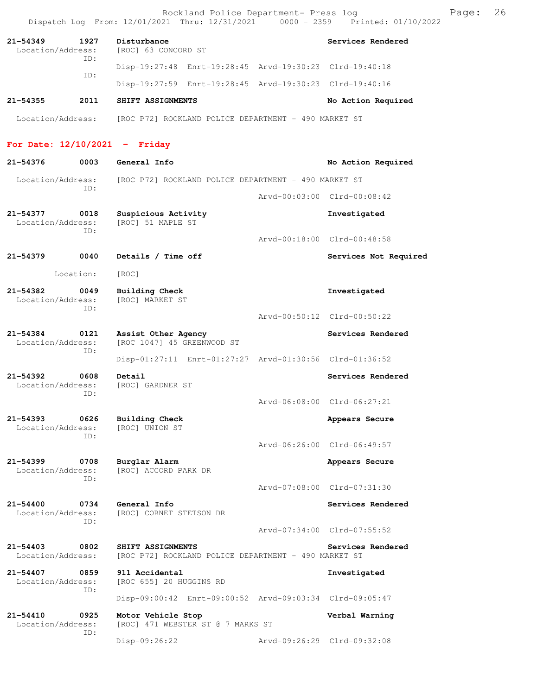Dispatch Log From: 12/01/2021 Thru: 12/31/2021 0000 - 2359 Printed: 01/10/2022 **21-54349 1927 Disturbance Services Rendered**  Location/Address: [ROC] 63 CONCORD ST ID: Disp-19:27:48 Enrt-19:28:45 Arvd-19:30:23 Clrd-19:40:18 ID: Disp-19:27:59 Enrt-19:28:45 Arvd-19:30:23 Clrd-19:40:16 **21-54355 2011 SHIFT ASSIGNMENTS No Action Required**  Location/Address: [ROC P72] ROCKLAND POLICE DEPARTMENT - 490 MARKET ST **For Date: 12/10/2021 - Friday 21-54376 0003 General Info No Action Required**  Location/Address: [ROC P72] ROCKLAND POLICE DEPARTMENT - 490 MARKET ST ID: Arvd-00:03:00 Clrd-00:08:42 **21-54377 0018 Suspicious Activity Investigated**  [ROC] 51 MAPLE ST ID: Arvd-00:18:00 Clrd-00:48:58 **21-54379 0040 Details / Time off Services Not Required**  Location: [ROC] **21-54382 0049 Building Check Investigated**  Location/Address: ID: Arvd-00:50:12 Clrd-00:50:22 **21-54384 0121 Assist Other Agency Services Rendered**  Location/Address: [ROC 1047] 45 GREENWOOD ST ID: Disp-01:27:11 Enrt-01:27:27 Arvd-01:30:56 Clrd-01:36:52 **21-54392 0608 Detail Services Rendered Services Rendered Services Rendered** Location/Address: ID: Arvd-06:08:00 Clrd-06:27:21 **21-54393 0626 Building Check Appears Secure**  Location/Address: [ROC] UNION ST ID: Arvd-06:26:00 Clrd-06:49:57 **21-54399 0708 Burglar Alarm Appears Secure**  Location/Address: [ROC] ACCORD PARK DR ID: Arvd-07:08:00 Clrd-07:31:30 **21-54400 0734 General Info Services Rendered**  Location/Address: [ROC] CORNET STETSON DR ID: Arvd-07:34:00 Clrd-07:55:52 **21-54403 0802 SHIFT ASSIGNMENTS Services Rendered**  Location/Address: [ROC P72] ROCKLAND POLICE DEPARTMENT - 490 MARKET ST **21-54407 0859 911 Accidental Investigated**  Location/Address: [ROC 655] 20 HUGGINS RD ID: Disp-09:00:42 Enrt-09:00:52 Arvd-09:03:34 Clrd-09:05:47 **21-54410 0925 Motor Vehicle Stop Verbal Warning**  Location/Address: [ROC] 471 WEBSTER ST @ 7 MARKS ST ID: Disp-09:26:22 Arvd-09:26:29 Clrd-09:32:08

Rockland Police Department- Press log Freed Page: 26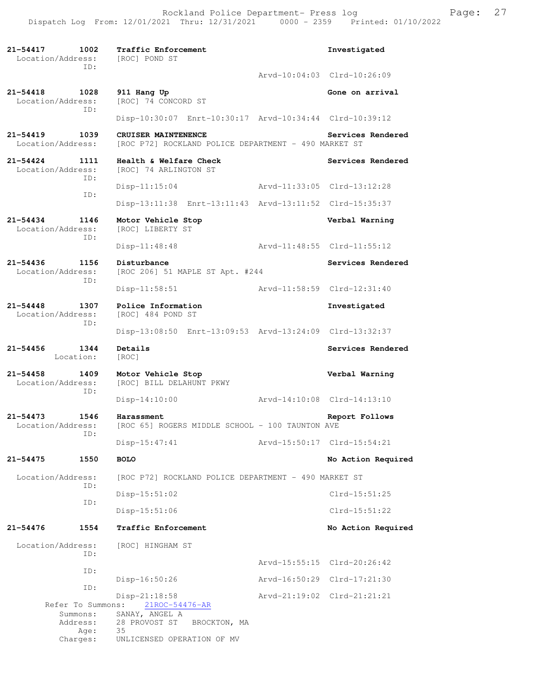**21-54417 1002 Traffic Enforcement Investigated**  Location/Address: [ROC] POND ST ID: Arvd-10:04:03 Clrd-10:26:09 **21-54418 1028 911 Hang Up Gone on arrival Gone on arrival** Location/Address: ID: Disp-10:30:07 Enrt-10:30:17 Arvd-10:34:44 Clrd-10:39:12 21-54419 1039 CRUISER MAINTENENCE **Services Rendered Services Rendered Location/Address:** [ROC P72] ROCKLAND POLICE DEPARTMENT - 490 MARKET ST [ROC P72] ROCKLAND POLICE DEPARTMENT - 490 MARKET ST **21-54424 1111 Health & Welfare Check Services Rendered** Location/Address: [ROC] 74 ARLINGTON ST [ROC] 74 ARLINGTON ST ID: Disp-11:15:04 Arvd-11:33:05 Clrd-13:12:28 ID: Disp-13:11:38 Enrt-13:11:43 Arvd-13:11:52 Clrd-15:35:37 **21-54434 1146 Motor Vehicle Stop Verbal Warning**  Location/Address: [ROC] LIBERTY ST ID: Disp-11:48:48 Arvd-11:48:55 Clrd-11:55:12 **21-54436 1156 Disturbance Services Rendered**  Location/Address: [ROC 206] 51 MAPLE ST Apt. #244 ID: Disp-11:58:51 Arvd-11:58:59 Clrd-12:31:40 **21-54448 1307 Police Information Investigated**  Location/Address: ID: Disp-13:08:50 Enrt-13:09:53 Arvd-13:24:09 Clrd-13:32:37 **21-54456 1344 Details Services Rendered**  Location: **21-54458 1409 Motor Vehicle Stop Verbal Warning**  Location/Address: [ROC] BILL DELAHUNT PKWY ID: Disp-14:10:00 Arvd-14:10:08 Clrd-14:13:10 **21-54473 1546 Harassment Report Follows**  Location/Address: [ROC 65] ROGERS MIDDLE SCHOOL - 100 TAUNTON AVE ID: Disp-15:47:41 Arvd-15:50:17 Clrd-15:54:21 **21-54475 1550 BOLO No Action Required**  Location/Address: [ROC P72] ROCKLAND POLICE DEPARTMENT - 490 MARKET ST ID: Disp-15:51:02 Clrd-15:51:25 ID: Disp-15:51:06 Clrd-15:51:22 **21-54476 1554 Traffic Enforcement No Action Required**  Location/Address: [ROC] HINGHAM ST ID: Arvd-15:55:15 Clrd-20:26:42 ID: Disp-16:50:26 Arvd-16:50:29 Clrd-17:21:30 ID: Disp-21:18:58 Arvd-21:19:02 Clrd-21:21:21 Refer To Summons: Summons: SANAY, ANGEL A Address: 28 PROVOST ST BROCKTON, MA Age: 35 Charges: UNLICENSED OPERATION OF MV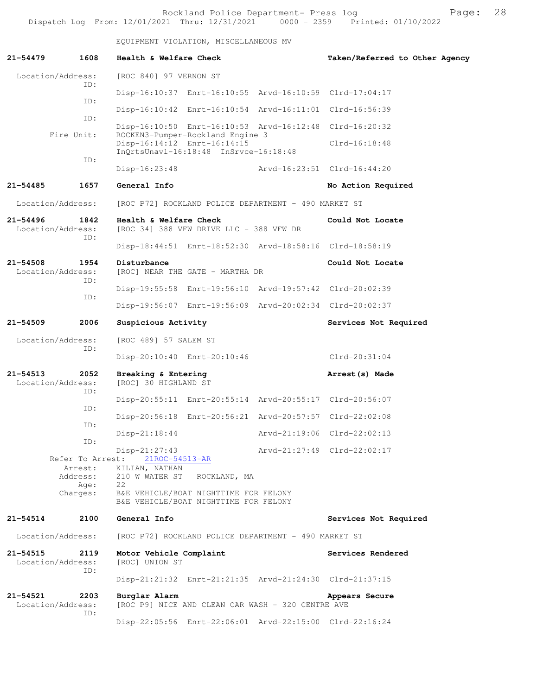Rockland Police Department- Press log entitled and Page: 28 Dispatch Log From: 12/01/2021 Thru: 12/31/2021 0000 - 2359 Printed: 01/10/2022

EQUIPMENT VIOLATION, MISCELLANEOUS MV

| 21-54479                          | 1608                    | Health & Welfare Check                                                                                   | Taken/Referred to Other Agency |
|-----------------------------------|-------------------------|----------------------------------------------------------------------------------------------------------|--------------------------------|
| Location/Address:                 |                         | [ROC 840] 97 VERNON ST                                                                                   |                                |
|                                   | ID:                     | Disp-16:10:37 Enrt-16:10:55 Arvd-16:10:59 Clrd-17:04:17                                                  |                                |
|                                   | ID:                     | Disp-16:10:42 Enrt-16:10:54 Arvd-16:11:01 Clrd-16:56:39                                                  |                                |
|                                   | ID:                     | Disp-16:10:50 Enrt-16:10:53 Arvd-16:12:48 Clrd-16:20:32                                                  |                                |
|                                   | Fire Unit:              | ROCKEN3-Pumper-Rockland Engine 3<br>Disp-16:14:12 Enrt-16:14:15<br>InQrtsUnavl-16:18:48 InSrvce-16:18:48 | $Clrd-16:18:48$                |
|                                   | ID:                     | $Disp-16:23:48$                                                                                          |                                |
| 21-54485                          | 1657                    | General Info                                                                                             | No Action Required             |
| Location/Address:                 |                         | [ROC P72] ROCKLAND POLICE DEPARTMENT - 490 MARKET ST                                                     |                                |
| $21 - 54496$<br>Location/Address: | 1842<br>ID:             | Health & Welfare Check<br>[ROC 34] 388 VFW DRIVE LLC - 388 VFW DR                                        | Could Not Locate               |
|                                   |                         | Disp-18:44:51 Enrt-18:52:30 Arvd-18:58:16 Clrd-18:58:19                                                  |                                |
| $21 - 54508$<br>Location/Address: | 1954                    | Disturbance<br>[ROC] NEAR THE GATE - MARTHA DR                                                           | Could Not Locate               |
|                                   | ID:                     | Disp-19:55:58 Enrt-19:56:10 Arvd-19:57:42 Clrd-20:02:39                                                  |                                |
|                                   | ID:                     | Disp-19:56:07 Enrt-19:56:09 Arvd-20:02:34 Clrd-20:02:37                                                  |                                |
| 21-54509                          | 2006                    | Suspicious Activity                                                                                      | Services Not Required          |
| Location/Address:                 | [ROC 489] 57 SALEM ST   |                                                                                                          |                                |
|                                   | ID:                     | Disp-20:10:40 Enrt-20:10:46                                                                              | Clrd-20:31:04                  |
| $21 - 54513$<br>Location/Address: | 2052<br>ID:             | Breaking & Entering<br>[ROC] 30 HIGHLAND ST                                                              | Arrest (s) Made                |
|                                   |                         | Disp-20:55:11 Enrt-20:55:14 Arvd-20:55:17 Clrd-20:56:07                                                  |                                |
|                                   | ID:                     | Disp-20:56:18 Enrt-20:56:21 Arvd-20:57:57 Clrd-22:02:08                                                  |                                |
|                                   | ID:                     | $Disp-21:18:44$                                                                                          | Arvd-21:19:06 Clrd-22:02:13    |
|                                   | ID:<br>Refer To Arrest: | Disp-21:27:43<br>21ROC-54513-AR                                                                          | Arvd-21:27:49 Clrd-22:02:17    |
|                                   | Arrest:<br>Address:     | KILIAN, NATHAN<br>210 W WATER ST<br>ROCKLAND, MA                                                         |                                |
|                                   | Age:<br>Charges:        | 22<br>B&E VEHICLE/BOAT NIGHTTIME FOR FELONY<br>B&E VEHICLE/BOAT NIGHTTIME FOR FELONY                     |                                |
| 21-54514                          | 2100                    | General Info                                                                                             | Services Not Required          |
| Location/Address:                 |                         | [ROC P72] ROCKLAND POLICE DEPARTMENT - 490 MARKET ST                                                     |                                |
| $21 - 54515$<br>Location/Address: | 2119<br>ID:             | Motor Vehicle Complaint<br>[ROC] UNION ST                                                                | Services Rendered              |
|                                   |                         | Disp-21:21:32 Enrt-21:21:35 Arvd-21:24:30 Clrd-21:37:15                                                  |                                |
| 21-54521<br>Location/Address:     | 2203                    | Burglar Alarm<br>[ROC P9] NICE AND CLEAN CAR WASH - 320 CENTRE AVE                                       | Appears Secure                 |
|                                   | ID:                     | Disp-22:05:56 Enrt-22:06:01 Arvd-22:15:00 Clrd-22:16:24                                                  |                                |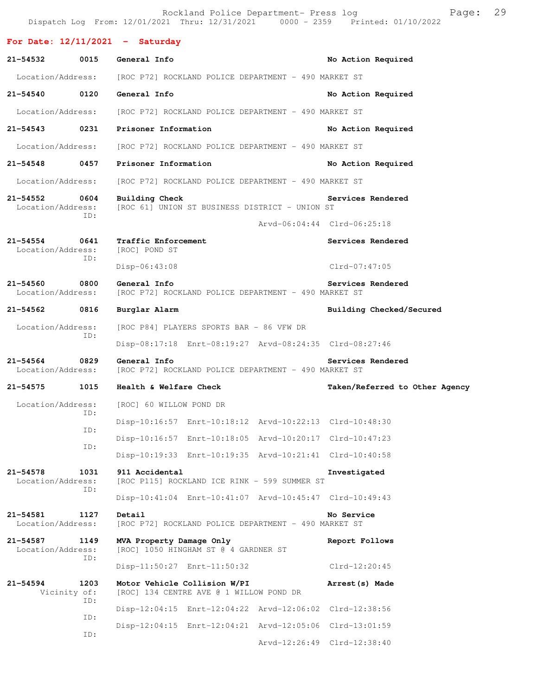|                                    |             |                                                                         | Rockland Police Department- Press log                   | Dispatch Log From: 12/01/2021 Thru: 12/31/2021 0000 - 2359 Printed: 01/10/2022 | 29<br>Page: |  |
|------------------------------------|-------------|-------------------------------------------------------------------------|---------------------------------------------------------|--------------------------------------------------------------------------------|-------------|--|
| For Date: $12/11/2021$ - Saturday  |             |                                                                         |                                                         |                                                                                |             |  |
| 21-54532                           | 0015        | General Info                                                            |                                                         | No Action Required                                                             |             |  |
| Location/Address:                  |             | [ROC P72] ROCKLAND POLICE DEPARTMENT - 490 MARKET ST                    |                                                         |                                                                                |             |  |
| 21-54540 0120                      |             | General Info                                                            |                                                         | No Action Required                                                             |             |  |
| Location/Address:                  |             | [ROC P72] ROCKLAND POLICE DEPARTMENT - 490 MARKET ST                    |                                                         |                                                                                |             |  |
| 21-54543 0231                      |             | Prisoner Information                                                    |                                                         | No Action Required                                                             |             |  |
| Location/Address:                  |             | [ROC P72] ROCKLAND POLICE DEPARTMENT - 490 MARKET ST                    |                                                         |                                                                                |             |  |
| 21-54548 0457                      |             | Prisoner Information                                                    |                                                         | No Action Required                                                             |             |  |
| Location/Address:                  |             | [ROC P72] ROCKLAND POLICE DEPARTMENT - 490 MARKET ST                    |                                                         |                                                                                |             |  |
| 21-54552 0604<br>Location/Address: | ID:         | Building Check<br>[ROC 61] UNION ST BUSINESS DISTRICT - UNION ST        |                                                         | Services Rendered                                                              |             |  |
|                                    |             |                                                                         |                                                         | Arvd-06:04:44 Clrd-06:25:18                                                    |             |  |
| $21 - 54554$<br>Location/Address:  | 0641<br>ID: | Traffic Enforcement<br>[ROC] POND ST                                    |                                                         | Services Rendered                                                              |             |  |
|                                    |             | $Disp-06:43:08$                                                         |                                                         | Clrd-07:47:05                                                                  |             |  |
| 21-54560 0800<br>Location/Address: |             | General Info                                                            | [ROC P72] ROCKLAND POLICE DEPARTMENT - 490 MARKET ST    | Services Rendered                                                              |             |  |
| 21-54562                           | 0816        | Burglar Alarm                                                           |                                                         | Building Checked/Secured                                                       |             |  |
| Location/Address:                  |             |                                                                         | [ROC P84] PLAYERS SPORTS BAR - 86 VFW DR                |                                                                                |             |  |
|                                    | ID:         |                                                                         | Disp-08:17:18 Enrt-08:19:27 Arvd-08:24:35 Clrd-08:27:46 |                                                                                |             |  |
| $21 - 54564$<br>Location/Address:  | 0829        | General Info<br>[ROC P72] ROCKLAND POLICE DEPARTMENT - 490 MARKET ST    |                                                         | Services Rendered                                                              |             |  |
| 21-54575                           | 1015        | Health & Welfare Check                                                  |                                                         | Taken/Referred to Other Agency                                                 |             |  |
| Location/Address:                  | ID:         | [ROC] 60 WILLOW POND DR                                                 |                                                         |                                                                                |             |  |
|                                    | ID:         |                                                                         | Disp-10:16:57 Enrt-10:18:12 Arvd-10:22:13 Clrd-10:48:30 |                                                                                |             |  |
|                                    | ID:         |                                                                         | Disp-10:16:57 Enrt-10:18:05 Arvd-10:20:17 Clrd-10:47:23 |                                                                                |             |  |
|                                    |             |                                                                         | Disp-10:19:33 Enrt-10:19:35 Arvd-10:21:41 Clrd-10:40:58 |                                                                                |             |  |
| 21-54578<br>Location/Address:      | 1031<br>ID: | 911 Accidental                                                          | [ROC P115] ROCKLAND ICE RINK - 599 SUMMER ST            | Investigated                                                                   |             |  |
|                                    |             |                                                                         | Disp-10:41:04 Enrt-10:41:07 Arvd-10:45:47 Clrd-10:49:43 |                                                                                |             |  |
| $21 - 54581$<br>Location/Address:  | 1127        | Detail                                                                  | [ROC P72] ROCKLAND POLICE DEPARTMENT - 490 MARKET ST    | No Service                                                                     |             |  |
| 21-54587<br>Location/Address:      | 1149<br>ID: | MVA Property Damage Only<br>[ROC] 1050 HINGHAM ST @ 4 GARDNER ST        |                                                         | Report Follows                                                                 |             |  |
|                                    |             | Disp-11:50:27 Enrt-11:50:32                                             |                                                         | $Clrd-12:20:45$                                                                |             |  |
| $21 - 54594$<br>Vicinity of:       | 1203<br>ID: | Motor Vehicle Collision W/PI<br>[ROC] 134 CENTRE AVE @ 1 WILLOW POND DR |                                                         | Arrest (s) Made                                                                |             |  |
|                                    | ID:         |                                                                         | Disp-12:04:15 Enrt-12:04:22 Arvd-12:06:02 Clrd-12:38:56 |                                                                                |             |  |
|                                    | ID:         |                                                                         | Disp-12:04:15 Enrt-12:04:21 Arvd-12:05:06 Clrd-13:01:59 |                                                                                |             |  |
|                                    |             |                                                                         |                                                         | Arvd-12:26:49 Clrd-12:38:40                                                    |             |  |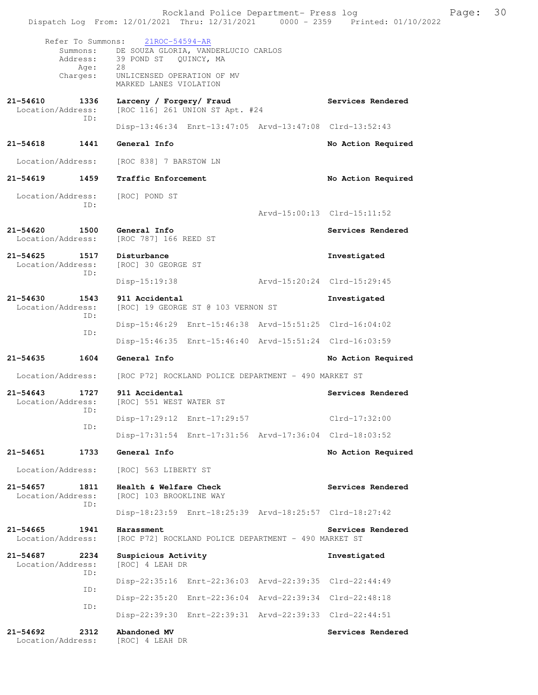|                                   |                                                   | Rockland Police Department- Press log<br>Dispatch Log From: 12/01/2021 Thru: 12/31/2021 0000 - 2359 Printed: 01/10/2022                                     |                             |                             | Page: | 30 |
|-----------------------------------|---------------------------------------------------|-------------------------------------------------------------------------------------------------------------------------------------------------------------|-----------------------------|-----------------------------|-------|----|
|                                   | Refer To Summons:<br>Address:<br>Age:<br>Charges: | $21ROC - 54594 - AR$<br>Summons: DE SOUZA GLORIA, VANDERLUCIO CARLOS<br>39 POND ST QUINCY, MA<br>28<br>UNLICENSED OPERATION OF MV<br>MARKED LANES VIOLATION |                             |                             |       |    |
| 21-54610<br>Location/Address:     | 1336<br>ID:                                       | Larceny / Forgery/ Fraud<br>[ROC 116] 261 UNION ST Apt. #24                                                                                                 |                             | Services Rendered           |       |    |
|                                   |                                                   | Disp-13:46:34 Enrt-13:47:05 Arvd-13:47:08 Clrd-13:52:43                                                                                                     |                             |                             |       |    |
| 21-54618                          | 1441                                              | General Info                                                                                                                                                |                             | No Action Required          |       |    |
| Location/Address:                 |                                                   | [ROC 838] 7 BARSTOW LN                                                                                                                                      |                             |                             |       |    |
| 21-54619                          | 1459                                              | Traffic Enforcement                                                                                                                                         |                             | No Action Required          |       |    |
| Location/Address:                 | ID:                                               | [ROC] POND ST                                                                                                                                               |                             |                             |       |    |
|                                   |                                                   |                                                                                                                                                             |                             | Arvd-15:00:13 Clrd-15:11:52 |       |    |
| 21-54620<br>Location/Address:     | 1500                                              | General Info<br>[ROC 787] 166 REED ST                                                                                                                       |                             | Services Rendered           |       |    |
| $21 - 54625$<br>Location/Address: | 1517<br>ID:                                       | Disturbance<br>[ROC] 30 GEORGE ST                                                                                                                           |                             | Investigated                |       |    |
|                                   |                                                   | Disp-15:19:38                                                                                                                                               | Arvd-15:20:24 Clrd-15:29:45 |                             |       |    |
| $21 - 54630$<br>Location/Address: | 1543                                              | 911 Accidental<br>[ROC] 19 GEORGE ST @ 103 VERNON ST                                                                                                        |                             | Investigated                |       |    |
|                                   | ID:                                               | Disp-15:46:29 Enrt-15:46:38 Arvd-15:51:25 Clrd-16:04:02                                                                                                     |                             |                             |       |    |
|                                   | ID:                                               | Disp-15:46:35 Enrt-15:46:40 Arvd-15:51:24 Clrd-16:03:59                                                                                                     |                             |                             |       |    |
| $21 - 54635$                      | 1604                                              | General Info                                                                                                                                                |                             | No Action Required          |       |    |
| Location/Address:                 |                                                   | [ROC P72] ROCKLAND POLICE DEPARTMENT - 490 MARKET ST                                                                                                        |                             |                             |       |    |
| $21 - 54643$<br>Location/Address: | 1727                                              | 911 Accidental<br>[ROC] 551 WEST WATER ST                                                                                                                   |                             | Services Rendered           |       |    |
|                                   | ID:                                               | Disp-17:29:12 Enrt-17:29:57                                                                                                                                 |                             | $Clrd-17:32:00$             |       |    |
|                                   | ID:                                               | Disp-17:31:54 Enrt-17:31:56 Arvd-17:36:04 Clrd-18:03:52                                                                                                     |                             |                             |       |    |
| 21-54651                          | 1733                                              | General Info                                                                                                                                                |                             | No Action Required          |       |    |
| Location/Address:                 |                                                   | [ROC] 563 LIBERTY ST                                                                                                                                        |                             |                             |       |    |
| $21 - 54657$<br>Location/Address: | 1811                                              | Health & Welfare Check<br>[ROC] 103 BROOKLINE WAY                                                                                                           |                             | Services Rendered           |       |    |
|                                   | ID:                                               | Disp-18:23:59 Enrt-18:25:39 Arvd-18:25:57 Clrd-18:27:42                                                                                                     |                             |                             |       |    |
| $21 - 54665$<br>Location/Address: | 1941                                              | Harassment<br>[ROC P72] ROCKLAND POLICE DEPARTMENT - 490 MARKET ST                                                                                          |                             | Services Rendered           |       |    |
| 21-54687<br>Location/Address:     | 2234                                              | Suspicious Activity<br>[ROC] 4 LEAH DR                                                                                                                      |                             | Investigated                |       |    |
|                                   | TD:                                               | Disp-22:35:16 Enrt-22:36:03 Arvd-22:39:35 Clrd-22:44:49                                                                                                     |                             |                             |       |    |
|                                   | ID:                                               | Disp-22:35:20 Enrt-22:36:04 Arvd-22:39:34 Clrd-22:48:18                                                                                                     |                             |                             |       |    |
|                                   | ID:                                               | Disp-22:39:30 Enrt-22:39:31 Arvd-22:39:33 Clrd-22:44:51                                                                                                     |                             |                             |       |    |
| $21 - 54692$<br>Location/Address: | 2312                                              | Abandoned MV<br>[ROC] 4 LEAH DR                                                                                                                             |                             | Services Rendered           |       |    |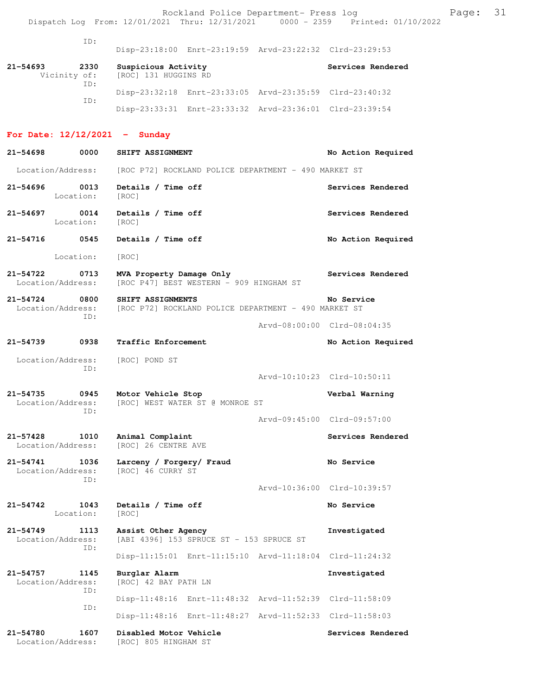| ID:                                          | Disp-23:18:00 Enrt-23:19:59 Arvd-23:22:32 Clrd-23:29:53                   |                             |
|----------------------------------------------|---------------------------------------------------------------------------|-----------------------------|
| 21-54693<br>2330<br>Vicinity of:             | Suspicious Activity<br>[ROC] 131 HUGGINS RD                               | Services Rendered           |
| ID:                                          | Disp-23:32:18 Enrt-23:33:05 Arvd-23:35:59 Clrd-23:40:32                   |                             |
| ID:                                          | Disp-23:33:31 Enrt-23:33:32 Arvd-23:36:01 Clrd-23:39:54                   |                             |
| For Date: $12/12/2021$ - Sunday              |                                                                           |                             |
| 21-54698<br>0000                             | SHIFT ASSIGNMENT                                                          | No Action Required          |
| Location/Address:                            | [ROC P72] ROCKLAND POLICE DEPARTMENT - 490 MARKET ST                      |                             |
| 21-54696 0013<br>Location:                   | Details / Time off<br>[ROC]                                               | Services Rendered           |
| 21-54697<br>0014<br>Location:                | Details / Time off<br>[ROC]                                               | Services Rendered           |
| 21-54716<br>0545                             | Details / Time off                                                        | No Action Required          |
| Location:                                    | [ROC]                                                                     |                             |
| 21-54722<br>0713<br>Location/Address:        | MVA Property Damage Only<br>[ROC P47] BEST WESTERN - 909 HINGHAM ST       | Services Rendered           |
| 21-54724<br>0800<br>Location/Address:<br>ID: | SHIFT ASSIGNMENTS<br>[ROC P72] ROCKLAND POLICE DEPARTMENT - 490 MARKET ST | No Service                  |
|                                              |                                                                           | Arvd-08:00:00 Clrd-08:04:35 |
| 21-54739<br>0938                             | Traffic Enforcement                                                       | No Action Required          |
| Location/Address:<br>ID:                     | [ROC] POND ST                                                             |                             |
|                                              |                                                                           | Arvd-10:10:23 Clrd-10:50:11 |
| 21-54735<br>0945<br>Location/Address:<br>ID: | Motor Vehicle Stop<br>[ROC] WEST WATER ST @ MONROE ST                     | Verbal Warning              |
|                                              |                                                                           | Arvd-09:45:00 Clrd-09:57:00 |
| 21-57428<br>1010<br>Location/Address:        | Animal Complaint<br>[ROC] 26 CENTRE AVE                                   | Services Rendered           |
| 21-54741<br>1036<br>Location/Address:        | Larceny / Forgery/ Fraud<br>[ROC] 46 CURRY ST                             | No Service                  |
| TD:                                          |                                                                           | Arvd-10:36:00 Clrd-10:39:57 |
| 21-54742<br>1043<br>Location:                | Details / Time off<br>[ROC]                                               | No Service                  |
| 21-54749<br>1113<br>Location/Address:<br>ID: | Assist Other Agency<br>[ABI 4396] 153 SPRUCE ST - 153 SPRUCE ST           | Investigated                |
|                                              | Disp-11:15:01 Enrt-11:15:10 Arvd-11:18:04 Clrd-11:24:32                   |                             |
| 21–54757<br>1145<br>Location/Address:        | Burglar Alarm<br>[ROC] 42 BAY PATH LN                                     | Investigated                |
| ID:                                          | Disp-11:48:16 Enrt-11:48:32 Arvd-11:52:39 Clrd-11:58:09                   |                             |
| ID:                                          | Disp-11:48:16 Enrt-11:48:27 Arvd-11:52:33 Clrd-11:58:03                   |                             |

**21-54780 1607 Disabled Motor Vehicle Services Rendered**  Location/Address: [ROC] 805 HINGHAM ST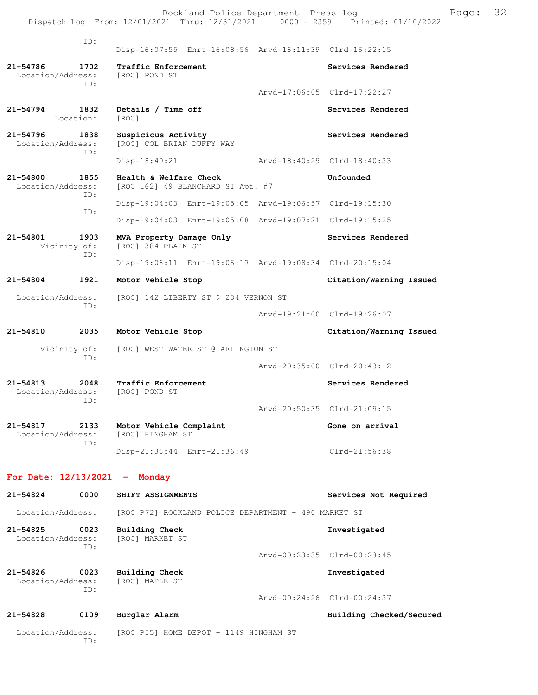ID: Disp-16:07:55 Enrt-16:08:56 Arvd-16:11:39 Clrd-16:22:15 **21-54786 1702 Traffic Enforcement Services Rendered**  Location/Address: [ROC] POND ST ID: Arvd-17:06:05 Clrd-17:22:27 21-54794 1832 Details / Time off Services Rendered Location: [ROC] 21-54796 1838 Suspicious Activity<br>
Location/Address: [ROC] COL BRIAN DUFFY WAY<br> **Services Rendered** [ROC] COL BRIAN DUFFY WAY ID: Disp-18:40:21 Arvd-18:40:29 Clrd-18:40:33 **21-54800 1855 Health & Welfare Check Unfounded**  Location/Address: [ROC 162] 49 BLANCHARD ST Apt. #7 ID: Disp-19:04:03 Enrt-19:05:05 Arvd-19:06:57 Clrd-19:15:30 ID: Disp-19:04:03 Enrt-19:05:08 Arvd-19:07:21 Clrd-19:15:25 **21-54801 1903 MVA Property Damage Only Services Rendered** Vicinity of: [ROC] 384 PLAIN ST [ROC] 384 PLAIN ST ID: Disp-19:06:11 Enrt-19:06:17 Arvd-19:08:34 Clrd-20:15:04 **21-54804 1921 Motor Vehicle Stop Citation/Warning Issued**  Location/Address: [ROC] 142 LIBERTY ST @ 234 VERNON ST ID: Arvd-19:21:00 Clrd-19:26:07 **21-54810 2035 Motor Vehicle Stop Citation/Warning Issued**  Vicinity of: [ROC] WEST WATER ST @ ARLINGTON ST ID: Arvd-20:35:00 Clrd-20:43:12 **21-54813 2048 Traffic Enforcement Services Rendered**  Location/Address: [ROC] POND ST ID: Arvd-20:50:35 Clrd-21:09:15 **21-54817 2133 Motor Vehicle Complaint 600 Gone on arrival** Location/Address: [ROC] HINGHAM ST Location/Address: ID: Disp-21:36:44 Enrt-21:36:49 Clrd-21:56:38 **For Date: 12/13/2021 - Monday 21-54824 0000 SHIFT ASSIGNMENTS Services Not Required**  Location/Address: [ROC P72] ROCKLAND POLICE DEPARTMENT - 490 MARKET ST **21-54825 0023 Building Check Investigated**  Location/Address: [ROC] MARKET ST ID: Arvd-00:23:35 Clrd-00:23:45

**21-54826 0023 Building Check Investigated**  Location/Address: [ROC] MAPLE ST ID:

Arvd-00:24:26 Clrd-00:24:37

**21-54828 0109 Burglar Alarm Building Checked/Secured** 

Location/Address: [ROC P55] HOME DEPOT - 1149 HINGHAM ST ID: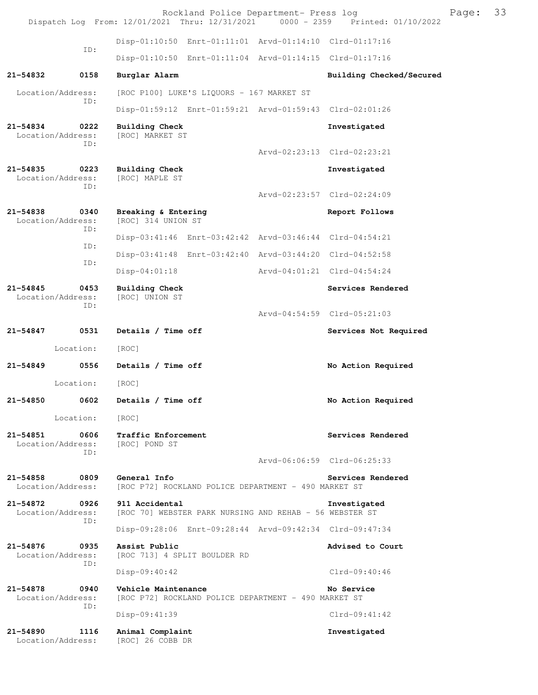Rockland Police Department- Press log Fage: 33 Dispatch Log From: 12/01/2021 Thru: 12/31/2021 0000 - 2359 Printed: 01/10/2022 Disp-01:10:50 Enrt-01:11:01 Arvd-01:14:10 Clrd-01:17:16 ID: Disp-01:10:50 Enrt-01:11:04 Arvd-01:14:15 Clrd-01:17:16 **21-54832 0158 Burglar Alarm Building Checked/Secured**  Location/Address: [ROC P100] LUKE'S LIQUORS - 167 MARKET ST ID: Disp-01:59:12 Enrt-01:59:21 Arvd-01:59:43 Clrd-02:01:26 **21-54834 0222 Building Check Investigated**  Location/Address: ID: Arvd-02:23:13 Clrd-02:23:21 **21-54835 0223 Building Check Investigated**  Location/Address: [ROC] MAPLE ST ID: Arvd-02:23:57 Clrd-02:24:09 **21-54838 0340 Breaking & Entering Report Follows**  Location/Address: [ROC] 314 UNION ST ID: Disp-03:41:46 Enrt-03:42:42 Arvd-03:46:44 Clrd-04:54:21 ID: Disp-03:41:48 Enrt-03:42:40 Arvd-03:44:20 Clrd-04:52:58 ID: Disp-04:01:18 Arvd-04:01:21 Clrd-04:54:24 **21-54845 0453 Building Check Services Rendered**  Location/Address: [ROC] UNION ST ID: Arvd-04:54:59 Clrd-05:21:03 21-54847 0531 Details / Time off **Services Not Required**  Location: [ROC] **21-54849 0556 Details / Time off No Action Required**  Location: [ROC] **21-54850 0602 Details / Time off No Action Required**  Location: [ROC] **21-54851 0606 Traffic Enforcement Services Rendered**  Location/Address: [ROC] POND ST ID: Arvd-06:06:59 Clrd-06:25:33 21-54858 0809 General Info<br>
Location/Address: [ROC P72] ROCKLAND POLICE DEPARTMENT - 490 MARKET ST [ROC P72] ROCKLAND POLICE DEPARTMENT - 490 MARKET ST **21-54872 0926 911 Accidental Investigated**  Location/Address: [ROC 70] WEBSTER PARK NURSING AND REHAB - 56 WEBSTER ST ID: Disp-09:28:06 Enrt-09:28:44 Arvd-09:42:34 Clrd-09:47:34 **21-54876 0935 Assist Public Advised to Court**  Location/Address: [ROC 713] 4 SPLIT BOULDER RD ID: Disp-09:40:42 Clrd-09:40:46 **21-54878 0940 Vehicle Maintenance No Service**  Location/Address: [ROC P72] ROCKLAND POLICE DEPARTMENT - 490 MARKET ST ID: Disp-09:41:39 Clrd-09:41:42 **21-54890 1116 Animal Complaint Investigated**  Location/Address: [ROC] 26 COBB DR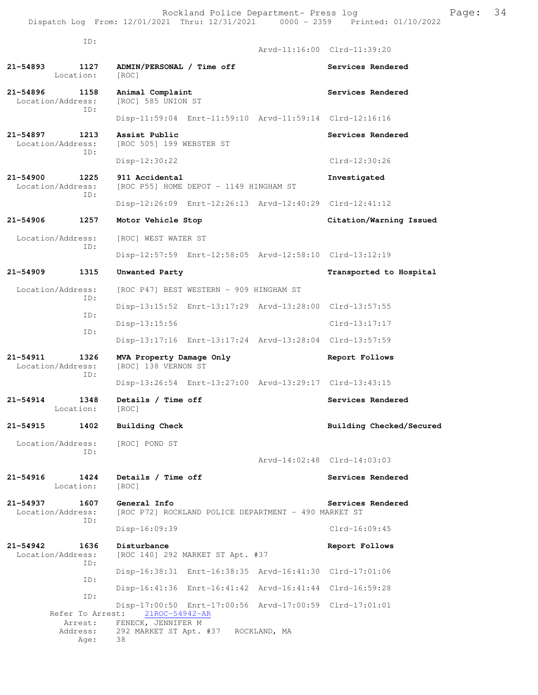ID: Arvd-11:16:00 Clrd-11:39:20 **21-54893 1127 ADMIN/PERSONAL / Time off Services Rendered**  Location: [ROC] 21-54896 1158 Animal Complaint **Services Rendered Services** Rendered Location/Address: [ROC] 585 UNION ST ID: Disp-11:59:04 Enrt-11:59:10 Arvd-11:59:14 Clrd-12:16:16 **21-54897 1213 Assist Public Services Rendered Location/Address:** [ROC 505] 199 WEBSTER ST [ROC 505] 199 WEBSTER ST ID: Disp-12:30:22 Clrd-12:30:26 **21-54900 1225 911 Accidental Investigated**  Location/Address: [ROC P55] HOME DEPOT - 1149 HINGHAM ST ID: Disp-12:26:09 Enrt-12:26:13 Arvd-12:40:29 Clrd-12:41:12 **21-54906 1257 Motor Vehicle Stop Citation/Warning Issued**  Location/Address: [ROC] WEST WATER ST ID: Disp-12:57:59 Enrt-12:58:05 Arvd-12:58:10 Clrd-13:12:19 **21-54909 1315 Unwanted Party Transported to Hospital**  Location/Address: [ROC P47] BEST WESTERN - 909 HINGHAM ST ID: Disp-13:15:52 Enrt-13:17:29 Arvd-13:28:00 Clrd-13:57:55 ID: Disp-13:15:56 Clrd-13:17:17 ID: Disp-13:17:16 Enrt-13:17:24 Arvd-13:28:04 Clrd-13:57:59 **21-54911 1326 MVA Property Damage Only Report Follows**  [ROC] 138 VERNON ST ID: Disp-13:26:54 Enrt-13:27:00 Arvd-13:29:17 Clrd-13:43:15 **21-54914 1348 Details / Time off Services Rendered**  Location: [ROC] **21-54915 1402 Building Check Building Checked/Secured**  Location/Address: [ROC] POND ST ID: Arvd-14:02:48 Clrd-14:03:03 **21-54916 1424 Details / Time off Services Rendered**  Location: [ROC] **21-54937 1607 General Info Services Rendered**  Location/Address: [ROC P72] ROCKLAND POLICE DEPARTMENT - 490 MARKET ST ID: Disp-16:09:39 Clrd-16:09:45 **21-54942 1636 Disturbance Report Follows**<br>Location/Address: [ROC 140] 292 MARKET ST Apt. #37 [ROC 140] 292 MARKET ST Apt. #37 ID: Disp-16:38:31 Enrt-16:38:35 Arvd-16:41:30 Clrd-17:01:06 ID: Disp-16:41:36 Enrt-16:41:42 Arvd-16:41:44 Clrd-16:59:28 ID: Disp-17:00:50 Enrt-17:00:56 Arvd-17:00:59 Clrd-17:01:01 Refer To Arrest: 21ROC-54942-AR Arrest: FENECK, JENNIFER M<br>Address: 292 MARKET ST Apt. 292 MARKET ST Apt. #37 ROCKLAND, MA Age: 38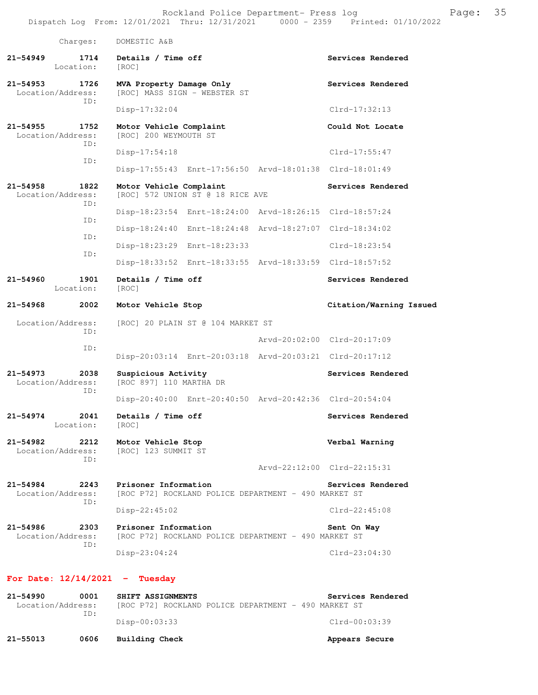Rockland Police Department- Press log Franch Page: 35 Dispatch Log From: 12/01/2021 Thru: 12/31/2021 0000 - 2359 Printed: 01/10/2022 Charges: DOMESTIC A&B **21-54949 1714 Details / Time off Services Rendered**  Location: [ROC] 21-54953 1726 MVA Property Damage Only<br>
Location/Address: [ROC] MASS SIGN - WEBSTER ST [ROC] MASS SIGN - WEBSTER ST ID: Disp-17:32:04 Clrd-17:32:13 **21-54955 1752 Motor Vehicle Complaint Could Not Locate** Location/Address: [ROC] 200 WEYMOUTH ST [ROC] 200 WEYMOUTH ST ID: Disp-17:54:18 Clrd-17:55:47 ID: Disp-17:55:43 Enrt-17:56:50 Arvd-18:01:38 Clrd-18:01:49 **21-54958 1822 Motor Vehicle Complaint 61-54958 1822 Motor Vehicle Complaint 61-62 Services Rendered Location/Address:** [ROC] 572 UNION ST @ 18 RICE AVE [ROC] 572 UNION ST @ 18 RICE AVE ID: Disp-18:23:54 Enrt-18:24:00 Arvd-18:26:15 Clrd-18:57:24 ID: Disp-18:24:40 Enrt-18:24:48 Arvd-18:27:07 Clrd-18:34:02 ID: Disp-18:23:29 Enrt-18:23:33 Clrd-18:23:54 ID: Disp-18:33:52 Enrt-18:33:55 Arvd-18:33:59 Clrd-18:57:52 **21-54960 1901 Details / Time off Services Rendered**  Location: [ROC] **21-54968 2002 Motor Vehicle Stop Citation/Warning Issued**  Location/Address: [ROC] 20 PLAIN ST @ 104 MARKET ST ID: Arvd-20:02:00 Clrd-20:17:09 ID: Disp-20:03:14 Enrt-20:03:18 Arvd-20:03:21 Clrd-20:17:12 **21-54973 2038 Suspicious Activity Services Rendered**  Location/Address: [ROC 897] 110 MARTHA DR ID: Disp-20:40:00 Enrt-20:40:50 Arvd-20:42:36 Clrd-20:54:04 **21-54974 2041 Details / Time off Services Rendered**  Location: [ROC] **21-54982 2212 Motor Vehicle Stop Verbal Warning**  Location/Address: [ROC] 123 SUMMIT ST ID: Arvd-22:12:00 Clrd-22:15:31 **21-54984 2243 Prisoner Information Services Rendered**  Location/Address: [ROC P72] ROCKLAND POLICE DEPARTMENT - 490 MARKET ST ID: Disp-22:45:02 Clrd-22:45:08 21-54986 2303 Prisoner Information **Sent On Way Location/Address:** [ROC P72] ROCKLAND POLICE DEPARTMENT - 490 MARKET ST [ROC P72] ROCKLAND POLICE DEPARTMENT - 490 MARKET ST ID: Disp-23:04:24 Clrd-23:04:30 **For Date: 12/14/2021 - Tuesday 21-54990 0001 SHIFT ASSIGNMENTS Services Rendered** 

 Location/Address: [ROC P72] ROCKLAND POLICE DEPARTMENT - 490 MARKET ST ID: Disp-00:03:33 Clrd-00:03:39 **21-55013 0606 Building Check Appears Secure**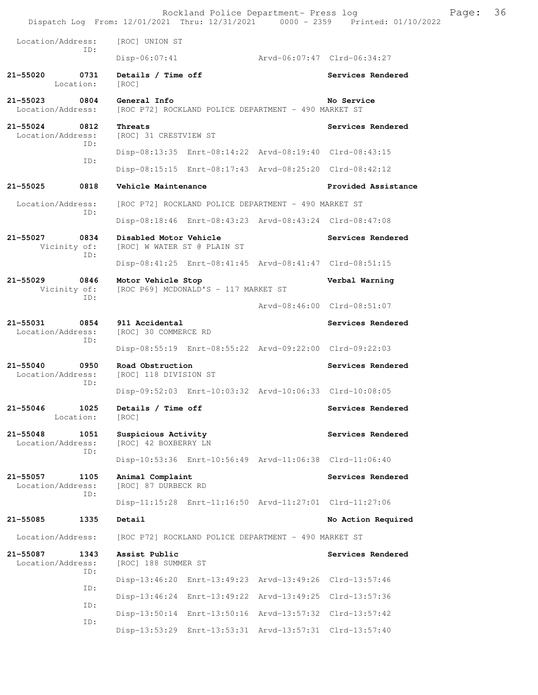|                                   |             |                                                                      |                                      | Rockland Police Department- Press log                   | Dispatch Log From: 12/01/2021 Thru: 12/31/2021 0000 - 2359 Printed: 01/10/2022 | Page: | 36 |
|-----------------------------------|-------------|----------------------------------------------------------------------|--------------------------------------|---------------------------------------------------------|--------------------------------------------------------------------------------|-------|----|
| Location/Address:                 |             | [ROC] UNION ST                                                       |                                      |                                                         |                                                                                |       |    |
|                                   | ID:         | $Disp-06:07:41$                                                      |                                      | Arvd-06:07:47 Clrd-06:34:27                             |                                                                                |       |    |
| 21-55020<br>Location:             | 0731        | Details / Time off<br>[ROC]                                          |                                      |                                                         | Services Rendered                                                              |       |    |
| 21-55023<br>Location/Address:     | 0804        | General Info<br>[ROC P72] ROCKLAND POLICE DEPARTMENT - 490 MARKET ST |                                      |                                                         | No Service                                                                     |       |    |
| $21 - 55024$<br>Location/Address: | 0812        | Threats<br>[ROC] 31 CRESTVIEW ST                                     |                                      |                                                         | Services Rendered                                                              |       |    |
|                                   | ID:         |                                                                      |                                      | Disp-08:13:35 Enrt-08:14:22 Arvd-08:19:40 Clrd-08:43:15 |                                                                                |       |    |
|                                   | ID:         |                                                                      |                                      | Disp-08:15:15 Enrt-08:17:43 Arvd-08:25:20 Clrd-08:42:12 |                                                                                |       |    |
| $21 - 55025$                      | 0818        | Vehicle Maintenance                                                  |                                      |                                                         | Provided Assistance                                                            |       |    |
| Location/Address:                 |             |                                                                      |                                      | [ROC P72] ROCKLAND POLICE DEPARTMENT - 490 MARKET ST    |                                                                                |       |    |
|                                   | ID:         |                                                                      |                                      | Disp-08:18:46 Enrt-08:43:23 Arvd-08:43:24 Clrd-08:47:08 |                                                                                |       |    |
| 21-55027<br>Vicinity of:          | 0834        | Disabled Motor Vehicle<br>[ROC] W WATER ST @ PLAIN ST                |                                      |                                                         | Services Rendered                                                              |       |    |
|                                   | ID:         |                                                                      |                                      | Disp-08:41:25 Enrt-08:41:45 Arvd-08:41:47 Clrd-08:51:15 |                                                                                |       |    |
| $21 - 55029$<br>Vicinity of:      | 0846        | Motor Vehicle Stop                                                   | [ROC P69] MCDONALD'S - 117 MARKET ST |                                                         | Verbal Warning                                                                 |       |    |
| ID:                               |             |                                                                      |                                      | Arvd-08:46:00 Clrd-08:51:07                             |                                                                                |       |    |
| 21-55031<br>Location/Address:     | 0854<br>ID: | 911 Accidental<br>[ROC] 30 COMMERCE RD                               |                                      |                                                         | Services Rendered                                                              |       |    |
|                                   |             |                                                                      |                                      | Disp-08:55:19 Enrt-08:55:22 Arvd-09:22:00 Clrd-09:22:03 |                                                                                |       |    |
| $21 - 55040$<br>Location/Address: | 0950<br>ID: | Road Obstruction<br>[ROC] 118 DIVISION ST                            |                                      |                                                         | Services Rendered                                                              |       |    |
|                                   |             |                                                                      |                                      | Disp-09:52:03 Enrt-10:03:32 Arvd-10:06:33 Clrd-10:08:05 |                                                                                |       |    |
| $21 - 55046$<br>Location:         | 1025        | Details / Time off<br>[ROC]                                          |                                      |                                                         | Services Rendered                                                              |       |    |
| $21 - 55048$<br>Location/Address: | 1051<br>ID: | Suspicious Activity<br>[ROC] 42 BOXBERRY LN                          |                                      |                                                         | Services Rendered                                                              |       |    |
|                                   |             |                                                                      |                                      | Disp-10:53:36 Enrt-10:56:49 Arvd-11:06:38 Clrd-11:06:40 |                                                                                |       |    |
| $21 - 55057$<br>Location/Address: | 1105<br>ID: | Animal Complaint<br>[ROC] 87 DURBECK RD                              |                                      |                                                         | Services Rendered                                                              |       |    |
|                                   |             |                                                                      |                                      | Disp-11:15:28 Enrt-11:16:50 Arvd-11:27:01 Clrd-11:27:06 |                                                                                |       |    |
| 21-55085                          | 1335        | Detail                                                               |                                      |                                                         | No Action Required                                                             |       |    |
| Location/Address:                 |             |                                                                      |                                      | [ROC P72] ROCKLAND POLICE DEPARTMENT - 490 MARKET ST    |                                                                                |       |    |
| 21-55087<br>Location/Address:     | 1343<br>ID: | Assist Public<br>[ROC] 188 SUMMER ST                                 |                                      |                                                         | Services Rendered                                                              |       |    |
|                                   | ID:         |                                                                      |                                      | Disp-13:46:20 Enrt-13:49:23 Arvd-13:49:26 Clrd-13:57:46 |                                                                                |       |    |
|                                   | ID:         |                                                                      |                                      | Disp-13:46:24 Enrt-13:49:22 Arvd-13:49:25 Clrd-13:57:36 |                                                                                |       |    |
|                                   | ID:         |                                                                      |                                      | Disp-13:50:14 Enrt-13:50:16 Arvd-13:57:32 Clrd-13:57:42 |                                                                                |       |    |
|                                   |             |                                                                      |                                      | Disp-13:53:29 Enrt-13:53:31 Arvd-13:57:31 Clrd-13:57:40 |                                                                                |       |    |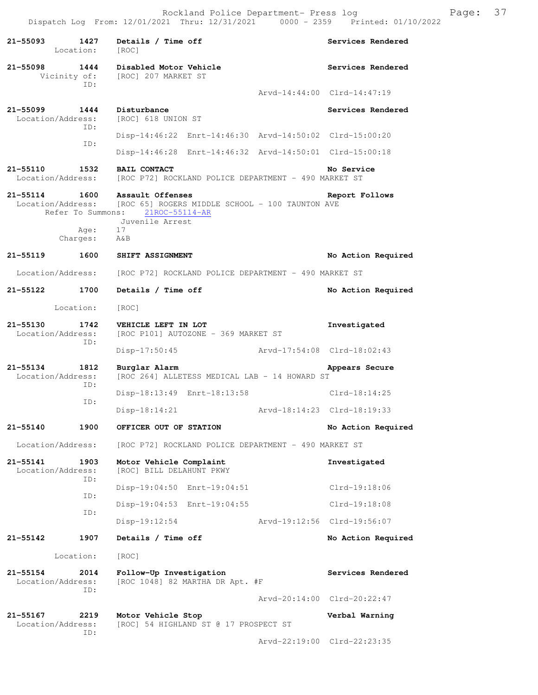**21-55093 1427 Details / Time off Services Rendered**  Location: [ROC] **21-55098 1444 Disabled Motor Vehicle Services Rendered**  Vicinity of: [ROC] 207 MARKET ST ID: Arvd-14:44:00 Clrd-14:47:19 **21-55099 1444 Disturbance Services Rendered**  Location/Address: [ROC] 618 UNION ST ID: Disp-14:46:22 Enrt-14:46:30 Arvd-14:50:02 Clrd-15:00:20 ID: Disp-14:46:28 Enrt-14:46:32 Arvd-14:50:01 Clrd-15:00:18 **21-55110 1532 BAIL CONTACT 121-55110 No Service**<br>Location/Address: [ROC P72] ROCKLAND POLICE DEPARTMENT - 490 MARKET ST [ROC P72] ROCKLAND POLICE DEPARTMENT - 490 MARKET ST **21-55114 1600 Assault Offenses Report Follows**  Location/Address: [ROC 65] ROGERS MIDDLE SCHOOL - 100 TAUNTON AVE Refer To Summons: 21ROC-55114-AR Juvenile Arrest Age: 17 Charges: A&B **21-55119 1600 SHIFT ASSIGNMENT No Action Required**  Location/Address: [ROC P72] ROCKLAND POLICE DEPARTMENT - 490 MARKET ST **21-55122 1700 Details / Time off No Action Required**  Location: [ROC] **21-55130 1742 VEHICLE LEFT IN LOT Investigated Location/Address:** [ROC P101] AUTOZONE - 369 MARKET ST [ROC P101] AUTOZONE - 369 MARKET ST ID: Disp-17:50:45 Arvd-17:54:08 Clrd-18:02:43 **21-55134 1812 Burglar Alarm Appears Secure**  Location/Address: [ROC 264] ALLETESS MEDICAL LAB - 14 HOWARD ST ID: Disp-18:13:49 Enrt-18:13:58 Clrd-18:14:25 ID: Disp-18:14:21 Arvd-18:14:23 Clrd-18:19:33 **21-55140 1900 OFFICER OUT OF STATION No Action Required**  Location/Address: [ROC P72] ROCKLAND POLICE DEPARTMENT - 490 MARKET ST **21-55141 1903 Motor Vehicle Complaint Investigated**  Location/Address: [ROC] BILL DELAHUNT PKWY ID: Disp-19:04:50 Enrt-19:04:51 Clrd-19:18:06 ID: Disp-19:04:53 Enrt-19:04:55 Clrd-19:18:08 ID: Disp-19:12:54 Arvd-19:12:56 Clrd-19:56:07 **21-55142 1907 Details / Time off No Action Required**  Location: [ROC] **21-55154 2014 Follow-Up Investigation Services Rendered**  Location/Address: [ROC 1048] 82 MARTHA DR Apt. #F ID: Arvd-20:14:00 Clrd-20:22:47 **21-55167** 2219 Motor Vehicle Stop Verbal Warning Location/Address: [ROC] 54 HIGHLAND ST @ 17 PROSPECT ST [ROC] 54 HIGHLAND ST @ 17 PROSPECT ST ID: Arvd-22:19:00 Clrd-22:23:35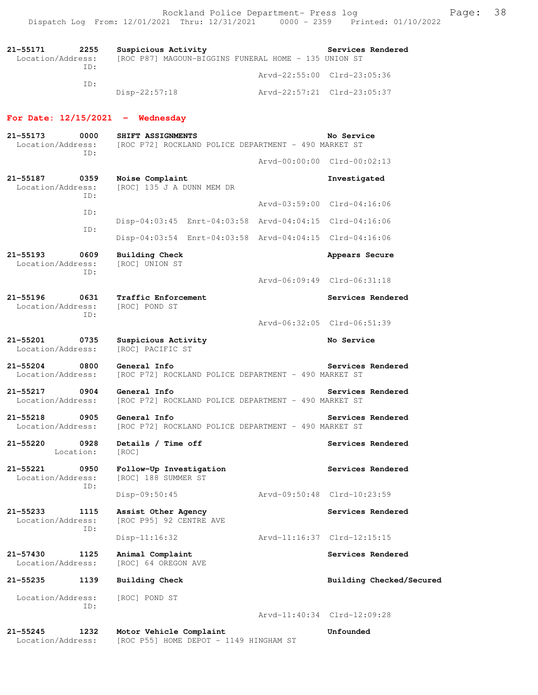| 21–55171          | 2255 | Suspicious Activity                                  | Services Rendered           |
|-------------------|------|------------------------------------------------------|-----------------------------|
| Location/Address: |      | [ROC P87] MAGOUN-BIGGINS FUNERAL HOME - 135 UNION ST |                             |
|                   | TD:  |                                                      | Arvd-22:55:00 Clrd-23:05:36 |
|                   | TD:  |                                                      |                             |
|                   |      | Disp-22:57:18                                        | Arvd-22:57:21 Clrd-23:05:37 |

# **For Date: 12/15/2021 - Wednesday**

| $21 - 55173$<br>Location/Address:         | 0000<br>ID: | SHIFT ASSIGNMENTS<br>[ROC P72] ROCKLAND POLICE DEPARTMENT - 490 MARKET ST |                             | No Service                  |
|-------------------------------------------|-------------|---------------------------------------------------------------------------|-----------------------------|-----------------------------|
|                                           |             |                                                                           |                             | Arvd-00:00:00 Clrd-00:02:13 |
| 21-55187<br>Location/Address:             | 0359<br>ID: | Noise Complaint<br>[ROC] 135 J A DUNN MEM DR                              |                             | Investigated                |
|                                           | ID:         |                                                                           |                             | Arvd-03:59:00 Clrd-04:16:06 |
|                                           | ID:         | Disp-04:03:45 Enrt-04:03:58 Arvd-04:04:15 Clrd-04:16:06                   |                             |                             |
|                                           |             | Disp-04:03:54 Enrt-04:03:58 Arvd-04:04:15 Clrd-04:16:06                   |                             |                             |
| $21 - 55193$<br>Location/Address:         | 0609<br>TD: | <b>Building Check</b><br>[ROC] UNION ST                                   |                             | Appears Secure              |
|                                           |             |                                                                           |                             | Arvd-06:09:49 Clrd-06:31:18 |
| $21 - 55196$<br>Location/Address:         | 0631<br>ID: | Traffic Enforcement<br>[ROC] POND ST                                      |                             | Services Rendered           |
|                                           |             |                                                                           |                             | Arvd-06:32:05 Clrd-06:51:39 |
| $21 - 55201$<br>Location/Address:         | 0735        | Suspicious Activity<br>[ROC] PACIFIC ST                                   |                             | No Service                  |
| 21-55204<br>0800<br>Location/Address:     |             | General Info<br>[ROC P72] ROCKLAND POLICE DEPARTMENT - 490 MARKET ST      |                             | Services Rendered           |
| 21-55217<br>Location/Address:             | 0904        | General Info<br>[ROC P72] ROCKLAND POLICE DEPARTMENT - 490 MARKET ST      |                             | Services Rendered           |
| $21 - 55218$<br>0905<br>Location/Address: |             | General Info<br>[ROC P72] ROCKLAND POLICE DEPARTMENT - 490 MARKET ST      |                             | Services Rendered           |
| 21-55220<br>Location:                     | 0928        | Details / Time off<br>[ROC]                                               |                             | Services Rendered           |
| $21 - 55221$<br>Location/Address:         | 0950<br>ID: | Follow-Up Investigation<br>[ROC] 188 SUMMER ST                            |                             | Services Rendered           |
|                                           |             | Disp-09:50:45                                                             | Arvd-09:50:48 Clrd-10:23:59 |                             |
| $21 - 55233$<br>Location/Address:         | 1115        | Assist Other Agency<br>[ROC P95] 92 CENTRE AVE                            |                             | Services Rendered           |
|                                           | ID:         | $Disp-11:16:32$                                                           |                             | Arvd-11:16:37 Clrd-12:15:15 |
| 21-57430<br>Location/Address:             | 1125        | Animal Complaint<br>[ROC] 64 OREGON AVE                                   |                             | Services Rendered           |
| 21-55235                                  | 1139        | <b>Building Check</b>                                                     |                             | Building Checked/Secured    |
| Location/Address:                         | ID:         | [ROC] POND ST                                                             |                             |                             |
|                                           |             |                                                                           |                             | Arvd-11:40:34 Clrd-12:09:28 |
| 21-55245<br>Location/Address:             | 1232        | Motor Vehicle Complaint<br>[ROC P55] HOME DEPOT - 1149 HINGHAM ST         |                             | Unfounded                   |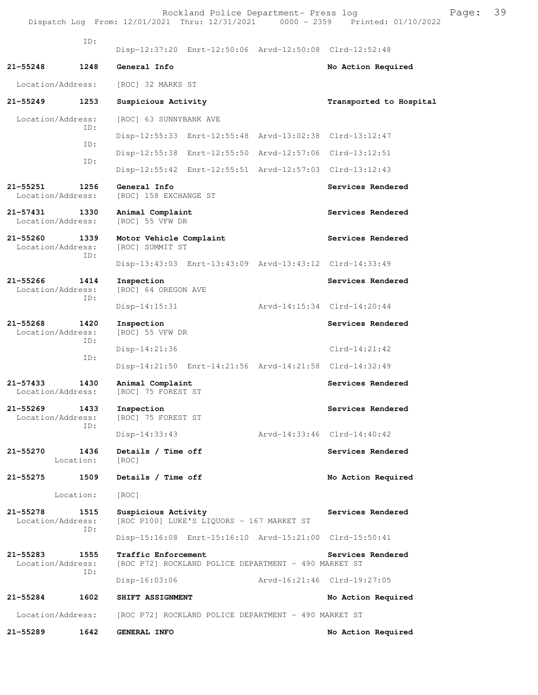Rockland Police Department- Press log Franch Press 100 Dispatch Log From: 12/01/2021 Thru: 12/31/2021 0000 - 2359 Printed: 01/10/2022 ID: Disp-12:37:20 Enrt-12:50:06 Arvd-12:50:08 Clrd-12:52:48 **21-55248 1248 General Info No Action Required**  Location/Address: [ROC] 32 MARKS ST **21-55249 1253 Suspicious Activity Transported to Hospital**  Location/Address: [ROC] 63 SUNNYBANK AVE ID: Disp-12:55:33 Enrt-12:55:48 Arvd-13:02:38 Clrd-13:12:47 ID: Disp-12:55:38 Enrt-12:55:50 Arvd-12:57:06 Clrd-13:12:51 ID: Disp-12:55:42 Enrt-12:55:51 Arvd-12:57:03 Clrd-13:12:43 21-55251 1256 General Info<br>
Location/Address: [ROC] 158 EXCHANGE ST<br> **21-55251** Services Rendered [ROC] 158 EXCHANGE ST **21-57431 1330 Animal Complaint Services Rendered** Location/Address: [ROC] 55 VFW DR Location/Address: 21-55260 1339 Motor Vehicle Complaint **Services Rendered**  Location/Address: [ROC] SUMMIT ST ID: Disp-13:43:03 Enrt-13:43:09 Arvd-13:43:12 Clrd-14:33:49 **21-55266 1414 Inspection Services Rendered**  Location/Address: [ROC] 64 OREGON AVE ID: Disp-14:15:31 Arvd-14:15:34 Clrd-14:20:44 **21-55268 1420 Inspection Services Rendered**  Location/Address: ID: Disp-14:21:36 Clrd-14:21:42 ID: Disp-14:21:50 Enrt-14:21:56 Arvd-14:21:58 Clrd-14:32:49 **21-57433 1430 Animal Complaint Services Rendered**  Location/Address: [ROC] 75 FOREST ST **21-55269 1433 Inspection Services Rendered**  Location/Address: [ROC] 75 FOREST ST ID: Disp-14:33:43 Arvd-14:33:46 Clrd-14:40:42 21-55270 1436 Details / Time off Services Rendered Location: [ROC] **21-55275 1509 Details / Time off No Action Required**  Location: [ROC] 21-55278 1515 Suspicious Activity **1986 1997 121-55278** Services Rendered Location/Address: [ROC P100] LUKE'S LIQUORS - 167 MARKET ST ID: Disp-15:16:08 Enrt-15:16:10 Arvd-15:21:00 Clrd-15:50:41 21-55283 1555 Traffic Enforcement **Services Rendered** Location/Address: [ROC P72] ROCKLAND POLICE DEPARTMENT - 490 MARKET ST [ROC P72] ROCKLAND POLICE DEPARTMENT - 490 MARKET ST ID: Disp-16:03:06 Arvd-16:21:46 Clrd-19:27:05 **21-55284 1602 SHIFT ASSIGNMENT No Action Required**  Location/Address: [ROC P72] ROCKLAND POLICE DEPARTMENT - 490 MARKET ST **21-55289 1642 GENERAL INFO No Action Required**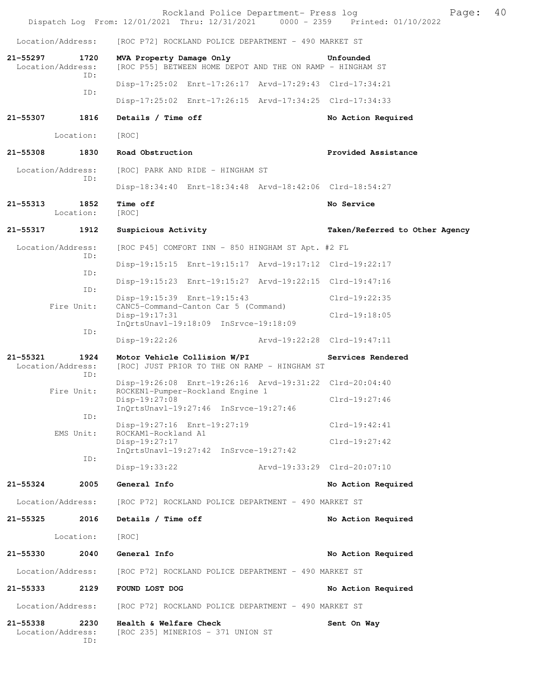|              |                                  | Rockland Police Department- Press log<br>Dispatch Log From: 12/01/2021 Thru: 12/31/2021 0000 - 2359 Printed: 01/10/2022 |                                | Page: | 40 |
|--------------|----------------------------------|-------------------------------------------------------------------------------------------------------------------------|--------------------------------|-------|----|
|              | Location/Address:                | [ROC P72] ROCKLAND POLICE DEPARTMENT - 490 MARKET ST                                                                    |                                |       |    |
| 21-55297     | 1720<br>Location/Address:        | MVA Property Damage Only<br>[ROC P55] BETWEEN HOME DEPOT AND THE ON RAMP - HINGHAM ST                                   | Unfounded                      |       |    |
|              | ID:                              | Disp-17:25:02 Enrt-17:26:17 Arvd-17:29:43 Clrd-17:34:21                                                                 |                                |       |    |
|              | ID:                              | Disp-17:25:02 Enrt-17:26:15 Arvd-17:34:25 Clrd-17:34:33                                                                 |                                |       |    |
| 21-55307     | 1816                             | Details / Time off                                                                                                      | No Action Required             |       |    |
|              | Location:                        | [ROC]                                                                                                                   |                                |       |    |
| 21-55308     | 1830                             | Road Obstruction                                                                                                        | Provided Assistance            |       |    |
|              | Location/Address:<br>ID:         | [ROC] PARK AND RIDE - HINGHAM ST                                                                                        |                                |       |    |
|              |                                  |                                                                                                                         |                                |       |    |
| $21 - 55313$ | 1852<br>Location:                | Time off<br>[ROC]                                                                                                       | No Service                     |       |    |
| 21-55317     | 1912                             | Suspicious Activity                                                                                                     | Taken/Referred to Other Agency |       |    |
|              | Location/Address:<br>ID:         | [ROC P45] COMFORT INN - 850 HINGHAM ST Apt. #2 FL                                                                       |                                |       |    |
|              | ID:                              | Disp-19:15:15 Enrt-19:15:17 Arvd-19:17:12 Clrd-19:22:17                                                                 |                                |       |    |
|              | ID:                              | Disp-19:15:23 Enrt-19:15:27 Arvd-19:22:15 Clrd-19:47:16                                                                 |                                |       |    |
|              | Fire Unit:                       | Disp-19:15:39 Enrt-19:15:43<br>CANC5-Command-Canton Car 5 (Command)                                                     | $Clrd-19:22:35$                |       |    |
|              |                                  | Disp-19:17:31<br>InQrtsUnavl-19:18:09 InSrvce-19:18:09                                                                  | $Clrd-19:18:05$                |       |    |
|              | ID:                              | Disp-19:22:26                                                                                                           | Arvd-19:22:28 Clrd-19:47:11    |       |    |
| 21-55321     | 1924<br>Location/Address:        | Motor Vehicle Collision W/PI<br>[ROC] JUST PRIOR TO THE ON RAMP - HINGHAM ST                                            | Services Rendered              |       |    |
|              | ID:<br>Fire Unit:                | Disp-19:26:08 Enrt-19:26:16 Arvd-19:31:22 Clrd-20:04:40<br>ROCKEN1-Pumper-Rockland Engine 1                             |                                |       |    |
|              |                                  | Disp-19:27:08<br>InQrtsUnavl-19:27:46 InSrvce-19:27:46                                                                  | Clrd-19:27:46                  |       |    |
|              | ID:                              | Disp-19:27:16 Enrt-19:27:19                                                                                             | Clrd-19:42:41                  |       |    |
|              | EMS Unit:                        | ROCKAM1-Rockland A1<br>$Disp-19:27:17$                                                                                  | $Clrd-19:27:42$                |       |    |
|              | ID:                              | InQrtsUnavl-19:27:42 InSrvce-19:27:42                                                                                   |                                |       |    |
|              |                                  | Arvd-19:33:29 Clrd-20:07:10<br>Disp-19:33:22                                                                            |                                |       |    |
| 21-55324     | 2005                             | General Info                                                                                                            | No Action Required             |       |    |
|              | Location/Address:                | [ROC P72] ROCKLAND POLICE DEPARTMENT - 490 MARKET ST                                                                    |                                |       |    |
| 21–55325     | 2016                             | Details / Time off                                                                                                      | No Action Required             |       |    |
|              | Location:                        | [ROC]                                                                                                                   |                                |       |    |
| 21-55330     | 2040                             | General Info                                                                                                            | No Action Required             |       |    |
|              | Location/Address:                | [ROC P72] ROCKLAND POLICE DEPARTMENT - 490 MARKET ST                                                                    |                                |       |    |
| 21-55333     | 2129                             | FOUND LOST DOG                                                                                                          | No Action Required             |       |    |
|              | Location/Address:                | [ROC P72] ROCKLAND POLICE DEPARTMENT - 490 MARKET ST                                                                    |                                |       |    |
| 21-55338     | 2230<br>Location/Address:<br>ID: | Health & Welfare Check<br>[ROC 235] MINERIOS - 371 UNION ST                                                             | Sent On Way                    |       |    |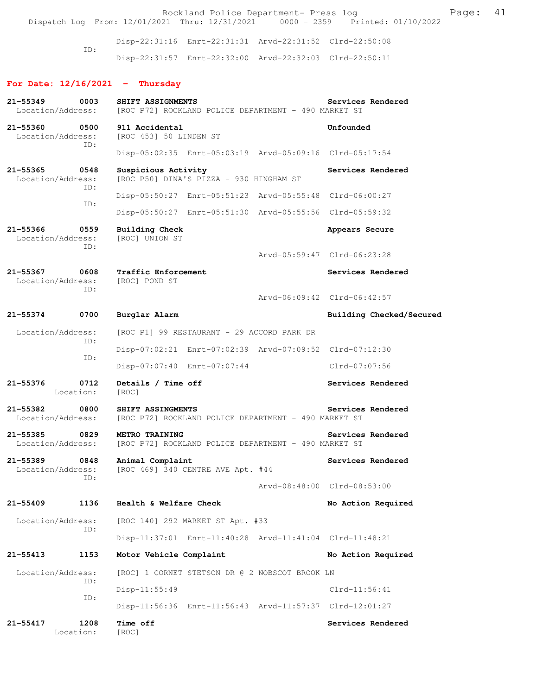Rockland Police Department- Press log entitled and Page: 41 Dispatch Log From: 12/01/2021 Thru: 12/31/2021 0000 - 2359 Printed: 01/10/2022

> Disp-22:31:16 Enrt-22:31:31 Arvd-22:31:52 Clrd-22:50:08 ID: Disp-22:31:57 Enrt-22:32:00 Arvd-22:32:03 Clrd-22:50:11

### **For Date: 12/16/2021 - Thursday**

| 21-55349<br>Location/Address:         | 0003        | SHIFT ASSIGNMENTS<br>[ROC P72] ROCKLAND POLICE DEPARTMENT - 490 MARKET ST | Services Rendered           |
|---------------------------------------|-------------|---------------------------------------------------------------------------|-----------------------------|
| 21-55360<br>Location/Address:         | 0500        | 911 Accidental<br>[ROC 453] 50 LINDEN ST                                  | Unfounded                   |
|                                       | ID:         | Disp-05:02:35 Enrt-05:03:19 Arvd-05:09:16 Clrd-05:17:54                   |                             |
| 21-55365<br>Location/Address:         | 0548<br>ID: | Suspicious Activity<br>[ROC P50] DINA'S PIZZA - 930 HINGHAM ST            | Services Rendered           |
|                                       | ID:         | Disp-05:50:27 Enrt-05:51:23 Arvd-05:55:48 Clrd-06:00:27                   |                             |
|                                       |             | Disp-05:50:27 Enrt-05:51:30 Arvd-05:55:56 Clrd-05:59:32                   |                             |
| 21-55366<br>Location/Address:         | 0559<br>ID: | <b>Building Check</b><br>[ROC] UNION ST                                   | Appears Secure              |
|                                       |             |                                                                           | Arvd-05:59:47 Clrd-06:23:28 |
| 21-55367<br>Location/Address:         | 0608<br>TD: | Traffic Enforcement<br>[ROC] POND ST                                      | Services Rendered           |
|                                       |             |                                                                           | Arvd-06:09:42 Clrd-06:42:57 |
| 21-55374                              | 0700        | Burglar Alarm                                                             | Building Checked/Secured    |
| Location/Address:                     | ID:         | [ROC P1] 99 RESTAURANT - 29 ACCORD PARK DR                                |                             |
|                                       | ID:         | Disp-07:02:21 Enrt-07:02:39 Arvd-07:09:52 Clrd-07:12:30                   |                             |
|                                       |             | Disp-07:07:40 Enrt-07:07:44                                               | Clrd-07:07:56               |
| $21 - 55376$<br>Location:             | 0712        | Details / Time off<br>[ROC]                                               | Services Rendered           |
| 21-55382<br>Location/Address:         | 0800        | SHIFT ASSINGMENTS<br>[ROC P72] ROCKLAND POLICE DEPARTMENT - 490 MARKET ST | Services Rendered           |
| 21-55385<br>0829<br>Location/Address: |             | METRO TRAINING<br>[ROC P72] ROCKLAND POLICE DEPARTMENT - 490 MARKET ST    | Services Rendered           |
| 21-55389<br>Location/Address:         | 0848        | Animal Complaint<br>[ROC 469] 340 CENTRE AVE Apt. #44                     | Services Rendered           |
|                                       | ID:         |                                                                           | Arvd-08:48:00 Clrd-08:53:00 |
| $21 - 55409$                          | 1136        | Health & Welfare Check                                                    | No Action Required          |
| Location/Address:                     | ID:         | [ROC 140] 292 MARKET ST Apt. #33                                          |                             |
|                                       |             | Disp-11:37:01 Enrt-11:40:28 Arvd-11:41:04 Clrd-11:48:21                   |                             |
| $21 - 55413$                          | 1153        | Motor Vehicle Complaint                                                   | No Action Required          |
| Location/Address:                     | ID:         | [ROC] 1 CORNET STETSON DR @ 2 NOBSCOT BROOK LN                            |                             |
|                                       | ID:         | $Disp-11:55:49$                                                           | $Clrd-11:56:41$             |
|                                       |             | Disp-11:56:36 Enrt-11:56:43 Arvd-11:57:37 Clrd-12:01:27                   |                             |
| 21-55417<br>Location:                 | 1208        | Time off<br>[ROC]                                                         | Services Rendered           |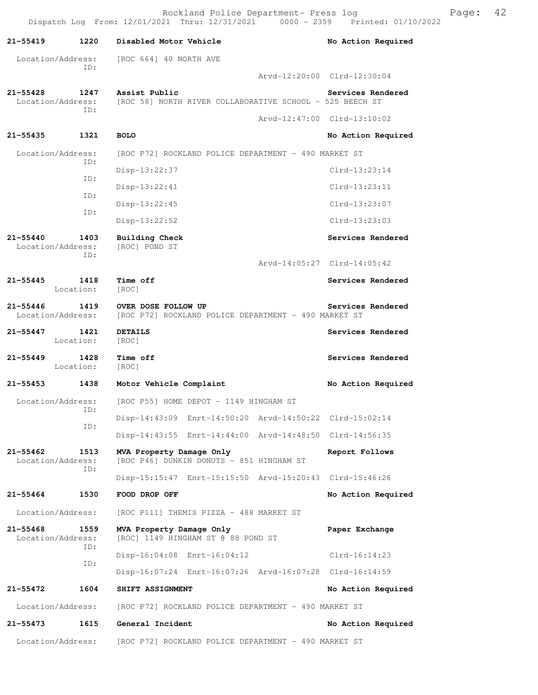|                               |                   | Rockland Police Department- Press log<br>Dispatch Log From: 12/01/2021 Thru: 12/31/2021 0000 - 2359 Printed: 01/10/2022 |                             | Page: | 42 |
|-------------------------------|-------------------|-------------------------------------------------------------------------------------------------------------------------|-----------------------------|-------|----|
| 21-55419                      | 1220              | Disabled Motor Vehicle                                                                                                  | No Action Required          |       |    |
| Location/Address:             |                   | [ROC 664] 40 NORTH AVE                                                                                                  |                             |       |    |
|                               | ID:               |                                                                                                                         | Arvd-12:20:00 Clrd-12:30:04 |       |    |
| 21-55428<br>Location/Address: | 1247              | Assist Public<br>[ROC 58] NORTH RIVER COLLABORATIVE SCHOOL - 525 BEECH ST                                               | Services Rendered           |       |    |
|                               | ID:               |                                                                                                                         | Arvd-12:47:00 Clrd-13:10:02 |       |    |
| 21–55435                      | 1321              | <b>BOLO</b>                                                                                                             | No Action Required          |       |    |
| Location/Address:             |                   | [ROC P72] ROCKLAND POLICE DEPARTMENT - 490 MARKET ST                                                                    |                             |       |    |
|                               | ID:               | Disp-13:22:37                                                                                                           | $Clrd-13:23:14$             |       |    |
|                               | ID:               | $Disp-13:22:41$                                                                                                         | $Clrd-13:23:11$             |       |    |
|                               | ID:               | $Disp-13:22:45$                                                                                                         | $Clrd-13:23:07$             |       |    |
|                               | ID:               | $Disp-13:22:52$                                                                                                         | $Clrd-13:23:03$             |       |    |
| 21-55440<br>Location/Address: | 1403              | Building Check<br>[ROC] POND ST                                                                                         | Services Rendered           |       |    |
|                               | ID:               |                                                                                                                         | Arvd-14:05:27 Clrd-14:05:42 |       |    |
| 21-55445                      | 1418              | Time off                                                                                                                | Services Rendered           |       |    |
|                               | Location:         | [ROC]                                                                                                                   |                             |       |    |
| 21-55446<br>Location/Address: | 1419              | OVER DOSE FOLLOW UP<br>[ROC P72] ROCKLAND POLICE DEPARTMENT - 490 MARKET ST                                             | Services Rendered           |       |    |
| 21–55447                      | 1421<br>Location: | <b>DETAILS</b><br>[ROC]                                                                                                 | Services Rendered           |       |    |
| 21–55449                      | 1428<br>Location: | Time off<br>[ROC]                                                                                                       | Services Rendered           |       |    |
| 21-55453 1438                 |                   | Motor Vehicle Complaint                                                                                                 | No Action Required          |       |    |
|                               | ID:               | Location/Address: [ROC P55] HOME DEPOT - 1149 HINGHAM ST                                                                |                             |       |    |
|                               |                   | Disp-14:43:09 Enrt-14:50:20 Arvd-14:50:22 Clrd-15:02:14                                                                 |                             |       |    |
|                               | ID:               | Disp-14:43:55 Enrt-14:44:00 Arvd-14:48:50 Clrd-14:56:35                                                                 |                             |       |    |
| 21-55462<br>Location/Address: | 1513<br>ID:       | MVA Property Damage Only<br>[ROC P46] DUNKIN DONUTS - 851 HINGHAM ST                                                    | Report Follows              |       |    |
|                               |                   | Disp-15:15:47 Enrt-15:15:50 Arvd-15:20:43 Clrd-15:46:26                                                                 |                             |       |    |
| 21-55464                      | 1530              | FOOD DROP OFF                                                                                                           | No Action Required          |       |    |
| Location/Address:             |                   | [ROC P111] THEMIS PIZZA - 488 MARKET ST                                                                                 |                             |       |    |
| 21-55468<br>Location/Address: | 1559              | MVA Property Damage Only<br>[ROC] 1149 HINGHAM ST @ 88 POND ST                                                          | Paper Exchange              |       |    |
|                               | ID:               | Disp-16:04:08 Enrt-16:04:12                                                                                             | $Clrd-16:14:23$             |       |    |
|                               | ID:               | Disp-16:07:24 Enrt-16:07:26 Arvd-16:07:28 Clrd-16:14:59                                                                 |                             |       |    |
| 21–55472                      | 1604              | SHIFT ASSIGNMENT                                                                                                        | No Action Required          |       |    |
| Location/Address:             |                   | [ROC P72] ROCKLAND POLICE DEPARTMENT - 490 MARKET ST                                                                    |                             |       |    |
| 21–55473                      | 1615              | General Incident                                                                                                        | No Action Required          |       |    |
| Location/Address:             |                   | [ROC P72] ROCKLAND POLICE DEPARTMENT - 490 MARKET ST                                                                    |                             |       |    |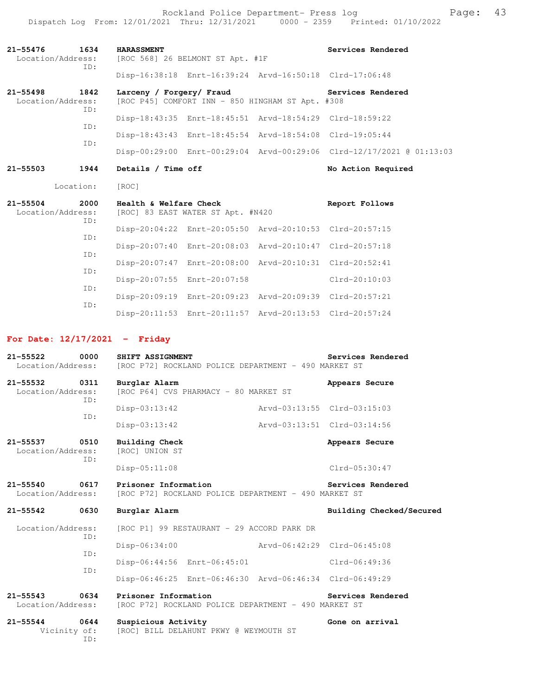Rockland Police Department- Press log entitled and Page: 43 Dispatch Log From: 12/01/2021 Thru: 12/31/2021 0000 - 2359 Printed: 01/10/2022

| 1634<br>$21 - 55476$<br>Location/Address:        | <b>HARASSMENT</b><br>[ROC 568] 26 BELMONT ST Apt. #1F                        | Services Rendered  |
|--------------------------------------------------|------------------------------------------------------------------------------|--------------------|
| ID:                                              | Disp-16:38:18 Enrt-16:39:24 Arvd-16:50:18 Clrd-17:06:48                      |                    |
| $21 - 55498$<br>1842<br>Location/Address:<br>ID: | Larceny / Forgery/ Fraud<br>[ROC P45] COMFORT INN - 850 HINGHAM ST Apt. #308 | Services Rendered  |
|                                                  | Disp-18:43:35 Enrt-18:45:51 Arvd-18:54:29 Clrd-18:59:22                      |                    |
| ID:                                              | Disp-18:43:43 Enrt-18:45:54 Arvd-18:54:08 Clrd-19:05:44                      |                    |
| ID:                                              | Disp-00:29:00 Enrt-00:29:04 Arvd-00:29:06 Clrd-12/17/2021 @ 01:13:03         |                    |
| $21 - 55503$<br>1944                             | Details / Time off                                                           | No Action Required |
|                                                  |                                                                              |                    |
| Location:                                        | [ROC]                                                                        |                    |
| 2000<br>$21 - 55504$<br>Location/Address:        | Health & Welfare Check<br>[ROC] 83 EAST WATER ST Apt. #N420                  | Report Follows     |
| ID:                                              | Disp-20:04:22 Enrt-20:05:50 Arvd-20:10:53 Clrd-20:57:15                      |                    |
| ID:                                              | Disp-20:07:40 Enrt-20:08:03 Arvd-20:10:47 Clrd-20:57:18                      |                    |
| TD:                                              | Disp-20:07:47 Enrt-20:08:00 Arvd-20:10:31 Clrd-20:52:41                      |                    |
| ID:<br>ID:                                       | Disp-20:07:55 Enrt-20:07:58                                                  | $Clrd-20:10:03$    |

Disp-20:11:53 Enrt-20:11:57 Arvd-20:13:53 Clrd-20:57:24

### **For Date: 12/17/2021 - Friday**

| 21-55522 0000<br>Location/Address:        |     | SHIFT ASSIGNMENT<br>[ROC P72] ROCKLAND POLICE DEPARTMENT - 490 MARKET ST     | Services Rendered           |
|-------------------------------------------|-----|------------------------------------------------------------------------------|-----------------------------|
| 21-55532 0311<br>Location/Address:        | ID: | Burglar Alarm<br>[ROC P64] CVS PHARMACY - 80 MARKET ST                       | Appears Secure              |
|                                           |     | $Disp-03:13:42$                                                              | Arvd-03:13:55 Clrd-03:15:03 |
|                                           | ID: | $Disp-03:13:42$                                                              | Arvd-03:13:51 Clrd-03:14:56 |
| 21-55537 0510<br>Location/Address:        |     | <b>Building Check</b><br>[ROC] UNION ST                                      | Appears Secure              |
|                                           | ID: | Disp-05:11:08                                                                | Clrd-05:30:47               |
| $21 - 55540$<br>0617<br>Location/Address: |     | Prisoner Information<br>[ROC P72] ROCKLAND POLICE DEPARTMENT - 490 MARKET ST | Services Rendered           |
| 21-55542 0630                             |     | Burglar Alarm                                                                | Building Checked/Secured    |
| Location/Address:                         |     | [ROC P1] 99 RESTAURANT - 29 ACCORD PARK DR                                   |                             |
|                                           | ID: | Disp-06:34:00                                                                | Arvd-06:42:29 Clrd-06:45:08 |
|                                           | ID: | Disp-06:44:56 Enrt-06:45:01                                                  | $Clrd-06:49:36$             |
|                                           | TD: | Disp-06:46:25 Enrt-06:46:30 Arvd-06:46:34 Clrd-06:49:29                      |                             |
| $21 - 55543$<br>0634<br>Location/Address: |     | Prisoner Information<br>[ROC P72] ROCKLAND POLICE DEPARTMENT - 490 MARKET ST | Services Rendered           |
| $21 - 55544$<br>0644<br>Vicinity of:      | TD: | Suspicious Activity<br>[ROC] BILL DELAHUNT PKWY @ WEYMOUTH ST                | Gone on arrival             |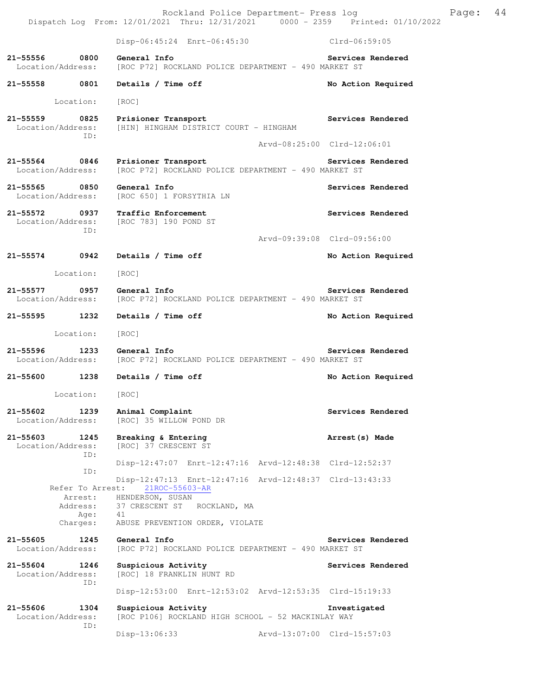Rockland Police Department- Press log Frank Page: 44 Dispatch Log From: 12/01/2021 Thru: 12/31/2021 0000 - 2359 Printed: 01/10/2022

 Disp-06:45:24 Enrt-06:45:30 Clrd-06:59:05 **21-55556 0800 General Info Services Rendered**  Location/Address: [ROC P72] ROCKLAND POLICE DEPARTMENT - 490 MARKET ST **21-55558 0801 Details / Time off No Action Required**  Location: [ROC] **21-55559 0825 Prisioner Transport Services Rendered**  Location/Address: [HIN] HINGHAM DISTRICT COURT - HINGHAM ID: Arvd-08:25:00 Clrd-12:06:01 **21-55564 0846 Prisioner Transport Services Rendered**  Location/Address: [ROC P72] ROCKLAND POLICE DEPARTMENT - 490 MARKET ST **21-55565 0850 General Info Services Rendered**  [ROC 650] 1 FORSYTHIA LN **21-55572 0937 Traffic Enforcement Services Rendered**  Location/Address: [ROC 783] 190 POND ST ID: Arvd-09:39:08 Clrd-09:56:00 **21-55574 0942 Details / Time off No Action Required**  Location: [ROC] **21-55577 0957 General Info Services Rendered**  Location/Address: [ROC P72] ROCKLAND POLICE DEPARTMENT - 490 MARKET ST **21-55595 1232 Details / Time off No Action Required**  Location: [ROC] **21-55596 1233 General Info Services Rendered**  Location/Address: [ROC P72] ROCKLAND POLICE DEPARTMENT - 490 MARKET ST **21-55600 1238 Details / Time off No Action Required**  Location: [ROC] 21-55602 1239 Animal Complaint **Services Rendered Services** Rendered Location/Address: [ROC] 35 WILLOW POND DR **21-55603 1245 Breaking & Entering 1245 Arrest(s) Made Location/Address:** [ROC] 37 CRESCENT ST [ROC] 37 CRESCENT ST ID: Disp-12:47:07 Enrt-12:47:16 Arvd-12:48:38 Clrd-12:52:37 ID: Disp-12:47:13 Enrt-12:47:16 Arvd-12:48:37 Clrd-13:43:33 Refer To Arrest: 21ROC-55603-AR Arrest: HENDERSON, SUSAN<br>Address: 37 CRESCENT ST 37 CRESCENT ST ROCKLAND, MA Age: 41 Charges: ABUSE PREVENTION ORDER, VIOLATE **21-55605 1245 General Info Services Rendered**  Location/Address: [ROC P72] ROCKLAND POLICE DEPARTMENT - 490 MARKET ST 21-55604 1246 Suspicious Activity **125 Services Rendered** Location/Address: [ROC] 18 FRANKLIN HUNT RD ID: Disp-12:53:00 Enrt-12:53:02 Arvd-12:53:35 Clrd-15:19:33 **21-55606 1304 Suspicious Activity Investigated**  [ROC P106] ROCKLAND HIGH SCHOOL - 52 MACKINLAY WAY ID: Disp-13:06:33 Arvd-13:07:00 Clrd-15:57:03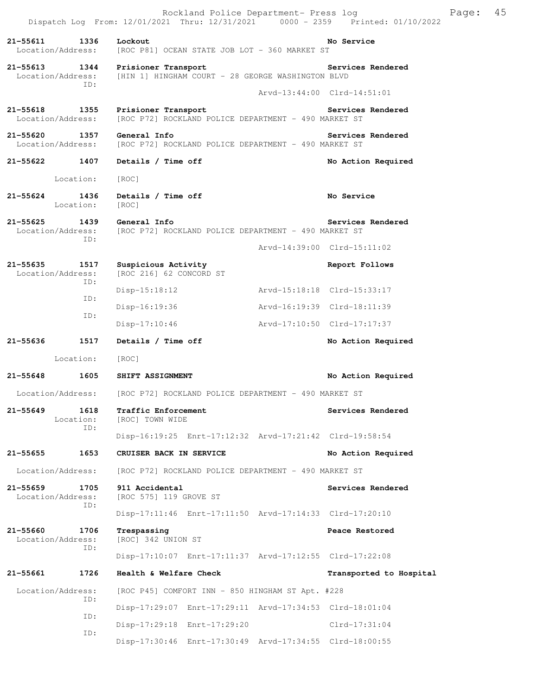|                                    |                           |                                                                                        |                             | Rockland Police Department- Press log                   | Dispatch Log From: 12/01/2021 Thru: 12/31/2021 0000 - 2359 Printed: 01/10/2022 | Page: | 45 |
|------------------------------------|---------------------------|----------------------------------------------------------------------------------------|-----------------------------|---------------------------------------------------------|--------------------------------------------------------------------------------|-------|----|
| 21-55611                           | 1336<br>Location/Address: | Lockout<br>[ROC P81] OCEAN STATE JOB LOT - 360 MARKET ST                               |                             |                                                         | No Service                                                                     |       |    |
| $21 - 55613$<br>Location/Address:  | 1344                      | Prisioner Transport<br>[HIN 1] HINGHAM COURT - 28 GEORGE WASHINGTON BLVD               |                             |                                                         | Services Rendered                                                              |       |    |
|                                    | TD:                       |                                                                                        |                             |                                                         | Arvd-13:44:00 Clrd-14:51:01                                                    |       |    |
| 21-55618 1355<br>Location/Address: |                           | Prisioner Transport                                                                    |                             | [ROC P72] ROCKLAND POLICE DEPARTMENT - 490 MARKET ST    | Services Rendered                                                              |       |    |
| 21-55620 1357<br>Location/Address: |                           | General Info<br>[ROC P72] ROCKLAND POLICE DEPARTMENT - 490 MARKET ST                   |                             |                                                         | Services Rendered                                                              |       |    |
| 21-55622 1407                      |                           | Details / Time off                                                                     |                             |                                                         | No Action Required                                                             |       |    |
|                                    | Location:                 | [ROC]                                                                                  |                             |                                                         |                                                                                |       |    |
| $21 - 55624$                       | 1436<br>Location:         | Details / Time off<br>[ROC]                                                            |                             |                                                         | No Service                                                                     |       |    |
| 21-55625                           | 1439<br>ID:               | General Info<br>Location/Address: [ROC P72] ROCKLAND POLICE DEPARTMENT - 490 MARKET ST |                             |                                                         | Services Rendered                                                              |       |    |
|                                    |                           |                                                                                        |                             |                                                         | Arvd-14:39:00 Clrd-15:11:02                                                    |       |    |
| 21–55635 1517<br>Location/Address: |                           | Suspicious Activity<br>[ROC 216] 62 CONCORD ST                                         |                             |                                                         | Report Follows                                                                 |       |    |
|                                    | ID:                       | $Disp-15:18:12$                                                                        |                             | Arvd-15:18:18 Clrd-15:33:17                             |                                                                                |       |    |
|                                    | ID:                       | Disp-16:19:36                                                                          |                             |                                                         | Arvd-16:19:39 Clrd-18:11:39                                                    |       |    |
|                                    | ID:                       | Disp-17:10:46                                                                          |                             |                                                         | Arvd-17:10:50 Clrd-17:17:37                                                    |       |    |
| 21-55636                           | 1517                      | Details / Time off                                                                     |                             |                                                         | No Action Required                                                             |       |    |
|                                    | Location:                 | [ROC]                                                                                  |                             |                                                         |                                                                                |       |    |
| 21-55648                           | 1605                      | SHIFT ASSIGNMENT                                                                       |                             |                                                         | No Action Required                                                             |       |    |
| Location/Address:                  |                           | [ROC P72] ROCKLAND POLICE DEPARTMENT - 490 MARKET ST                                   |                             |                                                         |                                                                                |       |    |
| 21-55649                           | 1618<br>Location:<br>ID:  | Traffic Enforcement<br>[ROC] TOWN WIDE                                                 |                             |                                                         | Services Rendered                                                              |       |    |
|                                    |                           |                                                                                        |                             | Disp-16:19:25 Enrt-17:12:32 Arvd-17:21:42 Clrd-19:58:54 |                                                                                |       |    |
| 21–55655                           | 1653                      | CRUISER BACK IN SERVICE                                                                |                             |                                                         | No Action Required                                                             |       |    |
| Location/Address:                  |                           |                                                                                        |                             | [ROC P72] ROCKLAND POLICE DEPARTMENT - 490 MARKET ST    |                                                                                |       |    |
| 21-55659<br>Location/Address:      | 1705<br>ID:               | 911 Accidental<br>[ROC 575] 119 GROVE ST                                               |                             |                                                         | Services Rendered                                                              |       |    |
|                                    |                           |                                                                                        |                             | Disp-17:11:46 Enrt-17:11:50 Arvd-17:14:33 Clrd-17:20:10 |                                                                                |       |    |
| 21-55660<br>Location/Address:      | 1706<br>ID:               | Trespassing<br>[ROC] 342 UNION ST                                                      |                             |                                                         | Peace Restored                                                                 |       |    |
|                                    |                           |                                                                                        |                             | Disp-17:10:07 Enrt-17:11:37 Arvd-17:12:55 Clrd-17:22:08 |                                                                                |       |    |
| 21-55661                           | 1726                      | Health & Welfare Check                                                                 |                             |                                                         | Transported to Hospital                                                        |       |    |
| Location/Address:                  | ID:                       |                                                                                        |                             | [ROC P45] COMFORT INN - 850 HINGHAM ST Apt. #228        |                                                                                |       |    |
|                                    |                           |                                                                                        |                             | Disp-17:29:07 Enrt-17:29:11 Arvd-17:34:53 Clrd-18:01:04 |                                                                                |       |    |
|                                    | ID:<br>ID:                |                                                                                        | Disp-17:29:18 Enrt-17:29:20 |                                                         | $Clrd-17:31:04$                                                                |       |    |
|                                    |                           |                                                                                        |                             | Disp-17:30:46 Enrt-17:30:49 Arvd-17:34:55 Clrd-18:00:55 |                                                                                |       |    |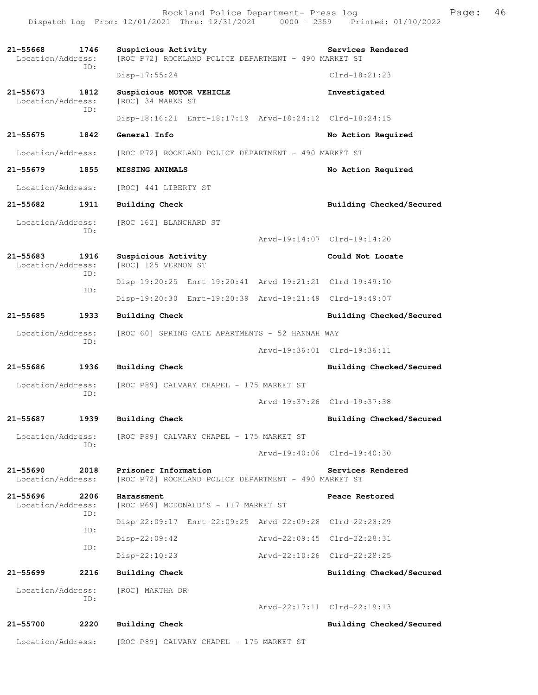Rockland Police Department- Press log Page: 46 Dispatch Log From: 12/01/2021 Thru: 12/31/2021

**21-55668 1746 Suspicious Activity Services Rendered**  Location/Address: [ROC P72] ROCKLAND POLICE DEPARTMENT - 490 MARKET ST ID: Disp-17:55:24 Clrd-18:21:23 **21-55673 1812 Suspicious MOTOR VEHICLE 10 11 12 Investigated** Location/Address: [ROC] 34 MARKS ST Location/Address: ID: Disp-18:16:21 Enrt-18:17:19 Arvd-18:24:12 Clrd-18:24:15 **21-55675 1842 General Info No Action Required**  Location/Address: [ROC P72] ROCKLAND POLICE DEPARTMENT - 490 MARKET ST **21-55679 1855 MISSING ANIMALS No Action Required**  Location/Address: [ROC] 441 LIBERTY ST **21-55682 1911 Building Check Building Checked/Secured**  Location/Address: [ROC 162] BLANCHARD ST ID: Arvd-19:14:07 Clrd-19:14:20 **21-55683 1916 Suspicious Activity Could Not Locate**  [ROC] 125 VERNON ST ID: Disp-19:20:25 Enrt-19:20:41 Arvd-19:21:21 Clrd-19:49:10 ID: Disp-19:20:30 Enrt-19:20:39 Arvd-19:21:49 Clrd-19:49:07 **21-55685 1933 Building Check Building Checked/Secured**  Location/Address: [ROC 60] SPRING GATE APARTMENTS - 52 HANNAH WAY ID: Arvd-19:36:01 Clrd-19:36:11 **21-55686 1936 Building Check Building Checked/Secured**  Location/Address: [ROC P89] CALVARY CHAPEL - 175 MARKET ST ID: Arvd-19:37:26 Clrd-19:37:38 **21-55687 1939 Building Check Building Checked/Secured**  Location/Address: [ROC P89] CALVARY CHAPEL - 175 MARKET ST ID: Arvd-19:40:06 Clrd-19:40:30 **21-55690 2018 Prisoner Information Services Rendered**  Location/Address: [ROC P72] ROCKLAND POLICE DEPARTMENT - 490 MARKET ST **21-55696 2206 Harassment Peace Restored**  Location/Address: [ROC P69] MCDONALD'S - 117 MARKET ST ID: Disp-22:09:17 Enrt-22:09:25 Arvd-22:09:28 Clrd-22:28:29 ID: Disp-22:09:42 Arvd-22:09:45 Clrd-22:28:31 ID: Disp-22:10:23 Arvd-22:10:26 Clrd-22:28:25 **21-55699 2216 Building Check Building Checked/Secured**  Location/Address: [ROC] MARTHA DR ID: Arvd-22:17:11 Clrd-22:19:13 **21-55700 2220 Building Check Building Checked/Secured**  Location/Address: [ROC P89] CALVARY CHAPEL - 175 MARKET ST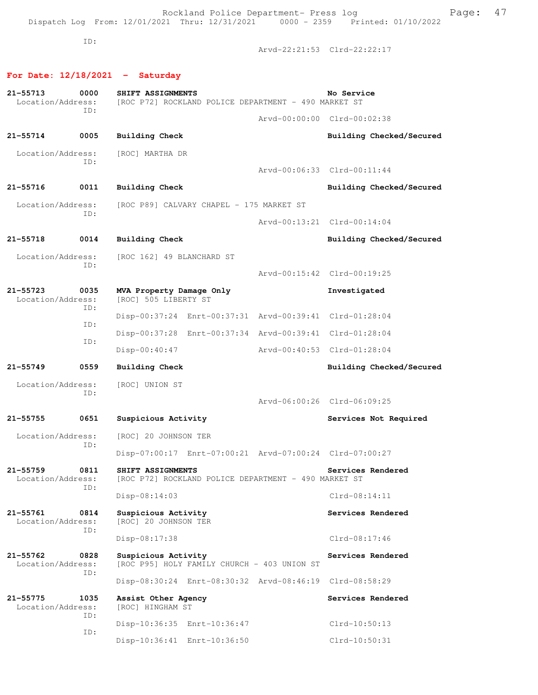ID:

Arvd-22:21:53 Clrd-22:22:17

# **For Date: 12/18/2021 - Saturday**

| 21-55713<br>Location/Address:     | 0000        | SHIFT ASSIGNMENTS<br>[ROC P72] ROCKLAND POLICE DEPARTMENT - 490 MARKET ST |                                                      | No Service            |                          |
|-----------------------------------|-------------|---------------------------------------------------------------------------|------------------------------------------------------|-----------------------|--------------------------|
|                                   | ID:         |                                                                           | Arvd-00:00:00 Clrd-00:02:38                          |                       |                          |
| $21 - 55714$                      | 0005        | <b>Building Check</b>                                                     |                                                      |                       | Building Checked/Secured |
| Location/Address:                 | ID:         | [ROC] MARTHA DR                                                           |                                                      |                       |                          |
|                                   |             |                                                                           | Arvd-00:06:33 Clrd-00:11:44                          |                       |                          |
| $21 - 55716$                      | 0011        | <b>Building Check</b>                                                     |                                                      |                       | Building Checked/Secured |
| Location/Address:                 | ID:         | [ROC P89] CALVARY CHAPEL - 175 MARKET ST                                  |                                                      |                       |                          |
|                                   |             |                                                                           | Arvd-00:13:21 Clrd-00:14:04                          |                       |                          |
| 21-55718                          | 0014        | <b>Building Check</b>                                                     |                                                      |                       | Building Checked/Secured |
| Location/Address:                 | ID:         | [ROC 162] 49 BLANCHARD ST                                                 |                                                      |                       |                          |
|                                   |             |                                                                           | Arvd-00:15:42 Clrd-00:19:25                          |                       |                          |
| $21 - 55723$<br>Location/Address: | 0035<br>ID: | MVA Property Damage Only<br>[ROC] 505 LIBERTY ST                          |                                                      | Investigated          |                          |
|                                   | ID:         | Disp-00:37:24 Enrt-00:37:31 Arvd-00:39:41 Clrd-01:28:04                   |                                                      |                       |                          |
|                                   | ID:         | Disp-00:37:28 Enrt-00:37:34 Arvd-00:39:41 Clrd-01:28:04                   |                                                      |                       |                          |
|                                   |             | Disp-00:40:47                                                             | Arvd-00:40:53 Clrd-01:28:04                          |                       |                          |
| 21-55749                          | 0559        | <b>Building Check</b>                                                     |                                                      |                       | Building Checked/Secured |
| Location/Address:                 | ID:         | [ROC] UNION ST                                                            |                                                      |                       |                          |
|                                   |             |                                                                           | Arvd-06:00:26 Clrd-06:09:25                          |                       |                          |
| 21-55755                          | 0651        | Suspicious Activity                                                       |                                                      | Services Not Required |                          |
| Location/Address:                 | ID:         | [ROC] 20 JOHNSON TER                                                      |                                                      |                       |                          |
|                                   |             | Disp-07:00:17 Enrt-07:00:21 Arvd-07:00:24 Clrd-07:00:27                   |                                                      |                       |                          |
| 21-55759<br>Location/Address:     | 0811<br>ID: | SHIFT ASSIGNMENTS                                                         | [ROC P72] ROCKLAND POLICE DEPARTMENT - 490 MARKET ST | Services Rendered     |                          |
|                                   |             | Disp-08:14:03                                                             |                                                      | $Clrd-08:14:11$       |                          |
| $21 - 55761$<br>Location/Address: | 0814<br>TD: | Suspicious Activity<br>[ROC] 20 JOHNSON TER                               |                                                      | Services Rendered     |                          |
|                                   |             | Disp-08:17:38                                                             |                                                      | $Clrd-08:17:46$       |                          |
| $21 - 55762$<br>Location/Address: | 0828<br>ID: | Suspicious Activity<br>[ROC P95] HOLY FAMILY CHURCH - 403 UNION ST        |                                                      | Services Rendered     |                          |
|                                   |             | Disp-08:30:24 Enrt-08:30:32 Arvd-08:46:19 Clrd-08:58:29                   |                                                      |                       |                          |
| $21 - 55775$<br>Location/Address: | 1035<br>ID: | Assist Other Agency<br>[ROC] HINGHAM ST                                   |                                                      | Services Rendered     |                          |
|                                   | ID:         | Disp-10:36:35 Enrt-10:36:47                                               |                                                      | $Clrd-10:50:13$       |                          |
|                                   |             | Disp-10:36:41 Enrt-10:36:50                                               |                                                      | Clrd-10:50:31         |                          |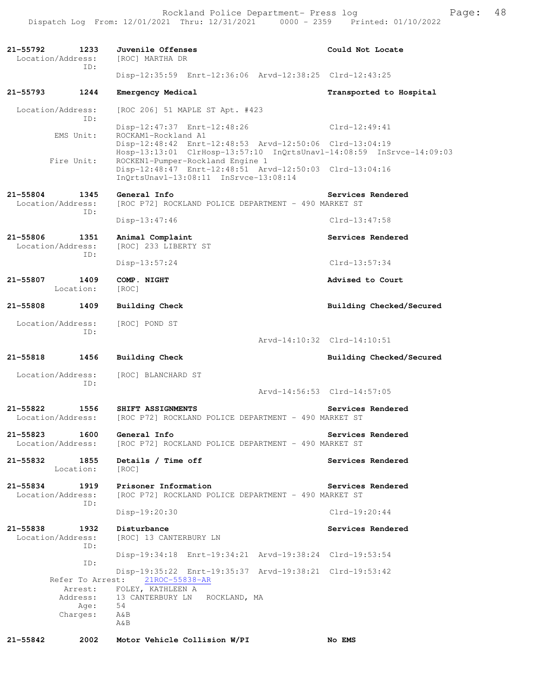Rockland Police Department- Press log entitled and Page: 48 Dispatch Log From: 12/01/2021 Thru: 12/31/2021 0000 - 2359 Printed: 01/10/2022

| $21 - 55792$<br>1233<br>Location/Address:<br>TD: | Juvenile Offenses<br>[ROC] MARTHA DR                                                                                                 | Could Not Locate            |
|--------------------------------------------------|--------------------------------------------------------------------------------------------------------------------------------------|-----------------------------|
|                                                  | Disp-12:35:59 Enrt-12:36:06 Arvd-12:38:25 Clrd-12:43:25                                                                              |                             |
| 21-55793<br>1244                                 | Emergency Medical                                                                                                                    | Transported to Hospital     |
| Location/Address:                                | [ROC 206] 51 MAPLE ST Apt. #423                                                                                                      |                             |
| TD:<br>EMS Unit:                                 | Disp-12:47:37 Enrt-12:48:26<br>ROCKAM1-Rockland A1                                                                                   | $Clrd-12:49:41$             |
|                                                  | Disp-12:48:42 Enrt-12:48:53 Arvd-12:50:06 Clrd-13:04:19<br>Hosp-13:13:01 ClrHosp-13:57:10 InQrtsUnavl-14:08:59 InSrvce-14:09:03      |                             |
| Fire Unit:                                       | ROCKEN1-Pumper-Rockland Engine 1<br>Disp-12:48:47 Enrt-12:48:51 Arvd-12:50:03 Clrd-13:04:16<br>InQrtsUnavl-13:08:11 InSrvce-13:08:14 |                             |
| 21-55804<br>1345<br>Location/Address:            | General Info<br>[ROC P72] ROCKLAND POLICE DEPARTMENT - 490 MARKET ST                                                                 | Services Rendered           |
| ID:                                              | Disp-13:47:46                                                                                                                        | $Clrd-13:47:58$             |
| $21 - 55806$<br>1351<br>Location/Address:        | Animal Complaint<br>[ROC] 233 LIBERTY ST                                                                                             | Services Rendered           |
| ID:                                              | $Disp-13:57:24$                                                                                                                      | $Clrd-13:57:34$             |
| 1409<br>21-55807<br>Location:                    | COMP. NIGHT<br>[ROC]                                                                                                                 | Advised to Court            |
| 21-55808<br>1409                                 | Building Check                                                                                                                       | Building Checked/Secured    |
| Location/Address:                                | [ROC] POND ST                                                                                                                        |                             |
| ID:                                              |                                                                                                                                      | Arvd-14:10:32 Clrd-14:10:51 |
| 21-55818<br>1456                                 | <b>Building Check</b>                                                                                                                | Building Checked/Secured    |
| Location/Address:<br>ID:                         | [ROC] BLANCHARD ST                                                                                                                   |                             |
|                                                  |                                                                                                                                      | Arvd-14:56:53 Clrd-14:57:05 |
| 21-55822<br>1556<br>Location/Address:            | SHIFT ASSIGNMENTS<br>[ROC P72] ROCKLAND POLICE DEPARTMENT - 490 MARKET ST                                                            | Services Rendered           |
| $21 - 55823$<br>1600<br>Location/Address:        | General Info<br>[ROC P72] ROCKLAND POLICE DEPARTMENT - 490 MARKET ST                                                                 | Services Rendered           |
| 21-55832<br>Location:                            | 1855<br>Details / Time off<br>[ROC]                                                                                                  | Services Rendered           |
| 21-55834<br>Location/Address:                    | Prisoner Information<br>1919<br>[ROC P72] ROCKLAND POLICE DEPARTMENT - 490 MARKET ST                                                 | Services Rendered           |
| ID:                                              | $Disp-19:20:30$                                                                                                                      | $Clrd-19:20:44$             |
| 21-55838<br>1932<br>Location/Address:            | Disturbance<br>[ROC] 13 CANTERBURY LN                                                                                                | Services Rendered           |
| ID:                                              | Disp-19:34:18 Enrt-19:34:21 Arvd-19:38:24 Clrd-19:53:54                                                                              |                             |
| ID:<br>Refer To Arrest:                          | Disp-19:35:22 Enrt-19:35:37 Arvd-19:38:21 Clrd-19:53:42<br>21ROC-55838-AR                                                            |                             |
|                                                  | Arrest: FOLEY, KATHLEEN A                                                                                                            |                             |
|                                                  | Address: 13 CANTERBURY LN ROCKLAND, MA<br>Age: 54                                                                                    |                             |
| Charges:                                         | A&B<br>A&B                                                                                                                           |                             |
| 2002<br>21-55842                                 | Motor Vehicle Collision W/PI                                                                                                         | No EMS                      |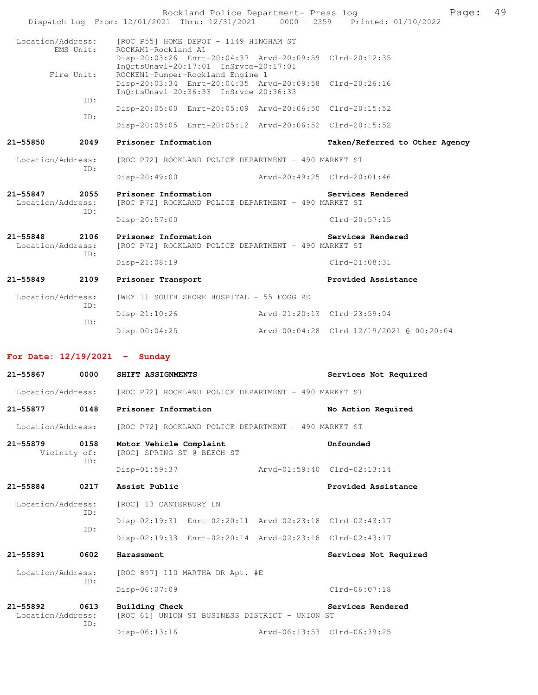Rockland Police Department- Press log Fage: 49<br>21 Thru: 12/31/2021 0000 - 2359 Printed: 01/10/2022 Dispatch Log From: 12/01/2021 Thru: 12/31/2021 Location/Address: [ROC P55] HOME DEPOT - 1149 HINGHAM ST<br>EMS Unit: ROCKAM1-Rockland A1 ROCKAM1-Rockland A1 Disp-20:03:26 Enrt-20:04:37 Arvd-20:09:59 Clrd-20:12:35 InQrtsUnavl-20:17:01 InSrvce-20:17:01<br>Fire Unit: ROCKEN1-Pumper-Rockland Engine 1 ROCKEN1-Pumper-Rockland Engine 1 Disp-20:03:34 Enrt-20:04:35 Arvd-20:09:58 Clrd-20:26:16 InQrtsUnavl-20:36:33 InSrvce-20:36:33 ID: Disp-20:05:00 Enrt-20:05:09 Arvd-20:06:50 Clrd-20:15:52 ID: Disp-20:05:05 Enrt-20:05:12 Arvd-20:06:52 Clrd-20:15:52 **21-55850 2049 Prisoner Information Taken/Referred to Other Agency** Location/Address: [ROC P72] ROCKLAND POLICE DEPARTMENT - 490 MARKET ST ID: Disp-20:49:00 Arvd-20:49:25 Clrd-20:01:46 **21-55847 2055 Prisoner Information Services Rendered**  Location/Address: [ROC P72] ROCKLAND POLICE DEPARTMENT - 490 MARKET ST ID: Disp-20:57:00 Clrd-20:57:15 **21-55848 2106 Prisoner Information Services Rendered**  Location/Address: [ROC P72] ROCKLAND POLICE DEPARTMENT - 490 MARKET ST ID: Disp-21:08:19 Clrd-21:08:31 **21-55849 2109 Prisoner Transport Provided Assistance**  Location/Address: [WEY 1] SOUTH SHORE HOSPITAL - 55 FOGG RD ID: Disp-21:10:26 Arvd-21:20:13 Clrd-23:59:04 ID: Disp-00:04:25 Arvd-00:04:28 Clrd-12/19/2021 @ 00:20:04 **For Date: 12/19/2021 - Sunday 21-55867 0000 SHIFT ASSIGNMENTS Services Not Required**  Location/Address: [ROC P72] ROCKLAND POLICE DEPARTMENT - 490 MARKET ST **21-55877 0148 Prisoner Information No Action Required**  Location/Address: [ROC P72] ROCKLAND POLICE DEPARTMENT - 490 MARKET ST **21-55879 0158 Motor Vehicle Complaint Unfounded**  Vicinity of: [ROC] SPRING ST @ BEECH ST ID: Disp-01:59:37 Arvd-01:59:40 Clrd-02:13:14 **21-55884 0217 Assist Public Provided Assistance**  Location/Address: [ROC] 13 CANTERBURY LN ID: Disp-02:19:31 Enrt-02:20:11 Arvd-02:23:18 Clrd-02:43:17 ID: Disp-02:19:33 Enrt-02:20:14 Arvd-02:23:18 Clrd-02:43:17 **21-55891 0602 Harassment Services Not Required**  Location/Address: [ROC 897] 110 MARTHA DR Apt. #E ID: Disp-06:07:09 Clrd-06:07:18 **21-55892 0613 Building Check Services Rendered**  Location/Address: [ROC 61] UNION ST BUSINESS DISTRICT - UNION ST ID: Disp-06:13:16 Arvd-06:13:53 Clrd-06:39:25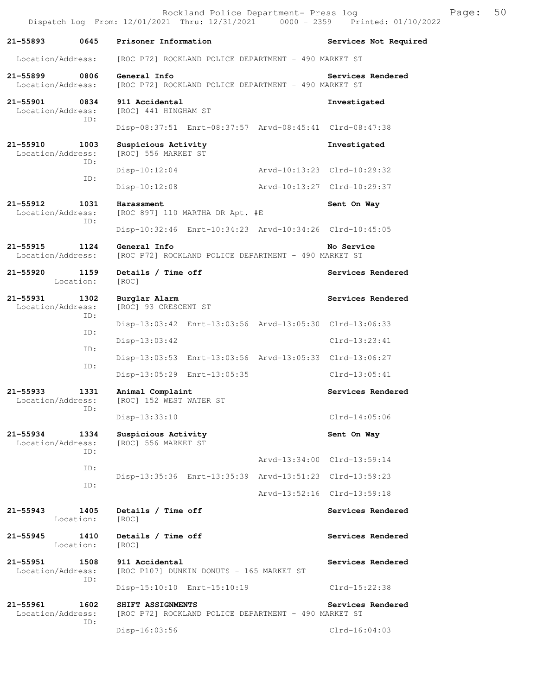|                                    |                   | Dispatch Log From: 12/01/2021 Thru: 12/31/2021 0000 - 2359 Printed: 01/10/2022 | Rockland Police Department- Press log |                             | Page: | 50 |
|------------------------------------|-------------------|--------------------------------------------------------------------------------|---------------------------------------|-----------------------------|-------|----|
| 21-55893 0645                      |                   | Prisoner Information                                                           |                                       | Services Not Required       |       |    |
| Location/Address:                  |                   | [ROC P72] ROCKLAND POLICE DEPARTMENT - 490 MARKET ST                           |                                       |                             |       |    |
| 21–55899<br>Location/Address:      | 0806              | General Info<br>[ROC P72] ROCKLAND POLICE DEPARTMENT - 490 MARKET ST           |                                       | Services Rendered           |       |    |
| 21-55901 0834<br>Location/Address: | ID:               | 911 Accidental<br>[ROC] 441 HINGHAM ST                                         |                                       | Investigated                |       |    |
|                                    |                   | Disp-08:37:51 Enrt-08:37:57 Arvd-08:45:41 Clrd-08:47:38                        |                                       |                             |       |    |
| 21-55910<br>Location/Address:      | 1003<br>ID:       | Suspicious Activity<br>[ROC] 556 MARKET ST                                     |                                       | Investigated                |       |    |
|                                    | ID:               | Disp-10:12:04                                                                  |                                       |                             |       |    |
|                                    |                   | Disp-10:12:08                                                                  | Arvd-10:13:27 Clrd-10:29:37           |                             |       |    |
| 21-55912<br>Location/Address:      | 1031<br>ID:       | Harassment<br>[ROC 897] 110 MARTHA DR Apt. #E                                  |                                       | Sent On Way                 |       |    |
|                                    |                   | Disp-10:32:46 Enrt-10:34:23 Arvd-10:34:26 Clrd-10:45:05                        |                                       |                             |       |    |
| 21-55915<br>Location/Address:      | 1124              | General Info<br>[ROC P72] ROCKLAND POLICE DEPARTMENT - 490 MARKET ST           |                                       | No Service                  |       |    |
| 21-55920 1159                      | Location:         | Details / Time off<br>[ROC]                                                    |                                       | Services Rendered           |       |    |
| 21-55931<br>Location/Address:      | 1302<br>ID:       | Burglar Alarm<br>[ROC] 93 CRESCENT ST                                          |                                       | Services Rendered           |       |    |
|                                    | ID:               | Disp-13:03:42 Enrt-13:03:56 Arvd-13:05:30 Clrd-13:06:33                        |                                       |                             |       |    |
|                                    | ID:               | $Disp-13:03:42$                                                                |                                       | $Clrd-13:23:41$             |       |    |
|                                    | ID:               | Disp-13:03:53 Enrt-13:03:56 Arvd-13:05:33 Clrd-13:06:27                        |                                       |                             |       |    |
|                                    |                   | Disp-13:05:29 Enrt-13:05:35                                                    |                                       | Clrd-13:05:41               |       |    |
| 21–55933<br>Location/Address:      | 1331<br>ID:       | Animal Complaint<br>[ROC] 152 WEST WATER ST                                    |                                       | Services Rendered           |       |    |
|                                    |                   | Disp-13:33:10                                                                  |                                       | $Clrd-14:05:06$             |       |    |
| 21-55934<br>Location/Address:      | 1334<br>ID:       | Suspicious Activity<br>[ROC] 556 MARKET ST                                     |                                       | Sent On Way                 |       |    |
|                                    | ID:               |                                                                                |                                       | Arvd-13:34:00 Clrd-13:59:14 |       |    |
|                                    | ID:               | Disp-13:35:36 Enrt-13:35:39 Arvd-13:51:23 Clrd-13:59:23                        |                                       |                             |       |    |
|                                    |                   |                                                                                |                                       | Arvd-13:52:16 Clrd-13:59:18 |       |    |
| $21 - 55943$                       | 1405<br>Location: | Details / Time off<br>[ROC]                                                    |                                       | Services Rendered           |       |    |
| 21-55945                           | 1410<br>Location: | Details / Time off<br>[ROC]                                                    |                                       | Services Rendered           |       |    |
| 21-55951<br>Location/Address:      | 1508<br>ID:       | 911 Accidental<br>[ROC P107] DUNKIN DONUTS - 165 MARKET ST                     |                                       | Services Rendered           |       |    |
|                                    |                   | Disp-15:10:10 Enrt-15:10:19                                                    |                                       | $Clrd-15:22:38$             |       |    |
| 21-55961<br>Location/Address:      | 1602<br>ID:       | SHIFT ASSIGNMENTS<br>[ROC P72] ROCKLAND POLICE DEPARTMENT - 490 MARKET ST      |                                       | Services Rendered           |       |    |
|                                    |                   | $Disp-16:03:56$                                                                |                                       | Clrd-16:04:03               |       |    |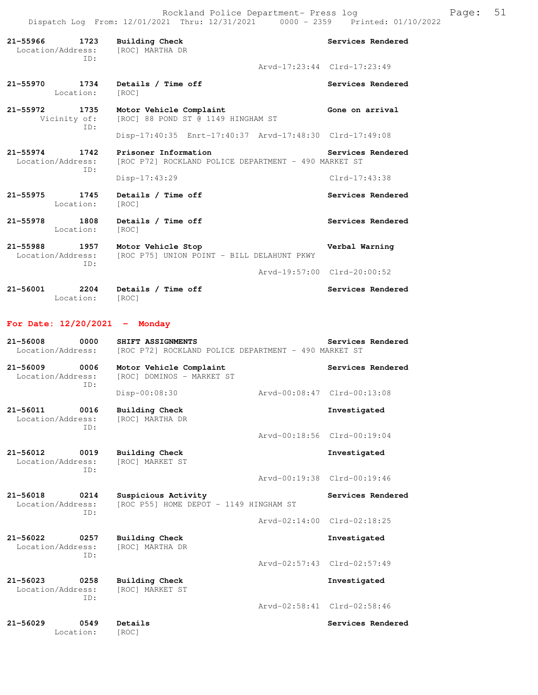Rockland Police Department- Press log Page: 51 Dispatch Log From: 12/01/2021 Thru: 12/31/2021 0000 - 2359 Printed: 01/10/2022

**21-55966 1723 Building Check Services Rendered**  Location/Address: [ROC] MARTHA DR ID: Arvd-17:23:44 Clrd-17:23:49 21-55970 1734 Details / Time off **Services Rendered Services Rendered Incremental Contract Contract Contract Contract Contract Contract Contract Contract Contract Contract Contract Contract Contract Contract Contract C** Location: **21-55972 1735 Motor Vehicle Complaint Gone on arrival**  Vicinity of: [ROC] 88 POND ST @ 1149 HINGHAM ST ID: Disp-17:40:35 Enrt-17:40:37 Arvd-17:48:30 Clrd-17:49:08 **21-55974 1742 Prisoner Information Services Rendered**  Location/Address: [ROC P72] ROCKLAND POLICE DEPARTMENT - 490 MARKET ST ID: Disp-17:43:29 Clrd-17:43:38 **21-55975 1745 Details / Time off Services Rendered**  Location: [ROC] **21-55978 1808 Details / Time off Services Rendered**  Location: [ROC] **21-55988 1957 Motor Vehicle Stop Verbal Warning**  Location/Address: [ROC P75] UNION POINT - BILL DELAHUNT PKWY ID: Arvd-19:57:00 Clrd-20:00:52 **21-56001 2204 Details / Time off Services Rendered** 

Location: [ROC]

#### **For Date: 12/20/2021 - Monday**

| $21 - 56008$<br>0000<br>Location/Address:        | SHIFT ASSIGNMENTS<br>[ROC P72] ROCKLAND POLICE DEPARTMENT - 490 MARKET ST | Services Rendered           |
|--------------------------------------------------|---------------------------------------------------------------------------|-----------------------------|
| $21 - 56009$<br>0006<br>Location/Address:<br>TD: | Motor Vehicle Complaint<br>[ROC] DOMINOS - MARKET ST                      | Services Rendered           |
|                                                  | Disp-00:08:30                                                             | Arvd-00:08:47 Clrd-00:13:08 |
| $21 - 56011$<br>0016<br>Location/Address:<br>TD: | <b>Building Check</b><br>[ROC] MARTHA DR                                  | Investigated                |
|                                                  |                                                                           | Arvd-00:18:56 Clrd-00:19:04 |
| $21 - 56012$<br>0019<br>Location/Address:<br>TD: | <b>Building Check</b><br><b>[ROC] MARKET ST</b>                           | Investigated                |
|                                                  |                                                                           | Arvd-00:19:38 Clrd-00:19:46 |
| $21 - 56018$<br>0214                             | Suspicious Activity<br>[ROC P55] HOME DEPOT - 1149 HINGHAM ST             | Services Rendered           |
| Location/Address:<br>TD:                         |                                                                           |                             |
|                                                  |                                                                           | Arvd-02:14:00 Clrd-02:18:25 |
| $21 - 56022$<br>0257<br>Location/Address:        | <b>Building Check</b><br>[ROC] MARTHA DR                                  | Investigated                |
| TD:                                              |                                                                           | Arvd-02:57:43 Clrd-02:57:49 |
| $21 - 56023$<br>0258<br>Location/Address:<br>ID: | <b>Building Check</b><br>[ROC] MARKET ST                                  | Investigated                |
|                                                  |                                                                           | Arvd-02:58:41 Clrd-02:58:46 |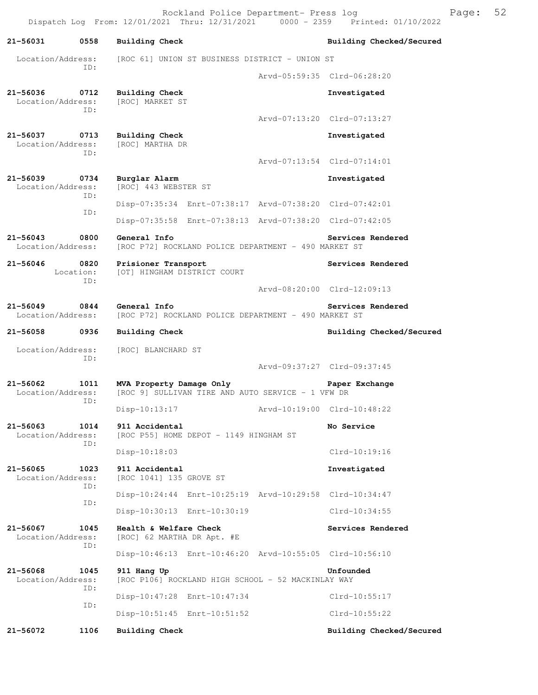Rockland Police Department- Press log Franch Press 100 Dispatch Log From: 12/01/2021 Thru: 12/31/2021 0000 - 2359 Printed: 01/10/2022

**21-56031 0558 Building Check Building Checked/Secured**  Location/Address: [ROC 61] UNION ST BUSINESS DISTRICT - UNION ST ID: Arvd-05:59:35 Clrd-06:28:20 **21-56036 0712 Building Check Investigated**  Location/Address: [ROC] MARKET ST ID: Arvd-07:13:20 Clrd-07:13:27 **21-56037 0713 Building Check Investigated**  Location/Address: ID: Arvd-07:13:54 Clrd-07:14:01 **21-56039 0734 Burglar Alarm Investigated**  Location/Address: [ROC] 443 WEBSTER ST ID: Disp-07:35:34 Enrt-07:38:17 Arvd-07:38:20 Clrd-07:42:01 ID: Disp-07:35:58 Enrt-07:38:13 Arvd-07:38:20 Clrd-07:42:05 21-56043 0800 General Info<br>
Location/Address: [ROC P72] ROCKLAND POLICE DEPARTMENT - 490 MARKET ST [ROC P72] ROCKLAND POLICE DEPARTMENT - 490 MARKET ST **21-56046 0820 Prisioner Transport Services Rendered**  Location: [OT] HINGHAM DISTRICT COURT ID: Arvd-08:20:00 Clrd-12:09:13 **21-56049 0844 General Info Services Rendered**  [ROC P72] ROCKLAND POLICE DEPARTMENT - 490 MARKET ST **21-56058 0936 Building Check Building Checked/Secured**  Location/Address: [ROC] BLANCHARD ST ID: Arvd-09:37:27 Clrd-09:37:45 **21-56062 1011 MVA Property Damage Only Paper Exchange**  Location/Address: [ROC 9] SULLIVAN TIRE AND AUTO SERVICE - 1 VFW DR ID: Disp-10:13:17 Arvd-10:19:00 Clrd-10:48:22 **21-56063 1014 911 Accidental No Service**  Location/Address: [ROC P55] HOME DEPOT - 1149 HINGHAM ST ID: Disp-10:18:03 Clrd-10:19:16 **21-56065 1023 911 Accidental Investigated**  [ROC 1041] 135 GROVE ST ID: Disp-10:24:44 Enrt-10:25:19 Arvd-10:29:58 Clrd-10:34:47 ID: Disp-10:30:13 Enrt-10:30:19 Clrd-10:34:55 **21-56067 1045 Health & Welfare Check Services Rendered**  Location/Address: [ROC] 62 MARTHA DR Apt. #E ID: Disp-10:46:13 Enrt-10:46:20 Arvd-10:55:05 Clrd-10:56:10 **21-56068 1045 911 Hang Up Unfounded**  Location/Address: [ROC P106] ROCKLAND HIGH SCHOOL - 52 MACKINLAY WAY ID: Disp-10:47:28 Enrt-10:47:34 Clrd-10:55:17 ID: Disp-10:51:45 Enrt-10:51:52 Clrd-10:55:22 **21-56072 1106 Building Check Building Checked/Secured**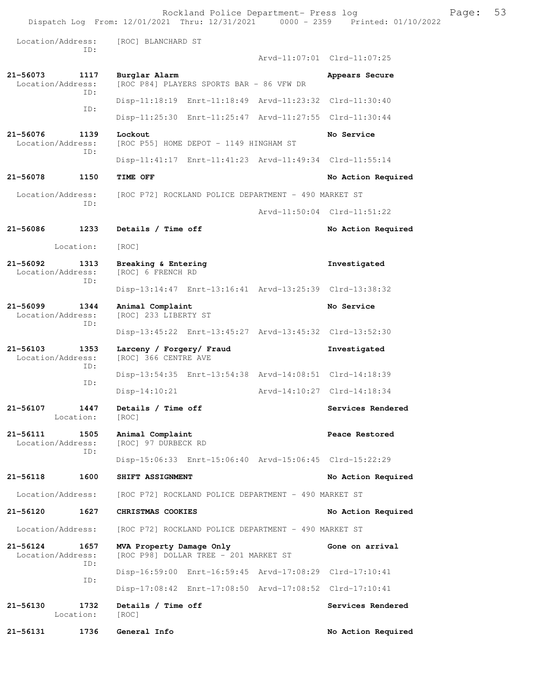Rockland Police Department- Press log Franch Press 100 Dispatch Log From: 12/01/2021 Thru: 12/31/2021 0000 - 2359 Printed: 01/10/2022 Location/Address: [ROC] BLANCHARD ST ID: Arvd-11:07:01 Clrd-11:07:25 **21-56073 1117 Burglar Alarm Appears Secure**  [ROC P84] PLAYERS SPORTS BAR - 86 VFW DR ID: Disp-11:18:19 Enrt-11:18:49 Arvd-11:23:32 Clrd-11:30:40 ID: Disp-11:25:30 Enrt-11:25:47 Arvd-11:27:55 Clrd-11:30:44 **21-56076 1139 Lockout No Service**  Location/Address: [ROC P55] HOME DEPOT - 1149 HINGHAM ST ID: Disp-11:41:17 Enrt-11:41:23 Arvd-11:49:34 Clrd-11:55:14 **21-56078 1150 TIME OFF No Action Required**  Location/Address: [ROC P72] ROCKLAND POLICE DEPARTMENT - 490 MARKET ST ID: Arvd-11:50:04 Clrd-11:51:22 **21-56086 1233 Details / Time off No Action Required**  Location: [ROC] **21-56092 1313 Breaking & Entering Investigated**  Location/Address: [ROC] 6 FRENCH RD ID: Disp-13:14:47 Enrt-13:16:41 Arvd-13:25:39 Clrd-13:38:32 **21-56099 1344 Animal Complaint No Service**  Location/Address: [ROC] 233 LIBERTY ST ID: Disp-13:45:22 Enrt-13:45:27 Arvd-13:45:32 Clrd-13:52:30 **21-56103 1353 Larceny / Forgery/ Fraud Investigated**  [ROC] 366 CENTRE AVE ID: Disp-13:54:35 Enrt-13:54:38 Arvd-14:08:51 Clrd-14:18:39 ID: Disp-14:10:21 Arvd-14:10:27 Clrd-14:18:34 21-56107 1447 Details / Time off Services Rendered Location: [ROC] **21-56111 1505 Animal Complaint Peace Restored**  [ROC] 97 DURBECK RD ID: Disp-15:06:33 Enrt-15:06:40 Arvd-15:06:45 Clrd-15:22:29 **21-56118 1600 SHIFT ASSIGNMENT No Action Required**  Location/Address: [ROC P72] ROCKLAND POLICE DEPARTMENT - 490 MARKET ST **21-56120 1627 CHRISTMAS COOKIES No Action Required**  Location/Address: [ROC P72] ROCKLAND POLICE DEPARTMENT - 490 MARKET ST 21-56124 1657 **MVA Property Damage Only** Gone on arrival Location/Address: [ROC P98] DOLLAR TREE - 201 MARKET ST [ROC P98] DOLLAR TREE - 201 MARKET ST ID: Disp-16:59:00 Enrt-16:59:45 Arvd-17:08:29 Clrd-17:10:41 ID: Disp-17:08:42 Enrt-17:08:50 Arvd-17:08:52 Clrd-17:10:41 21-56130 1732 Details / Time off **Services Rendered**  Location: [ROC] **21-56131 1736 General Info No Action Required**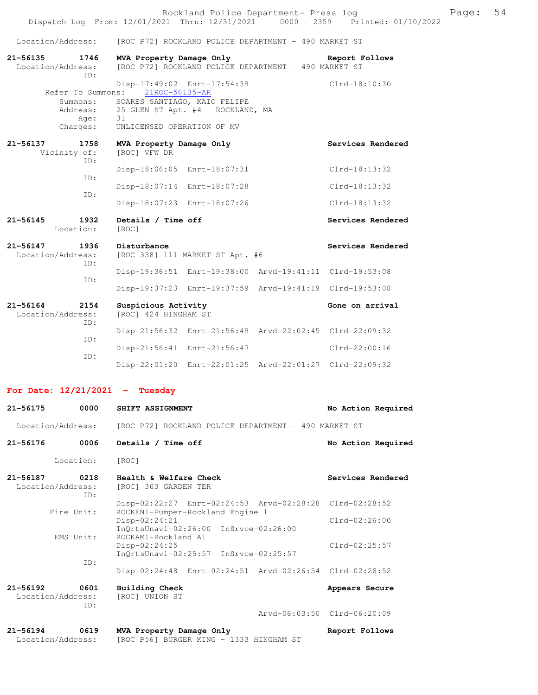.<br>Location/Address: [ROC P72] ROCKLAND POLICE DEPARTMENT - 490 M

| 21-56164 2154<br>Location/Address:   | Suspicious Activity<br>[ROC] 424 HINGHAM ST                                                                            | Gone on arrival   |
|--------------------------------------|------------------------------------------------------------------------------------------------------------------------|-------------------|
|                                      | Disp-19:37:23 Enrt-19:37:59 Arvd-19:41:19 Clrd-19:53:08                                                                |                   |
| TD:                                  | Disp-19:36:51 Enrt-19:38:00 Arvd-19:41:11 Clrd-19:53:08                                                                |                   |
| Location/Address:<br>TD:             | [ROC 338] 111 MARKET ST Apt. #6                                                                                        |                   |
| 21-56147 1936                        | Disturbance                                                                                                            | Services Rendered |
| $21 - 56145$<br>1932<br>Location:    | Details / Time off<br>[ROC]                                                                                            | Services Rendered |
| TD:                                  | Disp-18:07:23 Enrt-18:07:26                                                                                            | $Clrd-18:13:32$   |
| ID:                                  | Disp-18:07:14 Enrt-18:07:28                                                                                            | $Clrd-18:13:32$   |
|                                      | Disp-18:06:05 Enrt-18:07:31                                                                                            | $Clrd-18:13:32$   |
| 21-56137 1758<br>Vicinity of:<br>TD: | MVA Property Damage Only<br>[ROC] VFW DR                                                                               | Services Rendered |
|                                      |                                                                                                                        |                   |
| Age: 31                              | Charges: UNLICENSED OPERATION OF MV                                                                                    |                   |
|                                      | Summons: SOARES SANTIAGO, KAIO FELIPE<br>Address: 25 GLEN ST Apt. #4 ROCKLAND, MA                                      |                   |
|                                      | Refer To Summons: 21ROC-56135-AR                                                                                       |                   |
| TD:                                  | Disp-17:49:02 Enrt-17:54:39                                                                                            | Clrd-18:10:30     |
| 21-56135 1746<br>Location/Address:   | MVA Property Damage Only<br><b>Example 2011 Report Follows</b><br>[ROC P72] ROCKLAND POLICE DEPARTMENT - 490 MARKET ST |                   |
| Location/Address:                    | [ROC P72] ROCKLAND POLICE DEPARTMENT - 490 MARKET ST                                                                   |                   |

| LOCALION/AUULESS.<br>TD: | INUC I HAH ILINGHAMI OI |                             |                                                         |                 |  |
|--------------------------|-------------------------|-----------------------------|---------------------------------------------------------|-----------------|--|
|                          |                         |                             | Disp-21:56:32 Enrt-21:56:49 Arvd-22:02:45 Clrd-22:09:32 |                 |  |
| TD:                      |                         | Disp-21:56:41 Enrt-21:56:47 |                                                         | $Clrd-22:00:16$ |  |
| TD:                      |                         |                             | Disp-22:01:20 Enrt-22:01:25 Arvd-22:01:27 Clrd-22:09:32 |                 |  |

**For Date: 12/21/2021 - Tuesday**

| 21-56175                          | 0000        | SHIFT ASSIGNMENT                                                                            | No Action Required          |
|-----------------------------------|-------------|---------------------------------------------------------------------------------------------|-----------------------------|
| Location/Address:                 |             | [ROC P72] ROCKLAND POLICE DEPARTMENT - 490 MARKET ST                                        |                             |
| $21 - 56176$                      | 0006        | Details / Time off                                                                          | No Action Required          |
|                                   | Location:   | [ROC]                                                                                       |                             |
| $21 - 56187$<br>Location/Address: | 0218<br>TD: | Health & Welfare Check<br>[ROC] 303 GARDEN TER                                              | Services Rendered           |
|                                   | Fire Unit:  | Disp-02:22:27 Enrt-02:24:53 Arvd-02:28:28 Clrd-02:28:52<br>ROCKEN1-Pumper-Rockland Engine 1 |                             |
|                                   |             | Disp-02:24:21<br>InOrtsUnavl-02:26:00 InSrvce-02:26:00                                      | $Clrd-02:26:00$             |
|                                   | EMS Unit:   | ROCKAM1-Rockland A1<br>$Disp-02:24:25$<br>InQrtsUnavl-02:25:57 InSrvce-02:25:57             | $Clrd-02:25:57$             |
|                                   | TD:         | Disp-02:24:48 Enrt-02:24:51 Arvd-02:26:54 Clrd-02:28:52                                     |                             |
| $21 - 56192$<br>Location/Address: | 0601<br>ID: | Building Check<br>[ROC] UNION ST                                                            | Appears Secure              |
|                                   |             |                                                                                             | Arvd-06:03:50 Clrd-06:20:09 |
| $21 - 56194$<br>Location/Address: | 0619        | MVA Property Damage Only<br>ROC P56] BURGER KING - 1333 HINGHAM ST                          | Report Follows              |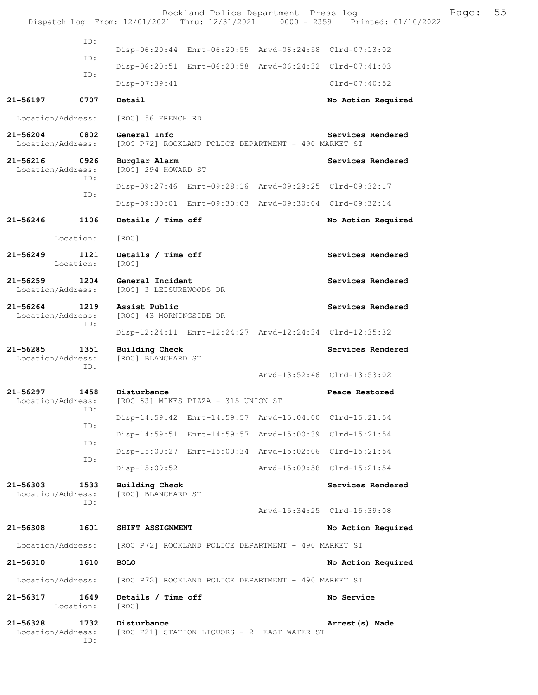|                                   |                   |                                                                      | Rockland Police Department- Press log                   | Dispatch Log From: 12/01/2021 Thru: 12/31/2021 0000 - 2359 Printed: 01/10/2022 | Page: | 55 |
|-----------------------------------|-------------------|----------------------------------------------------------------------|---------------------------------------------------------|--------------------------------------------------------------------------------|-------|----|
|                                   | ID:               |                                                                      |                                                         |                                                                                |       |    |
|                                   | ID:               |                                                                      | Disp-06:20:44 Enrt-06:20:55 Arvd-06:24:58 Clrd-07:13:02 |                                                                                |       |    |
|                                   | ID:               |                                                                      | Disp-06:20:51 Enrt-06:20:58 Arvd-06:24:32 Clrd-07:41:03 |                                                                                |       |    |
|                                   |                   | $Disp-07:39:41$                                                      |                                                         | $Clrd-07:40:52$                                                                |       |    |
| 21-56197                          | 0707              | Detail                                                               |                                                         | No Action Required                                                             |       |    |
| Location/Address:                 |                   | [ROC] 56 FRENCH RD                                                   |                                                         |                                                                                |       |    |
| 21-56204<br>Location/Address:     | 0802              | General Info                                                         | [ROC P72] ROCKLAND POLICE DEPARTMENT - 490 MARKET ST    | Services Rendered                                                              |       |    |
| $21 - 56216$<br>Location/Address: | 0926<br>ID:       | Burglar Alarm<br>[ROC] 294 HOWARD ST                                 |                                                         | Services Rendered                                                              |       |    |
|                                   | ID:               |                                                                      | Disp-09:27:46 Enrt-09:28:16 Arvd-09:29:25 Clrd-09:32:17 |                                                                                |       |    |
|                                   |                   |                                                                      | Disp-09:30:01 Enrt-09:30:03 Arvd-09:30:04 Clrd-09:32:14 |                                                                                |       |    |
| 21-56246                          | 1106              | Details / Time off                                                   |                                                         | No Action Required                                                             |       |    |
|                                   | Location:         | [ROC]                                                                |                                                         |                                                                                |       |    |
| 21-56249                          | 1121<br>Location: | Details / Time off<br>[ROC]                                          |                                                         | Services Rendered                                                              |       |    |
| $21 - 56259$<br>Location/Address: | 1204              | General Incident<br>[ROC] 3 LEISUREWOODS DR                          |                                                         | Services Rendered                                                              |       |    |
| 21-56264<br>Location/Address:     | 1219<br>ID:       | Assist Public<br>[ROC] 43 MORNINGSIDE DR                             |                                                         | Services Rendered                                                              |       |    |
|                                   |                   |                                                                      | Disp-12:24:11 Enrt-12:24:27 Arvd-12:24:34 Clrd-12:35:32 |                                                                                |       |    |
| 21-56285<br>Location/Address:     | 1351<br>ID:       | <b>Building Check</b><br>[ROC] BLANCHARD ST                          |                                                         | Services Rendered                                                              |       |    |
|                                   |                   |                                                                      |                                                         | Arvd-13:52:46 Clrd-13:53:02                                                    |       |    |
| 21-56297                          | 1458<br>ID:       | Disturbance<br>Location/Address: [ROC 63] MIKES PIZZA - 315 UNION ST |                                                         | Peace Restored                                                                 |       |    |
|                                   | ID:               |                                                                      | Disp-14:59:42 Enrt-14:59:57 Arvd-15:04:00 Clrd-15:21:54 |                                                                                |       |    |
|                                   | ID:               |                                                                      | Disp-14:59:51 Enrt-14:59:57 Arvd-15:00:39 Clrd-15:21:54 |                                                                                |       |    |
|                                   | ID:               |                                                                      | Disp-15:00:27 Enrt-15:00:34 Arvd-15:02:06 Clrd-15:21:54 |                                                                                |       |    |
|                                   |                   | $Disp-15:09:52$                                                      |                                                         | Arvd-15:09:58 Clrd-15:21:54                                                    |       |    |
| $21 - 56303$<br>Location/Address: | 1533<br>ID:       | Building Check<br>[ROC] BLANCHARD ST                                 |                                                         | Services Rendered                                                              |       |    |
|                                   |                   |                                                                      |                                                         | Arvd-15:34:25 Clrd-15:39:08                                                    |       |    |
| 21-56308                          | 1601              | SHIFT ASSIGNMENT                                                     |                                                         | No Action Required                                                             |       |    |
| Location/Address:                 |                   |                                                                      | [ROC P72] ROCKLAND POLICE DEPARTMENT - 490 MARKET ST    |                                                                                |       |    |
| 21-56310                          | 1610              | <b>BOLO</b>                                                          |                                                         | No Action Required                                                             |       |    |
| Location/Address:                 |                   |                                                                      | [ROC P72] ROCKLAND POLICE DEPARTMENT - 490 MARKET ST    |                                                                                |       |    |
| 21-56317                          | 1649<br>Location: | Details / Time off<br>[ROC]                                          |                                                         | No Service                                                                     |       |    |
| $21 - 56328$<br>Location/Address: | 1732<br>ID:       | Disturbance                                                          | [ROC P21] STATION LIQUORS - 21 EAST WATER ST            | Arrest (s) Made                                                                |       |    |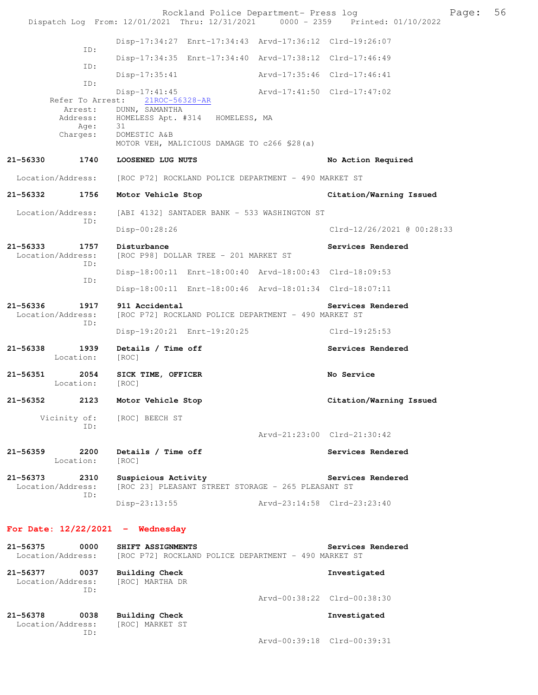|              |                                  | Rockland Police Department- Press log                                                       |                             | Page:                       | 56 |
|--------------|----------------------------------|---------------------------------------------------------------------------------------------|-----------------------------|-----------------------------|----|
|              |                                  | Dispatch Log From: 12/01/2021 Thru: 12/31/2021 0000 - 2359 Printed: 01/10/2022              |                             |                             |    |
|              | ID:                              | Disp-17:34:27 Enrt-17:34:43 Arvd-17:36:12 Clrd-19:26:07                                     |                             |                             |    |
|              | ID:                              | Disp-17:34:35 Enrt-17:34:40 Arvd-17:38:12 Clrd-17:46:49                                     |                             |                             |    |
|              | ID:                              | $Disp-17:35:41$                                                                             |                             | Arvd-17:35:46 Clrd-17:46:41 |    |
|              |                                  | $Disp-17:41:45$                                                                             |                             | Arvd-17:41:50 Clrd-17:47:02 |    |
|              | Refer To Arrest:<br>Arrest:      | 21ROC-56328-AR<br>DUNN, SAMANTHA                                                            |                             |                             |    |
|              | Address:<br>Age:                 | HOMELESS Apt. #314 HOMELESS, MA<br>31                                                       |                             |                             |    |
|              | Charges:                         | DOMESTIC A&B<br>MOTOR VEH, MALICIOUS DAMAGE TO c266 \$28(a)                                 |                             |                             |    |
| 21-56330     | 1740                             | LOOSENED LUG NUTS                                                                           |                             | No Action Required          |    |
|              | Location/Address:                | [ROC P72] ROCKLAND POLICE DEPARTMENT - 490 MARKET ST                                        |                             |                             |    |
| 21-56332     | 1756                             | Motor Vehicle Stop                                                                          |                             | Citation/Warning Issued     |    |
|              | Location/Address:<br>ID:         | [ABI 4132] SANTADER BANK - 533 WASHINGTON ST                                                |                             |                             |    |
|              |                                  | Disp-00:28:26                                                                               |                             | Clrd-12/26/2021 @ 00:28:33  |    |
| 21-56333     | 1757<br>Location/Address:<br>ID: | Disturbance<br>[ROC P98] DOLLAR TREE - 201 MARKET ST                                        |                             | Services Rendered           |    |
|              | ID:                              | Disp-18:00:11 Enrt-18:00:40 Arvd-18:00:43 Clrd-18:09:53                                     |                             |                             |    |
|              |                                  | Disp-18:00:11 Enrt-18:00:46 Arvd-18:01:34 Clrd-18:07:11                                     |                             |                             |    |
| 21-56336     | 1917<br>Location/Address:<br>ID: | 911 Accidental<br>[ROC P72] ROCKLAND POLICE DEPARTMENT - 490 MARKET ST                      |                             | Services Rendered           |    |
|              |                                  | Disp-19:20:21 Enrt-19:20:25                                                                 |                             | Clrd-19:25:53               |    |
| 21-56338     | 1939<br>Location:                | Details / Time off<br>[ROC]                                                                 |                             | Services Rendered           |    |
| 21-56351     | 2054<br>Location:                | SICK TIME, OFFICER<br>[ROC]                                                                 |                             | No Service                  |    |
| $21 - 56352$ | 2123                             | Motor Vehicle Stop                                                                          |                             | Citation/Warning Issued     |    |
|              | ID:                              | Vicinity of: [ROC] BEECH ST                                                                 |                             |                             |    |
|              |                                  |                                                                                             |                             | Arvd-21:23:00 Clrd-21:30:42 |    |
| 21-56359     | 2200<br>Location:                | Details / Time off<br>[ROC]                                                                 |                             | Services Rendered           |    |
| 21-56373     | 2310<br>Location/Address:<br>ID: | Suspicious Activity<br>[ROC 23] PLEASANT STREET STORAGE - 265 PLEASANT ST                   |                             | Services Rendered           |    |
|              |                                  | Disp-23:13:55                                                                               | Arvd-23:14:58 Clrd-23:23:40 |                             |    |
|              |                                  | For Date: $12/22/2021$ - Wednesday                                                          |                             |                             |    |
| 21-56375     | 0000                             | SHIFT ASSIGNMENTS<br>Location/Address: [ROC P72] ROCKLAND POLICE DEPARTMENT - 490 MARKET ST |                             | Services Rendered           |    |
|              | Location/Address:                | 21-56377 0037 Building Check<br>[ROC] MARTHA DR                                             |                             | Investigated                |    |
|              | ID:                              |                                                                                             |                             | Arvd-00:38:22 Clrd-00:38:30 |    |
| 21-56378     | 0038                             | <b>Building Check</b>                                                                       |                             | Investigated                |    |

 Location/Address: [ROC] MARKET ST ID:

Arvd-00:39:18 Clrd-00:39:31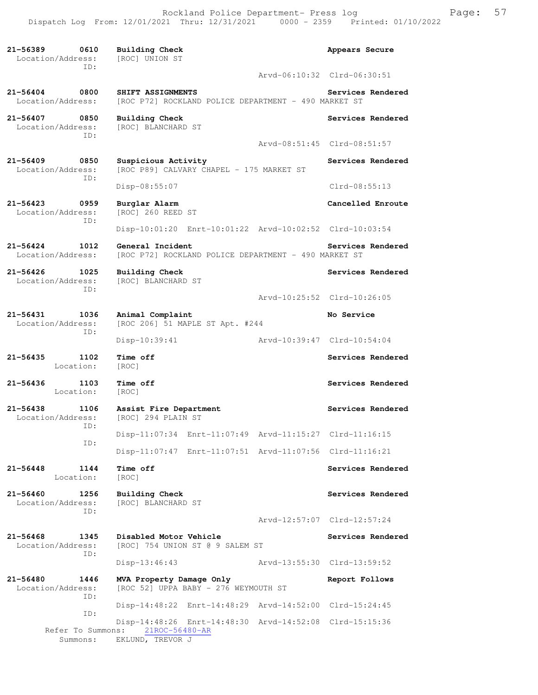**21-56389 0610 Building Check Appears Secure**  Location/Address: ID: Arvd-06:10:32 Clrd-06:30:51 21-56404 0800 SHIFT ASSIGNMENTS **Services Rendered Services Rendered Location/Address:** [ROC P72] ROCKLAND POLICE DEPARTMENT - 490 MARKET ST [ROC P72] ROCKLAND POLICE DEPARTMENT - 490 MARKET ST **21-56407 0850 Building Check Services Rendered**  Location/Address: [ROC] BLANCHARD ST ID: Arvd-08:51:45 Clrd-08:51:57 21-56409 0850 Suspicious Activity **Services Rendered Services** Rendered Location/Address: [ROC P89] CALVARY CHAPEL - 175 MARKET ST ID: Disp-08:55:07 Clrd-08:55:13 **21-56423 0959 Burglar Alarm Cancelled Enroute**  Location/Address: ID: Disp-10:01:20 Enrt-10:01:22 Arvd-10:02:52 Clrd-10:03:54 21-56424 1012 General Incident Services Rendered Location/Address: [ROC P72] ROCKLAND POLICE DEPARTMENT - 490 MARKET ST [ROC P72] ROCKLAND POLICE DEPARTMENT - 490 MARKET ST **21-56426 1025 Building Check Services Rendered**  [ROC] BLANCHARD ST ID: Arvd-10:25:52 Clrd-10:26:05 **21-56431 1036 Animal Complaint No Service**  Location/Address: [ROC 206] 51 MAPLE ST Apt. #244 ID: Disp-10:39:41 Arvd-10:39:47 Clrd-10:54:04 **21-56435 1102 Time off Services Rendered Services Rendered 1102 Time off Services Rendered** Location: 21-56436 1103 Time off Services Rendered Location: [ROC] **21-56438 1106 Assist Fire Department Services Rendered**  [ROC] 294 PLAIN ST ID: Disp-11:07:34 Enrt-11:07:49 Arvd-11:15:27 Clrd-11:16:15 ID: Disp-11:07:47 Enrt-11:07:51 Arvd-11:07:56 Clrd-11:16:21 **21-56448 1144 Time off Services Rendered**  Location: [ROC] **21-56460 1256 Building Check Services Rendered**  Location/Address: [ROC] BLANCHARD ST ID: Arvd-12:57:07 Clrd-12:57:24 **21-56468 1345 Disabled Motor Vehicle Services Rendered**  Location/Address: [ROC] 754 UNION ST @ 9 SALEM ST ID: Disp-13:46:43 Arvd-13:55:30 Clrd-13:59:52 **21-56480 1446 MVA Property Damage Only Report Follows**  Location/Address: [ROC 52] UPPA BABY - 276 WEYMOUTH ST ID: Disp-14:48:22 Enrt-14:48:29 Arvd-14:52:00 Clrd-15:24:45 ID: Disp-14:48:26 Enrt-14:48:30 Arvd-14:52:08 Clrd-15:15:36 Refer To Summons: 21ROC-56480-AR

Summons: EKLUND, TREVOR J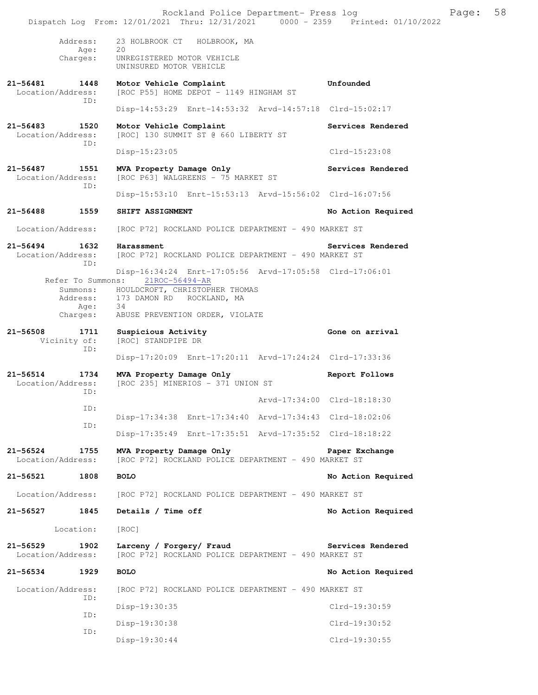|                                    |                              | Rockland Police Department- Press log<br>Dispatch Log From: 12/01/2021 Thru: 12/31/2021 0000 - 2359 Printed: 01/10/2022                           |                             | Page: | 58 |
|------------------------------------|------------------------------|---------------------------------------------------------------------------------------------------------------------------------------------------|-----------------------------|-------|----|
|                                    | Address:                     | 23 HOLBROOK CT HOLBROOK, MA                                                                                                                       |                             |       |    |
|                                    | Age:<br>Charges:             | 20<br>UNREGISTERED MOTOR VEHICLE<br>UNINSURED MOTOR VEHICLE                                                                                       |                             |       |    |
| 21-56481 1448<br>Location/Address: |                              | Motor Vehicle Complaint<br>[ROC P55] HOME DEPOT - 1149 HINGHAM ST                                                                                 | Unfounded                   |       |    |
|                                    | ID:                          | Disp-14:53:29 Enrt-14:53:32 Arvd-14:57:18 Clrd-15:02:17                                                                                           |                             |       |    |
| 21-56483 1520<br>Location/Address: | ID:                          | Motor Vehicle Complaint<br>[ROC] 130 SUMMIT ST @ 660 LIBERTY ST                                                                                   | Services Rendered           |       |    |
|                                    |                              | $Disp-15:23:05$                                                                                                                                   | $Clrd-15:23:08$             |       |    |
| 21-56487<br>Location/Address:      | 1551                         | MVA Property Damage Only<br>[ROC P63] WALGREENS - 75 MARKET ST                                                                                    | Services Rendered           |       |    |
|                                    | ID:                          | Disp-15:53:10 Enrt-15:53:13 Arvd-15:56:02 Clrd-16:07:56                                                                                           |                             |       |    |
| 21-56488 1559                      |                              | SHIFT ASSIGNMENT                                                                                                                                  | No Action Required          |       |    |
| Location/Address:                  |                              | [ROC P72] ROCKLAND POLICE DEPARTMENT - 490 MARKET ST                                                                                              |                             |       |    |
| 21-56494<br>Location/Address:      | 1632                         | Harassment<br>[ROC P72] ROCKLAND POLICE DEPARTMENT - 490 MARKET ST                                                                                | Services Rendered           |       |    |
|                                    | ID:                          | Disp-16:34:24 Enrt-17:05:56 Arvd-17:05:58 Clrd-17:06:01                                                                                           |                             |       |    |
|                                    | Address:<br>Age:<br>Charges: | Refer To Summons: 21ROC-56494-AR<br>Summons: HOULDCROFT, CHRISTOPHER THOMAS<br>173 DAMON RD ROCKLAND, MA<br>34<br>ABUSE PREVENTION ORDER, VIOLATE |                             |       |    |
| $21 - 56508$                       | 1711                         | Suspicious Activity                                                                                                                               | Gone on arrival             |       |    |
|                                    | Vicinity of:<br>ID:          | [ROC] STANDPIPE DR                                                                                                                                |                             |       |    |
|                                    |                              | Disp-17:20:09 Enrt-17:20:11 Arvd-17:24:24 Clrd-17:33:36                                                                                           |                             |       |    |
| 21-56514<br>Location/Address:      | 1734<br>ID:                  | MVA Property Damage Only<br>[ROC 235] MINERIOS - 371 UNION ST                                                                                     | Report Follows              |       |    |
|                                    | ID:                          |                                                                                                                                                   | Arvd-17:34:00 Clrd-18:18:30 |       |    |
|                                    | ID:                          | Disp-17:34:38 Enrt-17:34:40 Arvd-17:34:43 Clrd-18:02:06                                                                                           |                             |       |    |
|                                    |                              | Disp-17:35:49 Enrt-17:35:51 Arvd-17:35:52 Clrd-18:18:22                                                                                           |                             |       |    |
| 21-56524<br>Location/Address:      | 1755                         | MVA Property Damage Only<br>[ROC P72] ROCKLAND POLICE DEPARTMENT - 490 MARKET ST                                                                  | Paper Exchange              |       |    |
| 21-56521                           | 1808                         | <b>BOLO</b>                                                                                                                                       | No Action Required          |       |    |
| Location/Address:                  |                              | [ROC P72] ROCKLAND POLICE DEPARTMENT - 490 MARKET ST                                                                                              |                             |       |    |
| 21-56527 1845                      |                              | Details / Time off                                                                                                                                | No Action Required          |       |    |
|                                    | Location:                    | [ROC]                                                                                                                                             |                             |       |    |
| $21 - 56529$<br>Location/Address:  | 1902                         | Larceny / Forgery/ Fraud<br>[ROC P72] ROCKLAND POLICE DEPARTMENT - 490 MARKET ST                                                                  | Services Rendered           |       |    |
| 21-56534                           | 1929                         | <b>BOLO</b>                                                                                                                                       | No Action Required          |       |    |
| Location/Address:                  |                              | [ROC P72] ROCKLAND POLICE DEPARTMENT - 490 MARKET ST                                                                                              |                             |       |    |
|                                    | ID:                          | Disp-19:30:35                                                                                                                                     | Clrd-19:30:59               |       |    |
|                                    | ID:                          | Disp-19:30:38                                                                                                                                     | Clrd-19:30:52               |       |    |
|                                    | ID:                          | Disp-19:30:44                                                                                                                                     | Clrd-19:30:55               |       |    |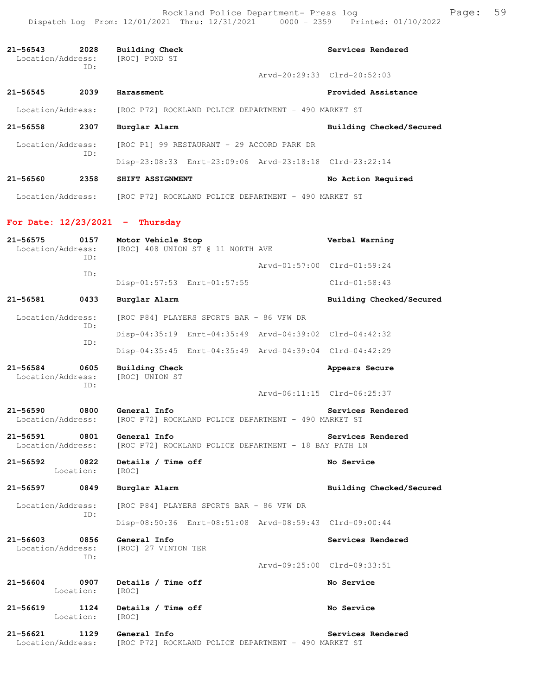Rockland Police Department- Press log Fage: 59 Dispatch Log From: 12/01/2021 Thru: 12/31/2021 0000 - 2359 Printed: 01/10/2022

**21-56543 2028 Building Check Services Rendered**  Location/Address: [ROC] POND ST ID: Arvd-20:29:33 Clrd-20:52:03 **21-56545 2039 Harassment Provided Assistance**  Location/Address: [ROC P72] ROCKLAND POLICE DEPARTMENT - 490 MARKET ST **21-56558 2307 Burglar Alarm Building Checked/Secured**  Location/Address: [ROC P1] 99 RESTAURANT - 29 ACCORD PARK DR ID: Disp-23:08:33 Enrt-23:09:06 Arvd-23:18:18 Clrd-23:22:14 **21-56560 2358 SHIFT ASSIGNMENT No Action Required**  Location/Address: [ROC P72] ROCKLAND POLICE DEPARTMENT - 490 MARKET ST **For Date: 12/23/2021 - Thursday 21-56575 0157 Motor Vehicle Stop Verbal Warning**  Location/Address: [ROC] 408 UNION ST @ 11 NORTH AVE ID: Arvd-01:57:00 Clrd-01:59:24 ID: Disp-01:57:53 Enrt-01:57:55 Clrd-01:58:43 **21-56581 0433 Burglar Alarm Building Checked/Secured**  Location/Address: [ROC P84] PLAYERS SPORTS BAR - 86 VFW DR ID: Disp-04:35:19 Enrt-04:35:49 Arvd-04:39:02 Clrd-04:42:32 ID: Disp-04:35:45 Enrt-04:35:49 Arvd-04:39:04 Clrd-04:42:29 **21-56584 0605 Building Check Appears Secure**  Location/Address: [ROC] UNION ST ID: Arvd-06:11:15 Clrd-06:25:37 **21-56590 0800 General Info Services Rendered**  Location/Address: [ROC P72] ROCKLAND POLICE DEPARTMENT - 490 MARKET ST 21-56591 0801 General Info<br>Location/Address: [ROC P72] ROCKLAND POLICE DEPARTMENT - 18 BAY PATH LN [ROC P72] ROCKLAND POLICE DEPARTMENT - 18 BAY PATH LN **21-56592 0822 Details / Time off No Service**  Location: [ROC] **21-56597 0849 Burglar Alarm Building Checked/Secured**  Location/Address: [ROC P84] PLAYERS SPORTS BAR - 86 VFW DR ID: Disp-08:50:36 Enrt-08:51:08 Arvd-08:59:43 Clrd-09:00:44 **21-56603 0856 General Info Services Rendered**  Location/Address: [ROC] 27 VINTON TER ID: Arvd-09:25:00 Clrd-09:33:51 **21-56604 0907 Details / Time off No Service**  Location: [ROC] **21-56619 1124 Details / Time off No Service No Service Integral** Location: **21-56621 1129 General Info Services Rendered**  Location/Address: [ROC P72] ROCKLAND POLICE DEPARTMENT - 490 MARKET ST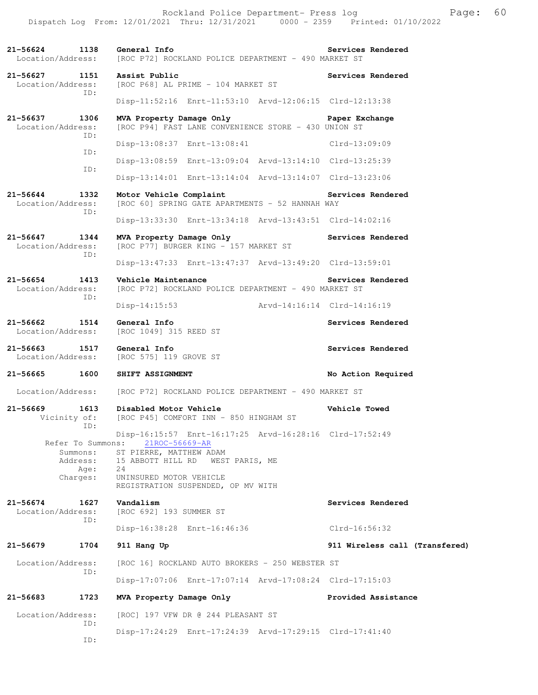Rockland Police Department- Press log Freed Page: 60 Dispatch Log From: 12/01/2021 Thru: 12/31/2021 0000 - 2359 Printed: 01/10/2022

**21-56624 1138 General Info Services Rendered**  Location/Address: [ROC P72] ROCKLAND POLICE DEPARTMENT - 490 MARKET ST **21-56627 1151 Assist Public Services Rendered**  Location/Address: [ROC P68] AL PRIME - 104 MARKET ST ID: Disp-11:52:16 Enrt-11:53:10 Arvd-12:06:15 Clrd-12:13:38 **21-56637 1306 MVA Property Damage Only Paper Exchange**  Location/Address: [ROC P94] FAST LANE CONVENIENCE STORE - 430 UNION ST ID: Disp-13:08:37 Enrt-13:08:41 Clrd-13:09:09 ID: Disp-13:08:59 Enrt-13:09:04 Arvd-13:14:10 Clrd-13:25:39 ID: Disp-13:14:01 Enrt-13:14:04 Arvd-13:14:07 Clrd-13:23:06 **21-56644 1332 Motor Vehicle Complaint Services Rendered**  Location/Address: [ROC 60] SPRING GATE APARTMENTS - 52 HANNAH WAY ID: Disp-13:33:30 Enrt-13:34:18 Arvd-13:43:51 Clrd-14:02:16 **21-56647 1344 MVA Property Damage Only Services Rendered**  Location/Address: [ROC P77] BURGER KING - 157 MARKET ST ID: Disp-13:47:33 Enrt-13:47:37 Arvd-13:49:20 Clrd-13:59:01 **21-56654 1413 Vehicle Maintenance Services Rendered**  [ROC P72] ROCKLAND POLICE DEPARTMENT - 490 MARKET ST ID: Disp-14:15:53 Arvd-14:16:14 Clrd-14:16:19 **21-56662 1514 General Info Services Rendered**  Location/Address: [ROC 1049] 315 REED ST 21-56663 1517 General Info<br>
Location/Address: [ROC 575] 119 GROVE ST [ROC 575] 119 GROVE ST **21-56665 1600 SHIFT ASSIGNMENT No Action Required**  Location/Address: [ROC P72] ROCKLAND POLICE DEPARTMENT - 490 MARKET ST **21-56669 1613 Disabled Motor Vehicle Vehicle Towed**  Vicinity of: [ROC P45] COMFORT INN - 850 HINGHAM ST ID: Disp-16:15:57 Enrt-16:17:25 Arvd-16:28:16 Clrd-17:52:49 Refer To Summons: 21ROC-56669-AR Summons: ST PIERRE, MATTHEW ADAM Address: 15 ABBOTT HILL RD WEST PARIS, ME Age: 24 Charges: UNINSURED MOTOR VEHICLE REGISTRATION SUSPENDED, OP MV WITH **21-56674 1627 Vandalism Services Rendered**  Location/Address: [ROC 692] 193 SUMMER ST ID: Disp-16:38:28 Enrt-16:46:36 Clrd-16:56:32 **21-56679 1704 911 Hang Up 911 Wireless call (Transfered)** Location/Address: [ROC 16] ROCKLAND AUTO BROKERS - 250 WEBSTER ST ID: Disp-17:07:06 Enrt-17:07:14 Arvd-17:08:24 Clrd-17:15:03 **21-56683 1723 MVA Property Damage Only Provided Assistance**  Location/Address: [ROC] 197 VFW DR @ 244 PLEASANT ST ID: Disp-17:24:29 Enrt-17:24:39 Arvd-17:29:15 Clrd-17:41:40 ID: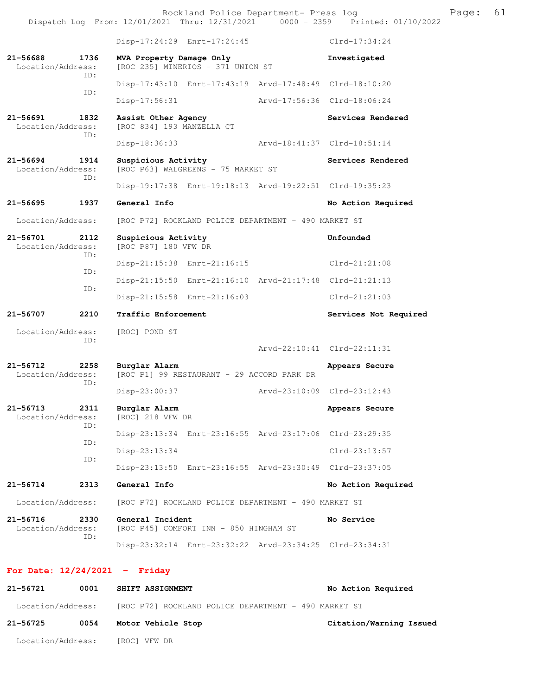|                                   |             |                                                  | Disp-17:24:29 Enrt-17:24:45                             |                             | $Clrd-17:34:24$             |
|-----------------------------------|-------------|--------------------------------------------------|---------------------------------------------------------|-----------------------------|-----------------------------|
| 21-56688<br>Location/Address:     | 1736<br>TD: | MVA Property Damage Only                         | [ROC 235] MINERIOS - 371 UNION ST                       |                             | Investigated                |
|                                   | ID:         |                                                  | Disp-17:43:10 Enrt-17:43:19 Arvd-17:48:49 Clrd-18:10:20 |                             |                             |
|                                   |             | Disp-17:56:31                                    |                                                         |                             | Arvd-17:56:36 Clrd-18:06:24 |
| 21-56691<br>Location/Address:     | 1832<br>TD: | Assist Other Agency<br>[ROC 834] 193 MANZELLA CT |                                                         |                             | Services Rendered           |
|                                   |             | $Disp-18:36:33$                                  |                                                         | Arvd-18:41:37 Clrd-18:51:14 |                             |
| $21 - 56694$<br>Location/Address: | 1914<br>ID: | Suspicious Activity                              | [ROC P63] WALGREENS - 75 MARKET ST                      |                             | Services Rendered           |
|                                   |             |                                                  | Disp-19:17:38 Enrt-19:18:13 Arvd-19:22:51 Clrd-19:35:23 |                             |                             |
| $21 - 56695$                      | 1937        | General Info                                     |                                                         |                             | No Action Required          |
| Location/Address:                 |             |                                                  | [ROC P72] ROCKLAND POLICE DEPARTMENT - 490 MARKET ST    |                             |                             |
| 21-56701<br>Location/Address:     | 2112<br>ID: | Suspicious Activity<br>[ROC P87] 180 VFW DR      |                                                         |                             | Unfounded                   |
|                                   | ID:         |                                                  | Disp-21:15:38 Enrt-21:16:15                             |                             | $Clrd-21:21:08$             |
|                                   | ID:         |                                                  | Disp-21:15:50 Enrt-21:16:10 Arvd-21:17:48 Clrd-21:21:13 |                             |                             |
|                                   |             |                                                  | Disp-21:15:58 Enrt-21:16:03                             |                             | $Clrd-21:21:03$             |
|                                   |             |                                                  |                                                         |                             |                             |
| 21-56707                          | 2210        | Traffic Enforcement                              |                                                         |                             | Services Not Required       |
| Location/Address:                 |             | [ROC] POND ST                                    |                                                         |                             |                             |
|                                   | ID:         |                                                  |                                                         |                             | Arvd-22:10:41 Clrd-22:11:31 |
| 21-56712<br>Location/Address:     | 2258        | Burglar Alarm                                    | [ROC P1] 99 RESTAURANT - 29 ACCORD PARK DR              |                             | Appears Secure              |
|                                   | ID:         | Disp-23:00:37                                    |                                                         | Arvd-23:10:09 Clrd-23:12:43 |                             |
| $21 - 56713$<br>Location/Address: | 2311        | Burglar Alarm<br>[ROC] 218 VFW DR                |                                                         |                             | Appears Secure              |
|                                   | ID:         |                                                  | Disp-23:13:34 Enrt-23:16:55 Arvd-23:17:06 Clrd-23:29:35 |                             |                             |
|                                   | ID:         | Disp-23:13:34                                    |                                                         |                             | Clrd-23:13:57               |
|                                   | ID:         |                                                  | Disp-23:13:50 Enrt-23:16:55 Arvd-23:30:49 Clrd-23:37:05 |                             |                             |
| $21 - 56714$                      | 2313        | General Info                                     |                                                         |                             | No Action Required          |
| Location/Address:                 |             |                                                  | [ROC P72] ROCKLAND POLICE DEPARTMENT - 490 MARKET ST    |                             |                             |
| 21-56716<br>Location/Address:     | 2330<br>ID: | General Incident                                 | [ROC P45] COMFORT INN - 850 HINGHAM ST                  |                             | No Service                  |

### **For Date: 12/24/2021 - Friday**

| 21-56721          | 0001 | <b>SHIFT ASSIGNMENT</b>                              | No Action Required      |
|-------------------|------|------------------------------------------------------|-------------------------|
| Location/Address: |      | [ROC P72] ROCKLAND POLICE DEPARTMENT - 490 MARKET ST |                         |
| 21-56725          | 0054 | Motor Vehicle Stop                                   | Citation/Warning Issued |
| Location/Address: |      | [ROC] VFW DR                                         |                         |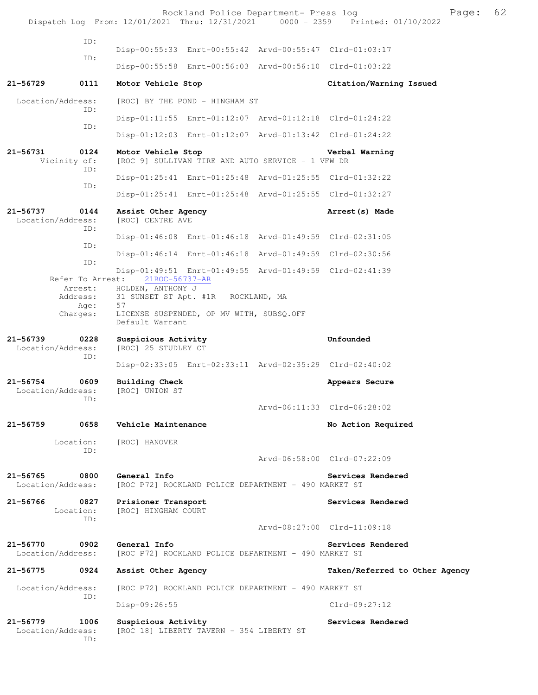|                                                             | Rockland Police Department- Press log<br>Dispatch Log From: 12/01/2021 Thru: 12/31/2021 0000 - 2359 Printed: 01/10/2022                        |                                               | Page: | 62 |
|-------------------------------------------------------------|------------------------------------------------------------------------------------------------------------------------------------------------|-----------------------------------------------|-------|----|
| ID:                                                         |                                                                                                                                                |                                               |       |    |
| ID:                                                         | Disp-00:55:33 Enrt-00:55:42 Arvd-00:55:47 Clrd-01:03:17                                                                                        |                                               |       |    |
|                                                             | Disp-00:55:58 Enrt-00:56:03 Arvd-00:56:10 Clrd-01:03:22                                                                                        |                                               |       |    |
| 21-56729<br>0111                                            | Motor Vehicle Stop                                                                                                                             | Citation/Warning Issued                       |       |    |
| Location/Address:                                           | [ROC] BY THE POND - HINGHAM ST                                                                                                                 |                                               |       |    |
| ID:                                                         | Disp-01:11:55 Enrt-01:12:07 Arvd-01:12:18 Clrd-01:24:22                                                                                        |                                               |       |    |
| ID:                                                         | Disp-01:12:03 Enrt-01:12:07 Arvd-01:13:42 Clrd-01:24:22                                                                                        |                                               |       |    |
| 21-56731<br>0124<br>Vicinity of:                            | Motor Vehicle Stop<br>[ROC 9] SULLIVAN TIRE AND AUTO SERVICE - 1 VFW DR                                                                        | Verbal Warning                                |       |    |
| ID:                                                         | Disp-01:25:41 Enrt-01:25:48 Arvd-01:25:55 Clrd-01:32:22                                                                                        |                                               |       |    |
| ID:                                                         | Disp-01:25:41 Enrt-01:25:48 Arvd-01:25:55 Clrd-01:32:27                                                                                        |                                               |       |    |
| $21 - 56737$<br>0144<br>Location/Address:                   | Assist Other Agency<br>[ROC] CENTRE AVE                                                                                                        | Arrest (s) Made                               |       |    |
| ID:                                                         | Disp-01:46:08 Enrt-01:46:18 Arvd-01:49:59 Clrd-02:31:05                                                                                        |                                               |       |    |
| ID:                                                         | Disp-01:46:14 Enrt-01:46:18 Arvd-01:49:59 Clrd-02:30:56                                                                                        |                                               |       |    |
| ID:                                                         | Disp-01:49:51 Enrt-01:49:55 Arvd-01:49:59 Clrd-02:41:39                                                                                        |                                               |       |    |
| Refer To Arrest:<br>Arrest:<br>Address:<br>Age:<br>Charges: | 21ROC-56737-AR<br>HOLDEN, ANTHONY J<br>31 SUNSET ST Apt. #1R ROCKLAND, MA<br>57<br>LICENSE SUSPENDED, OP MV WITH, SUBSQ.OFF<br>Default Warrant |                                               |       |    |
| $21 - 56739$<br>0228<br>Location/Address:                   | Suspicious Activity<br>[ROC] 25 STUDLEY CT                                                                                                     | Unfounded                                     |       |    |
| ID:                                                         | Disp-02:33:05 Enrt-02:33:11 Arvd-02:35:29 Clrd-02:40:02                                                                                        |                                               |       |    |
| $21 - 56754$<br>0609<br>Location/Address:<br>ID:            | <b>Building Check</b><br>[ROC] UNION ST                                                                                                        | Appears Secure<br>Arvd-06:11:33 Clrd-06:28:02 |       |    |
| 21-56759<br>0658                                            | Vehicle Maintenance                                                                                                                            | No Action Required                            |       |    |
| Location:                                                   | [ROC] HANOVER                                                                                                                                  |                                               |       |    |
| TD:                                                         |                                                                                                                                                | Arvd-06:58:00 Clrd-07:22:09                   |       |    |
| 21-56765<br>0800                                            | General Info                                                                                                                                   | Services Rendered                             |       |    |
| Location/Address:                                           | [ROC P72] ROCKLAND POLICE DEPARTMENT - 490 MARKET ST                                                                                           |                                               |       |    |
| 21-56766<br>0827<br>Location:<br>TD:                        | Prisioner Transport<br>[ROC] HINGHAM COURT                                                                                                     | Services Rendered                             |       |    |
|                                                             |                                                                                                                                                | Arvd-08:27:00 Clrd-11:09:18                   |       |    |
| 21-56770<br>0902<br>Location/Address:                       | General Info<br>[ROC P72] ROCKLAND POLICE DEPARTMENT - 490 MARKET ST                                                                           | Services Rendered                             |       |    |
| 0924<br>21-56775                                            | Assist Other Agency                                                                                                                            | Taken/Referred to Other Agency                |       |    |
| Location/Address:<br>ID:                                    | [ROC P72] ROCKLAND POLICE DEPARTMENT - 490 MARKET ST                                                                                           |                                               |       |    |
|                                                             | Disp-09:26:55                                                                                                                                  | $Clrd-09:27:12$                               |       |    |
| $21 - 56779$<br>1006<br>Location/Address:<br>ID:            | Suspicious Activity<br>[ROC 18] LIBERTY TAVERN - 354 LIBERTY ST                                                                                | Services Rendered                             |       |    |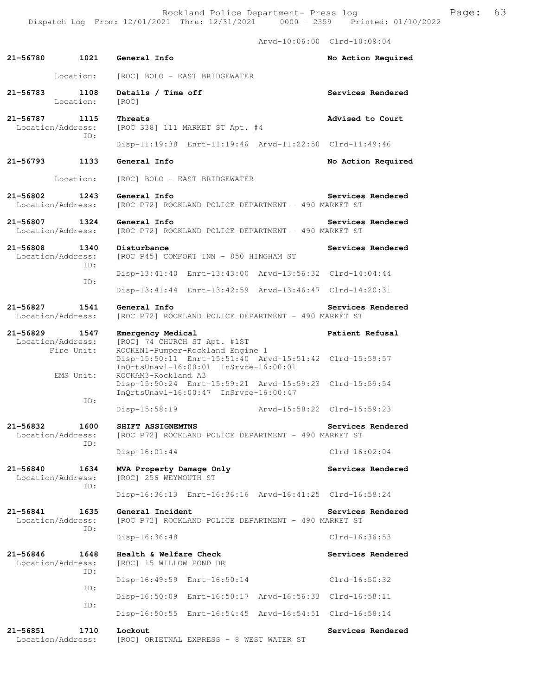Rockland Police Department- Press log Freed Page: 63 Dispatch Log From: 12/01/2021 Thru: 12/31/2021 0000 - 2359 Printed: 01/10/2022

 Arvd-10:06:00 Clrd-10:09:04 **21-56780 1021 General Info No Action Required**  Location: [ROC] BOLO - EAST BRIDGEWATER 21-56783 1108 Details / Time off **Services Rendered** Location: [ROC] **21-56787 1115 Threats Advised to Court**  Location/Address: [ROC 338] 111 MARKET ST Apt. #4 ID: Disp-11:19:38 Enrt-11:19:46 Arvd-11:22:50 Clrd-11:49:46 **21-56793 1133 General Info No Action Required**  Location: [ROC] BOLO - EAST BRIDGEWATER **21-56802 1243 General Info Services Rendered**  Location/Address: [ROC P72] ROCKLAND POLICE DEPARTMENT - 490 MARKET ST 21-56807 1324 General Info<br>Location/Address: [ROC P72] ROCKLAND POLICE DEPARTMENT - 490 MARKET ST [ROC P72] ROCKLAND POLICE DEPARTMENT - 490 MARKET ST 21-56808 1340 Disturbance **120 and 1340** Disturbance Location/Address: [ROC P45] COMFORT INN - 850 HINGHAM ST ID: Disp-13:41:40 Enrt-13:43:00 Arvd-13:56:32 Clrd-14:04:44 ID: Disp-13:41:44 Enrt-13:42:59 Arvd-13:46:47 Clrd-14:20:31 **21-56827 1541 General Info Services Rendered**  Location/Address: [ROC P72] ROCKLAND POLICE DEPARTMENT - 490 MARKET ST **21-56829 1547 Emergency Medical Patient Refusal**  Location/Address: [ROC] 74 CHURCH ST Apt. #1ST Fire Unit: ROCKEN1-Pumper-Rockland Engine 1 Disp-15:50:11 Enrt-15:51:40 Arvd-15:51:42 Clrd-15:59:57 InQrtsUnavl-16:00:01 InSrvce-16:00:01<br>EMS Unit: ROCKAM3-Rockland A3 ROCKAM3-Rockland A3 Disp-15:50:24 Enrt-15:59:21 Arvd-15:59:23 Clrd-15:59:54 InQrtsUnavl-16:00:47 InSrvce-16:00:47 ID: Disp-15:58:19 Arvd-15:58:22 Clrd-15:59:23 **21-56832 1600 SHIFT ASSIGNEMTNS Services Rendered**  Location/Address: [ROC P72] ROCKLAND POLICE DEPARTMENT - 490 MARKET ST ID: Disp-16:01:44 Clrd-16:02:04 **21-56840 1634 MVA Property Damage Only Services Rendered Location/Address:** [ROC] 256 WEYMOUTH ST [ROC] 256 WEYMOUTH ST ID: Disp-16:36:13 Enrt-16:36:16 Arvd-16:41:25 Clrd-16:58:24 21-56841 1635 General Incident **Services Rendered** Services Rendered Location/Address: [ROC P72] ROCKLAND POLICE DEPARTMENT - 490 MARKET ST [ROC P72] ROCKLAND POLICE DEPARTMENT - 490 MARKET ST ID: Disp-16:36:48 Clrd-16:36:53 **21-56846 1648 Health & Welfare Check Services Rendered**  Location/Address: [ROC] 15 WILLOW POND DR ID: Disp-16:49:59 Enrt-16:50:14 Clrd-16:50:32 ID: Disp-16:50:09 Enrt-16:50:17 Arvd-16:56:33 Clrd-16:58:11 ID: Disp-16:50:55 Enrt-16:54:45 Arvd-16:54:51 Clrd-16:58:14

**21-56851 1710 Lockout Services Rendered**  Location/Address: [ROC] ORIETNAL EXPRESS - 8 WEST WATER ST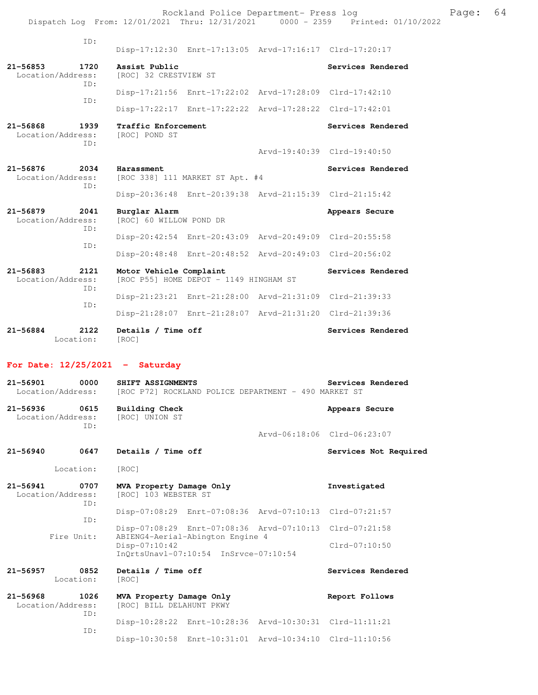Rockland Police Department- Press log entitled and Page: 64 Dispatch Log From: 12/01/2021 Thru: 12/31/2021 0000 - 2359 Printed: 01/10/2022

| $21 - 56884$<br>2122<br>Location:                | Details / Time off<br>[ROC]              |                                                         |                             | Services Rendered           |
|--------------------------------------------------|------------------------------------------|---------------------------------------------------------|-----------------------------|-----------------------------|
|                                                  |                                          | Disp-21:28:07 Enrt-21:28:07 Arvd-21:31:20 Clrd-21:39:36 |                             |                             |
| TD:                                              |                                          |                                                         |                             |                             |
| ID:                                              |                                          | Disp-21:23:21 Enrt-21:28:00                             | Arvd-21:31:09 Clrd-21:39:33 |                             |
| $21 - 56883$<br>2121<br>Location/Address:        | Motor Vehicle Complaint                  | [ROC P55] HOME DEPOT - 1149 HINGHAM ST                  |                             | Services Rendered           |
|                                                  |                                          | Disp-20:48:48 Enrt-20:48:52                             | Arvd-20:49:03 Clrd-20:56:02 |                             |
| ID:<br>ID:                                       |                                          | Disp-20:42:54 Enrt-20:43:09 Arvd-20:49:09 Clrd-20:55:58 |                             |                             |
| $21 - 56879$<br>2041<br>Location/Address:        | Burglar Alarm<br>[ROC] 60 WILLOW POND DR |                                                         |                             | Appears Secure              |
|                                                  |                                          | Disp-20:36:48 Enrt-20:39:38 Arvd-21:15:39 Clrd-21:15:42 |                             |                             |
| $21 - 56876$<br>2034<br>Location/Address:<br>TD: | Harassment                               | [ROC 338] 111 MARKET ST Apt. #4                         |                             | Services Rendered           |
|                                                  |                                          |                                                         |                             | Arvd-19:40:39 Clrd-19:40:50 |
| $21 - 56868$<br>1939<br>Location/Address:<br>ID: | Traffic Enforcement<br>[ROC] POND ST     |                                                         |                             | Services Rendered           |
|                                                  |                                          | Disp-17:22:17 Enrt-17:22:22 Arvd-17:28:22 Clrd-17:42:01 |                             |                             |
| TD:                                              |                                          | Disp-17:21:56 Enrt-17:22:02 Arvd-17:28:09 Clrd-17:42:10 |                             |                             |
| $21 - 56853$<br>1720<br>Location/Address:<br>ID: | Assist Public<br>[ROC] 32 CRESTVIEW ST   |                                                         |                             | Services Rendered           |
| ID:                                              |                                          | Disp-17:12:30 Enrt-17:13:05 Arvd-17:16:17 Clrd-17:20:17 |                             |                             |
|                                                  |                                          |                                                         |                             |                             |

## **For Date: 12/25/2021 - Saturday**

| 0000<br>$21 - 56901$<br>Location/Address:        | SHIFT ASSIGNMENTS<br>[ROC P72] ROCKLAND POLICE DEPARTMENT - 490 MARKET ST                  | Services Rendered           |
|--------------------------------------------------|--------------------------------------------------------------------------------------------|-----------------------------|
| $21 - 56936$<br>0615<br>Location/Address:<br>TD: | <b>Building Check</b><br>[ROC] UNION ST                                                    | Appears Secure              |
|                                                  |                                                                                            | Arvd-06:18:06 Clrd-06:23:07 |
| $21 - 56940$<br>0647                             | Details / Time off                                                                         | Services Not Required       |
| Location:                                        | [ROC]                                                                                      |                             |
| $21 - 56941$<br>0707<br>Location/Address:<br>ID: | MVA Property Damage Only<br>[ROC] 103 WEBSTER ST                                           | Investigated                |
| TD:                                              | Disp-07:08:29 Enrt-07:08:36 Arvd-07:10:13 Clrd-07:21:57                                    |                             |
|                                                  | Disp-07:08:29 Enrt-07:08:36 Arvd-07:10:13 Clrd-07:21:58                                    |                             |
| Fire Unit:                                       | ABIENG4-Aerial-Abington Engine 4<br>Disp-07:10:42<br>InOrtsUnavl-07:10:54 InSrvce-07:10:54 | $Clrd-07:10:50$             |
| $21 - 56957$<br>0852<br>Location:                | Details / Time off<br>[ROC]                                                                | Services Rendered           |
| 1026<br>$21 - 56968$<br>Location/Address:<br>ID: | MVA Property Damage Only<br>[ROC] BILL DELAHUNT PKWY                                       | Report Follows              |
| ID:                                              | Disp-10:28:22 Enrt-10:28:36 Arvd-10:30:31 Clrd-11:11:21                                    |                             |
|                                                  | Disp-10:30:58 Enrt-10:31:01 Arvd-10:34:10 Clrd-11:10:56                                    |                             |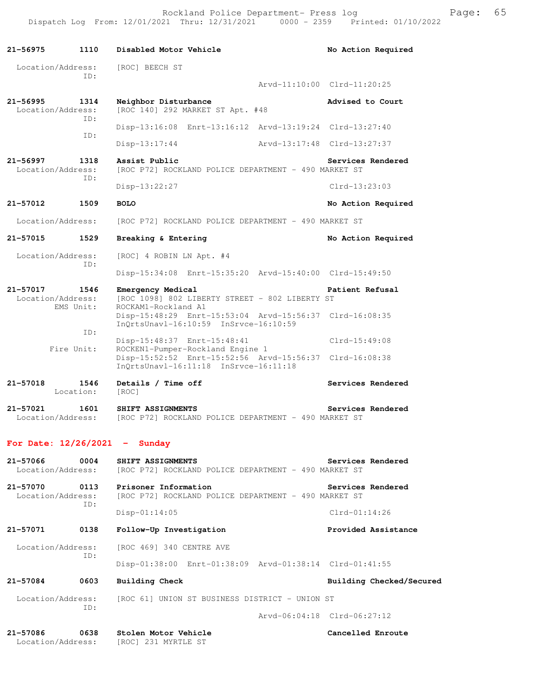| 21–56975                      | 1110              | Disabled Motor Vehicle                                                                                                           | No Action Required          |
|-------------------------------|-------------------|----------------------------------------------------------------------------------------------------------------------------------|-----------------------------|
| Location/Address:             | TD:               | [ROC] BEECH ST                                                                                                                   |                             |
|                               |                   |                                                                                                                                  | Arvd-11:10:00 Clrd-11:20:25 |
| 21-56995<br>Location/Address: | 1314<br>ID:       | Neighbor Disturbance<br>[ROC 140] 292 MARKET ST Apt. #48                                                                         | Advised to Court            |
|                               |                   | Disp-13:16:08 Enrt-13:16:12 Arvd-13:19:24 Clrd-13:27:40                                                                          |                             |
|                               | ID:               | $Disp-13:17:44$                                                                                                                  | Arvd-13:17:48 Clrd-13:27:37 |
| 21-56997<br>Location/Address: | 1318              | Assist Public<br>[ROC P72] ROCKLAND POLICE DEPARTMENT - 490 MARKET ST                                                            | Services Rendered           |
|                               | ID:               | Disp-13:22:27                                                                                                                    | $Clrd-13:23:03$             |
| 21-57012                      | 1509              | <b>BOLO</b>                                                                                                                      | No Action Required          |
| Location/Address:             |                   | [ROC P72] ROCKLAND POLICE DEPARTMENT - 490 MARKET ST                                                                             |                             |
| 21-57015                      | 1529              | Breaking & Entering                                                                                                              | No Action Required          |
| Location/Address:             |                   | [ROC] 4 ROBIN LN Apt. #4                                                                                                         |                             |
|                               | ID:               | Disp-15:34:08 Enrt-15:35:20 Arvd-15:40:00 Clrd-15:49:50                                                                          |                             |
| 21-57017                      | 1546              | Emergency Medical                                                                                                                | Patient Refusal             |
| Location/Address:             | EMS Unit:         | [ROC 1098] 802 LIBERTY STREET - 802 LIBERTY ST<br>ROCKAM1-Rockland A1<br>Disp-15:48:29 Enrt-15:53:04 Arvd-15:56:37 Clrd-16:08:35 |                             |
|                               | ID:               | InQrtsUnavl-16:10:59 InSrvce-16:10:59                                                                                            |                             |
|                               | Fire Unit:        | Disp-15:48:37 Enrt-15:48:41<br>ROCKEN1-Pumper-Rockland Engine 1                                                                  | Clrd-15:49:08               |
|                               |                   | Disp-15:52:52 Enrt-15:52:56 Arvd-15:56:37 Clrd-16:08:38<br>InQrtsUnavl-16:11:18 InSrvce-16:11:18                                 |                             |
| 21-57018                      | 1546<br>Location: | Details / Time off<br>[ROC]                                                                                                      | Services Rendered           |
| 21-57021<br>Location/Address: | 1601              | SHIFT ASSIGNMENTS<br>[ROC P72] ROCKLAND POLICE DEPARTMENT - 490 MARKET ST                                                        | Services Rendered           |
|                               |                   | For Date: $12/26/2021 -$ Sunday                                                                                                  |                             |
| 21-57066<br>Location/Address: | 0004              | SHIFT ASSIGNMENTS<br>[ROC P72] ROCKLAND POLICE DEPARTMENT - 490 MARKET ST                                                        | Services Rendered           |
| 21-57070<br>Location/Address: | 0113<br>ID:       | Prisoner Information<br>[ROC P72] ROCKLAND POLICE DEPARTMENT - 490 MARKET ST                                                     | Services Rendered           |
|                               |                   | $Disp-01:14:05$                                                                                                                  | $Clrd-01:14:26$             |
| 21-57071                      | 0138              | Follow-Up Investigation                                                                                                          | Provided Assistance         |
| Location/Address:             |                   | [ROC 469] 340 CENTRE AVE                                                                                                         |                             |
|                               | ID:               | Disp-01:38:00 Enrt-01:38:09 Arvd-01:38:14 Clrd-01:41:55                                                                          |                             |
| 21-57084                      | 0603              | Building Check                                                                                                                   | Building Checked/Secured    |
| Location/Address:             |                   | [ROC 61] UNION ST BUSINESS DISTRICT - UNION ST                                                                                   |                             |
|                               | ID:               |                                                                                                                                  | Arvd-06:04:18 Clrd-06:27:12 |
| 21-57086<br>Location/Address: | 0638              | Stolen Motor Vehicle<br>[ROC] 231 MYRTLE ST                                                                                      | Cancelled Enroute           |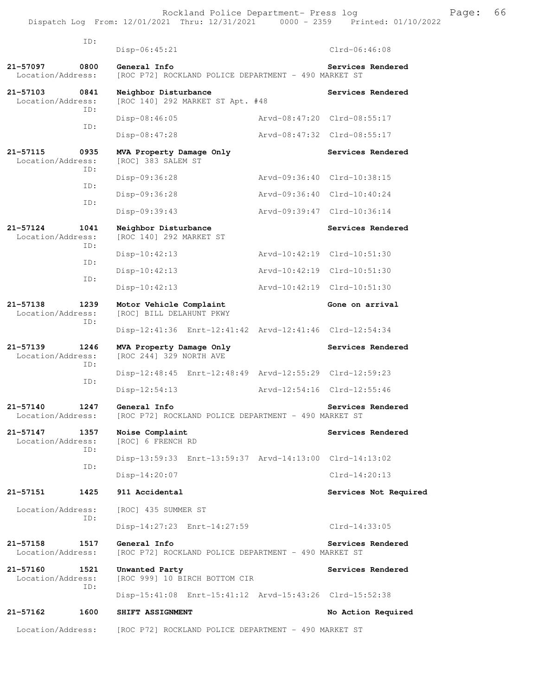Rockland Police Department- Press log entitled and Page: 66 Dispatch Log From: 12/01/2021 Thru: 12/31/2021 0000 - 2359 Printed: 01/10/2022

| ID:                                              | $Disp-06:45:21$                                                      |                             | $Clrd-06:46:08$             |
|--------------------------------------------------|----------------------------------------------------------------------|-----------------------------|-----------------------------|
| 21-57097<br>0800<br>Location/Address:            | General Info<br>[ROC P72] ROCKLAND POLICE DEPARTMENT - 490 MARKET ST | Services Rendered           |                             |
| 21-57103<br>0841<br>Location/Address:            | Neighbor Disturbance<br>[ROC 140] 292 MARKET ST Apt. #48             | Services Rendered           |                             |
| TD:                                              | $Disp-08:46:05$                                                      | Arvd-08:47:20 Clrd-08:55:17 |                             |
| ID:                                              | $Disp-08:47:28$                                                      |                             | Arvd-08:47:32 Clrd-08:55:17 |
| 21-57115<br>0935<br>Location/Address:<br>TD:     | MVA Property Damage Only<br>[ROC] 383 SALEM ST                       |                             | Services Rendered           |
| ID:                                              | Disp-09:36:28                                                        | Arvd-09:36:40 Clrd-10:38:15 |                             |
|                                                  | Disp-09:36:28                                                        | Arvd-09:36:40 Clrd-10:40:24 |                             |
| TD:                                              | $Disp-09:39:43$                                                      |                             | Arvd-09:39:47 Clrd-10:36:14 |
| 21-57124<br>1041<br>Location/Address:            | Neighbor Disturbance<br>[ROC 140] 292 MARKET ST                      |                             | Services Rendered           |
| ID:                                              | $Disp-10:42:13$                                                      | Arvd-10:42:19 Clrd-10:51:30 |                             |
| ID:                                              | $Disp-10:42:13$                                                      | Arvd-10:42:19 Clrd-10:51:30 |                             |
| ID:                                              | $Disp-10:42:13$                                                      | Arvd-10:42:19 Clrd-10:51:30 |                             |
| 21-57138<br>1239<br>Location/Address:            | Motor Vehicle Complaint<br>[ROC] BILL DELAHUNT PKWY                  |                             | Gone on arrival             |
| ID:                                              | Disp-12:41:36 Enrt-12:41:42 Arvd-12:41:46 Clrd-12:54:34              |                             |                             |
| $21 - 57139$<br>1246<br>Location/Address:        | MVA Property Damage Only<br>[ROC 244] 329 NORTH AVE                  |                             | Services Rendered           |
| TD:                                              | Disp-12:48:45 Enrt-12:48:49 Arvd-12:55:29 Clrd-12:59:23              |                             |                             |
| ID:                                              | Disp-12:54:13                                                        | Arvd-12:54:16 Clrd-12:55:46 |                             |
| $21 - 57140$<br>1247<br>Location/Address:        | General Info<br>[ROC P72] ROCKLAND POLICE DEPARTMENT - 490 MARKET ST | Services Rendered           |                             |
| $21 - 57147$<br>1357<br>Location/Address:<br>ID: | Noise Complaint<br>[ROC] 6 FRENCH RD                                 |                             | Services Rendered           |
| ID:                                              | Disp-13:59:33 Enrt-13:59:37 Arvd-14:13:00 Clrd-14:13:02              |                             |                             |
|                                                  | $Disp-14:20:07$                                                      |                             | Clrd-14:20:13               |
| 21-57151<br>1425                                 | 911 Accidental                                                       |                             | Services Not Required       |
| Location/Address:                                | [ROC] 435 SUMMER ST                                                  |                             |                             |
| ID:                                              | Disp-14:27:23 Enrt-14:27:59                                          |                             | $Clrd-14:33:05$             |
| 21-57158<br>1517<br>Location/Address:            | General Info<br>[ROC P72] ROCKLAND POLICE DEPARTMENT - 490 MARKET ST |                             | Services Rendered           |
| 21-57160<br>1521<br>Location/Address:            | Unwanted Party<br>[ROC 999] 10 BIRCH BOTTOM CIR                      |                             | Services Rendered           |
| ID:                                              | Disp-15:41:08 Enrt-15:41:12 Arvd-15:43:26 Clrd-15:52:38              |                             |                             |
| 1600<br>21-57162                                 | SHIFT ASSIGNMENT                                                     |                             | No Action Required          |
| Location/Address:                                | [ROC P72] ROCKLAND POLICE DEPARTMENT - 490 MARKET ST                 |                             |                             |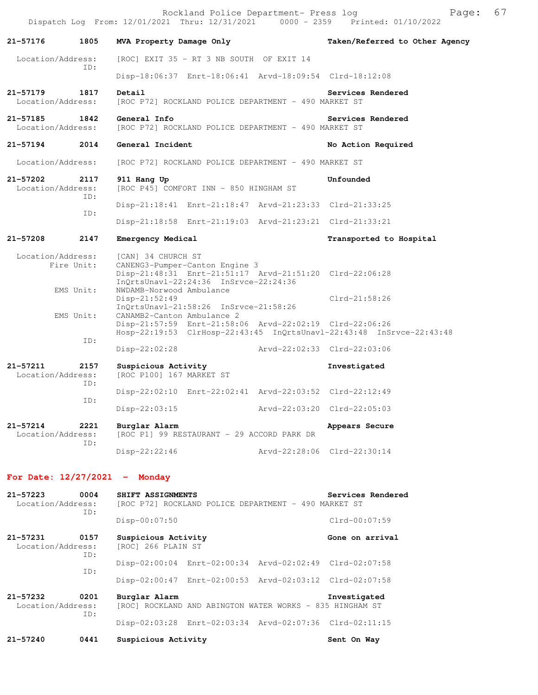|                                   |             |                                                 | Rockland Police Department- Press log                                                                                              |                             | Dispatch Log From: 12/01/2021 Thru: 12/31/2021 0000 - 2359 Printed: 01/10/2022 | Page: | 67 |
|-----------------------------------|-------------|-------------------------------------------------|------------------------------------------------------------------------------------------------------------------------------------|-----------------------------|--------------------------------------------------------------------------------|-------|----|
| 21-57176                          | 1805        | MVA Property Damage Only                        |                                                                                                                                    |                             | Taken/Referred to Other Agency                                                 |       |    |
| Location/Address:                 |             |                                                 | [ROC] EXIT 35 - RT 3 NB SOUTH OF EXIT 14                                                                                           |                             |                                                                                |       |    |
|                                   | ID:         |                                                 | Disp-18:06:37 Enrt-18:06:41 Arvd-18:09:54 Clrd-18:12:08                                                                            |                             |                                                                                |       |    |
| 21-57179<br>Location/Address:     | 1817        | Detail                                          | [ROC P72] ROCKLAND POLICE DEPARTMENT - 490 MARKET ST                                                                               |                             | Services Rendered                                                              |       |    |
| 21-57185<br>Location/Address:     | 1842        | General Info                                    | [ROC P72] ROCKLAND POLICE DEPARTMENT - 490 MARKET ST                                                                               |                             | Services Rendered                                                              |       |    |
| 21-57194                          | 2014        | General Incident                                |                                                                                                                                    |                             | No Action Required                                                             |       |    |
| Location/Address:                 |             |                                                 | [ROC P72] ROCKLAND POLICE DEPARTMENT - 490 MARKET ST                                                                               |                             |                                                                                |       |    |
| 21-57202<br>Location/Address:     | 2117<br>ID: | 911 Hang Up                                     | [ROC P45] COMFORT INN - 850 HINGHAM ST                                                                                             |                             | Unfounded                                                                      |       |    |
|                                   | ID:         |                                                 | Disp-21:18:41 Enrt-21:18:47 Arvd-21:23:33 Clrd-21:33:25                                                                            |                             |                                                                                |       |    |
|                                   |             |                                                 | Disp-21:18:58 Enrt-21:19:03 Arvd-21:23:21 Clrd-21:33:21                                                                            |                             |                                                                                |       |    |
| 21-57208                          | 2147        | Emergency Medical                               |                                                                                                                                    |                             | Transported to Hospital                                                        |       |    |
| Location/Address:                 | Fire Unit:  | [CAN] 34 CHURCH ST                              | CANENG3-Pumper-Canton Engine 3<br>Disp-21:48:31 Enrt-21:51:17 Arvd-21:51:20 Clrd-22:06:28<br>InQrtsUnavl-22:24:36 InSrvce-22:24:36 |                             |                                                                                |       |    |
|                                   | EMS Unit:   | NWDAMB-Norwood Ambulance<br>$Disp-21:52:49$     | InQrtsUnavl-21:58:26 InSrvce-21:58:26                                                                                              |                             | $Clrd-21:58:26$                                                                |       |    |
|                                   | EMS Unit:   | CANAMB2-Canton Ambulance 2                      | Disp-21:57:59 Enrt-21:58:06 Arvd-22:02:19 Clrd-22:06:26                                                                            |                             | Hosp-22:19:53 ClrHosp-22:43:45 InQrtsUnavl-22:43:48 InSrvce-22:43:48           |       |    |
|                                   | ID:         | $Disp-22:02:28$                                 |                                                                                                                                    |                             | Arvd-22:02:33 Clrd-22:03:06                                                    |       |    |
| 21-57211<br>Location/Address:     | 2157<br>ID: | Suspicious Activity<br>[ROC P100] 167 MARKET ST |                                                                                                                                    |                             | Investigated                                                                   |       |    |
|                                   | ID:         |                                                 | Disp-22:02:10 Enrt-22:02:41 Arvd-22:03:52 Clrd-22:12:49                                                                            |                             |                                                                                |       |    |
|                                   |             | Disp-22:03:15                                   |                                                                                                                                    | Arvd-22:03:20 Clrd-22:05:03 |                                                                                |       |    |
| $21 - 57214$<br>Location/Address: | 2221<br>ID: | Burglar Alarm                                   | [ROC P1] 99 RESTAURANT - 29 ACCORD PARK DR                                                                                         |                             | Appears Secure                                                                 |       |    |
|                                   |             | $Disp-22:22:46$                                 |                                                                                                                                    | Arvd-22:28:06 Clrd-22:30:14 |                                                                                |       |    |
|                                   |             | For Date: $12/27/2021$ - Monday                 |                                                                                                                                    |                             |                                                                                |       |    |
| 21-57223<br>Location/Address:     | 0004<br>ID: | SHIFT ASSIGNMENTS                               | [ROC P72] ROCKLAND POLICE DEPARTMENT - 490 MARKET ST                                                                               |                             | Services Rendered                                                              |       |    |
|                                   |             | $Disp-00:07:50$                                 |                                                                                                                                    |                             | Clrd-00:07:59                                                                  |       |    |
| 21-57231<br>Location/Address:     | 0157<br>ID: | Suspicious Activity<br>[ROC] 266 PLAIN ST       |                                                                                                                                    |                             | Gone on arrival                                                                |       |    |
|                                   | ID:         |                                                 | Disp-02:00:04 Enrt-02:00:34 Arvd-02:02:49 Clrd-02:07:58                                                                            |                             |                                                                                |       |    |
|                                   |             |                                                 | Disp-02:00:47 Enrt-02:00:53 Arvd-02:03:12 Clrd-02:07:58                                                                            |                             |                                                                                |       |    |
| 21-57232<br>Location/Address:     | 0201<br>ID: | Burglar Alarm                                   | [ROC] ROCKLAND AND ABINGTON WATER WORKS - 835 HINGHAM ST                                                                           |                             | Investigated                                                                   |       |    |
|                                   |             |                                                 | Disp-02:03:28 Enrt-02:03:34 Arvd-02:07:36 Clrd-02:11:15                                                                            |                             |                                                                                |       |    |

21-57240 0441 Suspicious Activity **Sent On Way** Sent On Way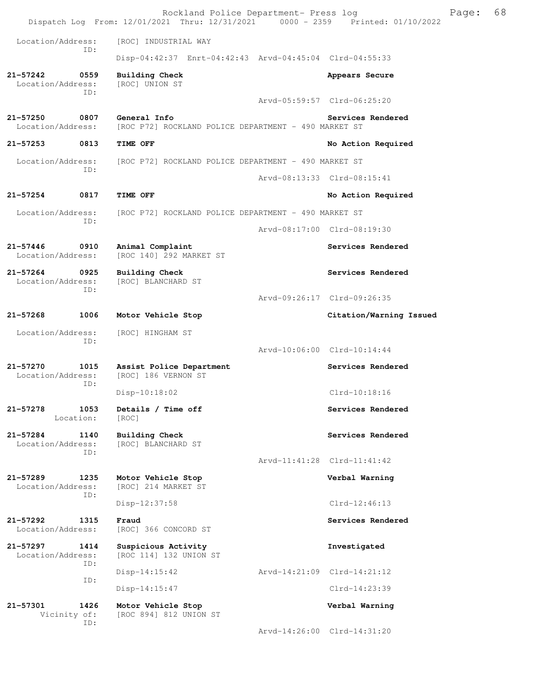Rockland Police Department- Press log Freed Page: 68 Dispatch Log From: 12/01/2021 Thru: 12/31/2021 0000 - 2359 Printed: 01/10/2022 Location/Address: [ROC] INDUSTRIAL WAY ID: Disp-04:42:37 Enrt-04:42:43 Arvd-04:45:04 Clrd-04:55:33 **21-57242 0559 Building Check Appears Secure** Appears Secure Location/Address: [ROC] UNION ST Location/Address: ID: Arvd-05:59:57 Clrd-06:25:20 **21-57250 0807 General Info Services Rendered**  Location/Address: [ROC P72] ROCKLAND POLICE DEPARTMENT - 490 MARKET ST **21-57253 0813 TIME OFF No Action Required**  Location/Address: [ROC P72] ROCKLAND POLICE DEPARTMENT - 490 MARKET ST ID: Arvd-08:13:33 Clrd-08:15:41 **21-57254 0817 TIME OFF No Action Required**  Location/Address: [ROC P72] ROCKLAND POLICE DEPARTMENT - 490 MARKET ST ID: Arvd-08:17:00 Clrd-08:19:30 **21-57446 0910 Animal Complaint Complexist Services Rendered** Location/Address: [ROC 140] 292 MARKET ST [ROC 140] 292 MARKET ST **21-57264 0925 Building Check Services Rendered**  Location/Address: [ROC] BLANCHARD ST ID: Arvd-09:26:17 Clrd-09:26:35 **21-57268 1006 Motor Vehicle Stop Citation/Warning Issued**  Location/Address: [ROC] HINGHAM ST ID: Arvd-10:06:00 Clrd-10:14:44 21-57270 1015 Assist Police Department **Services Rendered** Location/Address: [ROC] 186 VERNON ST [ROC] 186 VERNON ST ID: Disp-10:18:02 Clrd-10:18:16 **21-57278 1053 Details / Time off Services Rendered**  Location: [ROC] 21-57284 1140 Building Check **Services Rendered Services Rendered Services Rendered** [ROC] BLANCHARD ST ID: Arvd-11:41:28 Clrd-11:41:42 **21-57289 1235 Motor Vehicle Stop Verbal Warning**  [ROC] 214 MARKET ST ID: Disp-12:37:58 Clrd-12:46:13 **21-57292 1315 Fraud Services Rendered**  Location/Address: [ROC] 366 CONCORD ST **21-57297 1414 Suspicious Activity Investigated**  Location/Address: [ROC 114] 132 UNION ST ID: Disp-14:15:42 Arvd-14:21:09 Clrd-14:21:12 ID: Disp-14:15:47 Clrd-14:23:39 **21-57301 1426 Motor Vehicle Stop Verbal Warning**  Vicinity of: [ROC 894] 812 UNION ST ID: Arvd-14:26:00 Clrd-14:31:20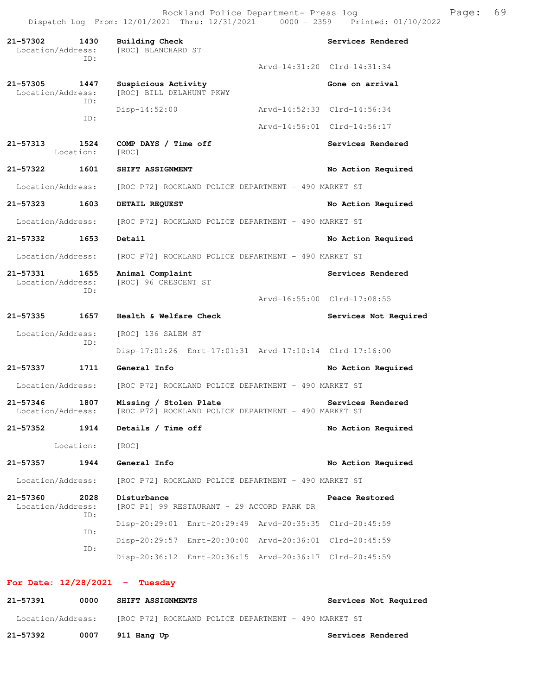Rockland Police Department- Press log Fage: 69 Dispatch Log From: 12/01/2021 Thru: 12/31/2021 0000 - 2359 Printed: 01/10/2022

**21-57302 1430 Building Check Services Rendered**  Location/Address: [ROC] BLANCHARD ST ID: Arvd-14:31:20 Clrd-14:31:34 21-57305 1447 Suspicious Activity<br>
Location/Address: [ROC] BILL DELAHUNT PKWY [ROC] BILL DELAHUNT PKWY ID: Disp-14:52:00 Arvd-14:52:33 Clrd-14:56:34 ID: Arvd-14:56:01 Clrd-14:56:17 **21-57313 1524 COMP DAYS / Time off Services Rendered**  Location: [ROC] **21-57322 1601 SHIFT ASSIGNMENT No Action Required**  Location/Address: [ROC P72] ROCKLAND POLICE DEPARTMENT - 490 MARKET ST **21-57323 1603 DETAIL REQUEST No Action Required**  Location/Address: [ROC P72] ROCKLAND POLICE DEPARTMENT - 490 MARKET ST **21-57332 1653 Detail No Action Required**  Location/Address: [ROC P72] ROCKLAND POLICE DEPARTMENT - 490 MARKET ST **21-57331 1655 Animal Complaint Services Rendered**  Location/Address: [ROC] 96 CRESCENT ST ID: Arvd-16:55:00 Clrd-17:08:55 **21-57335 1657 Health & Welfare Check Services Not Required**  Location/Address: [ROC] 136 SALEM ST ID: Disp-17:01:26 Enrt-17:01:31 Arvd-17:10:14 Clrd-17:16:00 **21-57337 1711 General Info No Action Required**  Location/Address: [ROC P72] ROCKLAND POLICE DEPARTMENT - 490 MARKET ST **21-57346 1807 Missing / Stolen Plate Services Rendered**  Location/Address: [ROC P72] ROCKLAND POLICE DEPARTMENT - 490 MARKET ST **21-57352 1914 Details / Time off No Action Required**  Location: [ROC] **21-57357 1944 General Info No Action Required**  Location/Address: [ROC P72] ROCKLAND POLICE DEPARTMENT - 490 MARKET ST **21-57360 2028 Disturbance Peace Restored**  Location/Address: [ROC P1] 99 RESTAURANT - 29 ACCORD PARK DR ID: Disp-20:29:01 Enrt-20:29:49 Arvd-20:35:35 Clrd-20:45:59 ID: Disp-20:29:57 Enrt-20:30:00 Arvd-20:36:01 Clrd-20:45:59 ID: Disp-20:36:12 Enrt-20:36:15 Arvd-20:36:17 Clrd-20:45:59

#### **For Date: 12/28/2021 - Tuesday**

| 21-57391          | 0000 | <b>SHIFT ASSIGNMENTS</b> |                                                      | Services Not Required |
|-------------------|------|--------------------------|------------------------------------------------------|-----------------------|
| Location/Address: |      |                          | [ROC P72] ROCKLAND POLICE DEPARTMENT - 490 MARKET ST |                       |
| 21-57392          | 0007 | 911 Hang Up              |                                                      | Services Rendered     |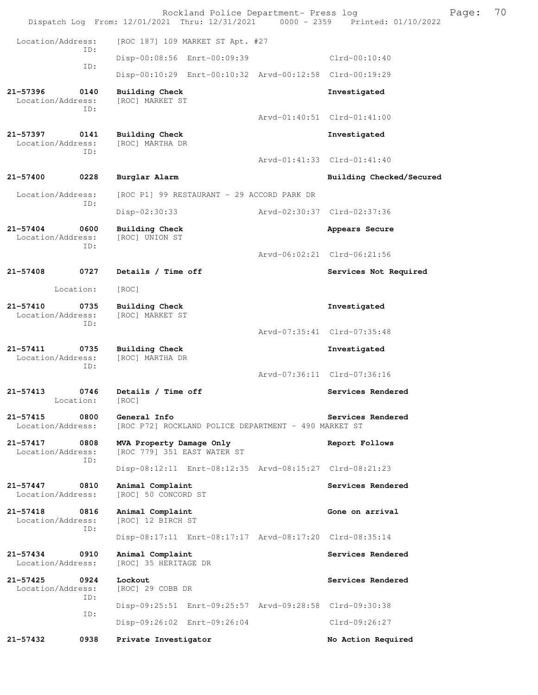|                                                  |             | Rockland Police Department- Press log<br>Dispatch Log From: 12/01/2021 Thru: 12/31/2021 0000 - 2359 Printed: 01/10/2022 |  |                             | Page: | 70 |
|--------------------------------------------------|-------------|-------------------------------------------------------------------------------------------------------------------------|--|-----------------------------|-------|----|
| Location/Address:                                |             | [ROC 187] 109 MARKET ST Apt. #27                                                                                        |  |                             |       |    |
| ID:<br>ID:                                       |             | Disp-00:08:56 Enrt-00:09:39                                                                                             |  | Clrd-00:10:40               |       |    |
|                                                  |             | Disp-00:10:29 Enrt-00:10:32 Arvd-00:12:58 Clrd-00:19:29                                                                 |  |                             |       |    |
| 21-57396<br>Location/Address:                    | 0140<br>ID: | Building Check<br>[ROC] MARKET ST                                                                                       |  | Investigated                |       |    |
|                                                  |             |                                                                                                                         |  | Arvd-01:40:51 Clrd-01:41:00 |       |    |
| 21-57397<br>0141<br>Location/Address:<br>ID:     |             | Building Check<br>[ROC] MARTHA DR                                                                                       |  | Investigated                |       |    |
|                                                  |             |                                                                                                                         |  | Arvd-01:41:33 Clrd-01:41:40 |       |    |
| $21 - 57400$                                     | 0228        | Burglar Alarm                                                                                                           |  | Building Checked/Secured    |       |    |
| Location/Address:<br>ID:                         |             | [ROC P1] 99 RESTAURANT - 29 ACCORD PARK DR                                                                              |  |                             |       |    |
|                                                  |             | Disp-02:30:33                                                                                                           |  | Arvd-02:30:37 Clrd-02:37:36 |       |    |
| $21 - 57404$<br>Location/Address:                | 0600<br>ID: | <b>Building Check</b><br>[ROC] UNION ST                                                                                 |  | Appears Secure              |       |    |
|                                                  |             |                                                                                                                         |  | Arvd-06:02:21 Clrd-06:21:56 |       |    |
| 21-57408                                         | 0727        | Details / Time off                                                                                                      |  | Services Not Required       |       |    |
| Location:                                        |             | [ROC]                                                                                                                   |  |                             |       |    |
| $21 - 57410$<br>Location/Address:                | 0735<br>ID: | Building Check<br>[ROC] MARKET ST                                                                                       |  | Investigated                |       |    |
|                                                  |             |                                                                                                                         |  | Arvd-07:35:41 Clrd-07:35:48 |       |    |
| $21 - 57411$<br>0735<br>Location/Address:<br>ID: |             | <b>Building Check</b><br>[ROC] MARTHA DR                                                                                |  | Investigated                |       |    |
|                                                  |             |                                                                                                                         |  | Arvd-07:36:11 Clrd-07:36:16 |       |    |
| $21 - 57413$<br>Location:                        | 0746        | Details / Time off<br>[ROC]                                                                                             |  | Services Rendered           |       |    |
| $21 - 57415$<br>Location/Address:                | 0800        | General Info<br>[ROC P72] ROCKLAND POLICE DEPARTMENT - 490 MARKET ST                                                    |  | Services Rendered           |       |    |
| 21-57417<br>0808<br>Location/Address:            | ID:         | MVA Property Damage Only<br>[ROC 779] 351 EAST WATER ST                                                                 |  | Report Follows              |       |    |
|                                                  |             | Disp-08:12:11 Enrt-08:12:35 Arvd-08:15:27 Clrd-08:21:23                                                                 |  |                             |       |    |
| $21 - 57447$<br>Location/Address:                | 0810        | Animal Complaint<br>[ROC] 50 CONCORD ST                                                                                 |  | Services Rendered           |       |    |
| $21 - 57418$<br>Location/Address:                | 0816<br>ID: | Animal Complaint<br>[ROC] 12 BIRCH ST                                                                                   |  | Gone on arrival             |       |    |
|                                                  |             | Disp-08:17:11 Enrt-08:17:17 Arvd-08:17:20 Clrd-08:35:14                                                                 |  |                             |       |    |
| $21 - 57434$<br>Location/Address:                | 0910        | Animal Complaint<br>[ROC] 35 HERITAGE DR                                                                                |  | Services Rendered           |       |    |
| $21 - 57425$<br>Location/Address:                | 0924<br>ID: | Lockout<br>[ROC] 29 COBB DR                                                                                             |  | Services Rendered           |       |    |
|                                                  | ID:         | Disp-09:25:51 Enrt-09:25:57 Arvd-09:28:58 Clrd-09:30:38                                                                 |  |                             |       |    |
|                                                  |             | Disp-09:26:02 Enrt-09:26:04                                                                                             |  | Clrd-09:26:27               |       |    |
| 21-57432                                         | 0938        | Private Investigator                                                                                                    |  | No Action Required          |       |    |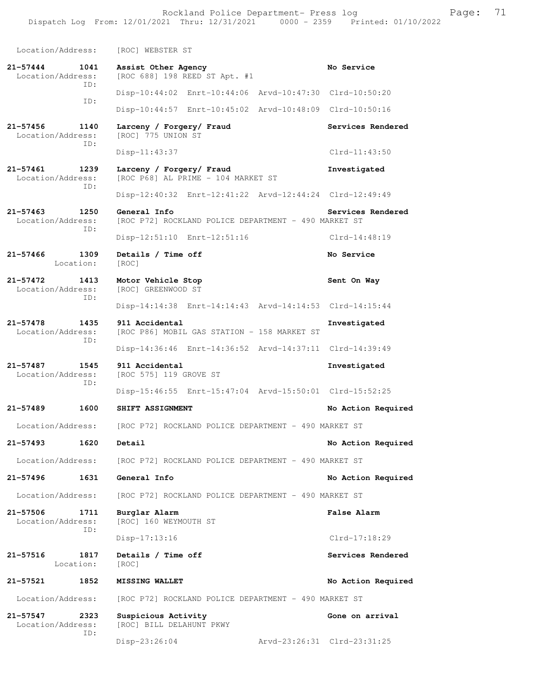Rockland Police Department- Press log Frank Page: 71

 Dispatch Log From: 12/01/2021 Thru: 12/31/2021 0000 - 2359 Printed: 01/10/2022 Location/Address: [ROC] WEBSTER ST

**21-57444 1041 Assist Other Agency No Service**  Location/Address: [ROC 688] 198 REED ST Apt. #1 ID: Disp-10:44:02 Enrt-10:44:06 Arvd-10:47:30 Clrd-10:50:20 ID: Disp-10:44:57 Enrt-10:45:02 Arvd-10:48:09 Clrd-10:50:16 **21-57456 1140 Larceny / Forgery/ Fraud Services Rendered**  [ROC] 775 UNION ST ID: Disp-11:43:37 Clrd-11:43:50 **21-57461 1239 Larceny / Forgery/ Fraud Investigated**  Location/Address: [ROC P68] AL PRIME - 104 MARKET ST ID: Disp-12:40:32 Enrt-12:41:22 Arvd-12:44:24 Clrd-12:49:49 **21-57463 1250 General Info Services Rendered**  Location/Address: [ROC P72] ROCKLAND POLICE DEPARTMENT - 490 MARKET ST ID: Disp-12:51:10 Enrt-12:51:16 Clrd-14:48:19 **21-57466 1309 Details / Time off No Service**  Location: [ROC] **21-57472 1413 Motor Vehicle Stop Sent On Way**  Location/Address: [ROC] GREENWOOD ST ID: Disp-14:14:38 Enrt-14:14:43 Arvd-14:14:53 Clrd-14:15:44 **21-57478 1435 911 Accidental Investigated**  [ROC P86] MOBIL GAS STATION - 158 MARKET ST ID: Disp-14:36:46 Enrt-14:36:52 Arvd-14:37:11 Clrd-14:39:49 **21-57487 1545 911 Accidental Investigated**  Location/Address: [ROC 575] 119 GROVE ST ID: Disp-15:46:55 Enrt-15:47:04 Arvd-15:50:01 Clrd-15:52:25 **21-57489 1600 SHIFT ASSIGNMENT No Action Required**  Location/Address: [ROC P72] ROCKLAND POLICE DEPARTMENT - 490 MARKET ST **21-57493 1620 Detail No Action Required**  Location/Address: [ROC P72] ROCKLAND POLICE DEPARTMENT - 490 MARKET ST **21-57496 1631 General Info No Action Required**  Location/Address: [ROC P72] ROCKLAND POLICE DEPARTMENT - 490 MARKET ST **21-57506 1711 Burglar Alarm 12.1. Example 21-57506 1711 Burglar Alarm False Alarm False Alarm** [ROC] 160 WEYMOUTH ST ID: Disp-17:13:16 Clrd-17:18:29 **21-57516 1817 Details / Time off Services Rendered**  Location: [ROC] **21-57521 1852 MISSING WALLET No Action Required**  Location/Address: [ROC P72] ROCKLAND POLICE DEPARTMENT - 490 MARKET ST **21-57547 2323 Suspicious Activity Gone on arrival**  Location/Address: [ROC] BILL DELAHUNT PKWY ID:

Disp-23:26:04 Arvd-23:26:31 Clrd-23:31:25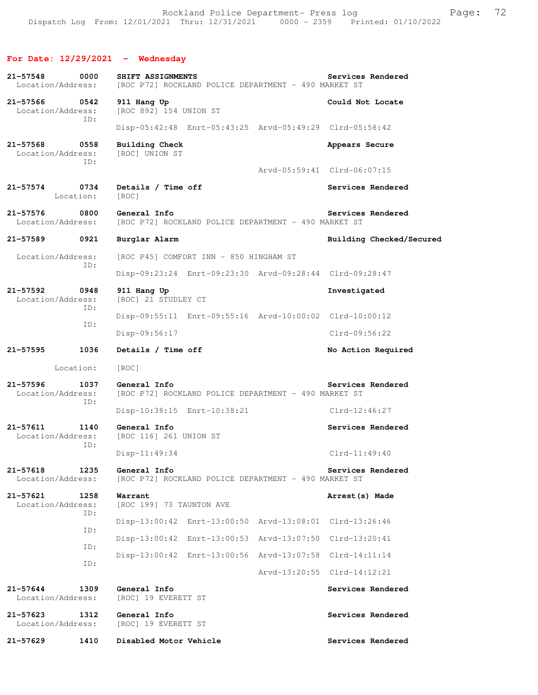# **For Date: 12/29/2021 - Wednesday**

| $21 - 57548$<br>Location/Address:                | 0000        | SHIFT ASSIGNMENTS<br>[ROC P72] ROCKLAND POLICE DEPARTMENT - 490 MARKET ST |                  | Services Rendered           |  |  |
|--------------------------------------------------|-------------|---------------------------------------------------------------------------|------------------|-----------------------------|--|--|
| 21-57566 0542<br>Location/Address:<br>ID:        |             | 911 Hang Up<br>[ROC 892] 154 UNION ST                                     | Could Not Locate |                             |  |  |
|                                                  |             | Disp-05:42:48 Enrt-05:43:25 Arvd-05:49:29 Clrd-05:58:42                   |                  |                             |  |  |
| 21-57568<br>Location/Address:                    | 0558<br>ID: | Building Check<br>[ROC] UNION ST                                          |                  | Appears Secure              |  |  |
|                                                  |             |                                                                           |                  | Arvd-05:59:41 Clrd-06:07:15 |  |  |
| 21-57574<br>Location:                            | 0734        | Details / Time off<br>[ROC]                                               |                  | Services Rendered           |  |  |
| 21-57576<br>Location/Address:                    | 0800        | General Info<br>[ROC P72] ROCKLAND POLICE DEPARTMENT - 490 MARKET ST      |                  | Services Rendered           |  |  |
| 21-57589                                         | 0921        | Burglar Alarm                                                             |                  | Building Checked/Secured    |  |  |
| Location/Address:                                | ID:         | [ROC P45] COMFORT INN - 850 HINGHAM ST                                    |                  |                             |  |  |
|                                                  |             | Disp-09:23:24 Enrt-09:23:30 Arvd-09:28:44 Clrd-09:28:47                   |                  |                             |  |  |
| $21 - 57592$<br>Location/Address:                | 0948<br>ID: | 911 Hang Up<br>[ROC] 21 STUDLEY CT                                        |                  | Investigated                |  |  |
|                                                  | ID:         | Disp-09:55:11 Enrt-09:55:16 Arvd-10:00:02 Clrd-10:00:12                   |                  |                             |  |  |
|                                                  |             | Disp-09:56:17                                                             |                  | Clrd-09:56:22               |  |  |
| 21-57595                                         | 1036        | Details / Time off                                                        |                  | No Action Required          |  |  |
| Location:                                        |             | [ROC]                                                                     |                  |                             |  |  |
| $21 - 57596$<br>1037<br>Location/Address:<br>ID: |             | General Info<br>[ROC P72] ROCKLAND POLICE DEPARTMENT - 490 MARKET ST      |                  | Services Rendered           |  |  |
|                                                  |             | Disp-10:38:15 Enrt-10:38:21                                               |                  | Clrd-12:46:27               |  |  |
| $21 - 57611$<br>1140<br>Location/Address:<br>ID: |             | General Info<br>[ROC 116] 261 UNION ST                                    |                  | Services Rendered           |  |  |
|                                                  |             | $Disp-11:49:34$                                                           |                  | $Clrd-11:49:40$             |  |  |
| 21-57618<br>Location/Address:                    | 1235        | General Info<br>[ROC P72] ROCKLAND POLICE DEPARTMENT - 490 MARKET ST      |                  | Services Rendered           |  |  |
| 21-57621<br>Location/Address:                    | 1258<br>ID: | Warrant<br>[ROC 199] 73 TAUNTON AVE                                       |                  | Arrest (s) Made             |  |  |
|                                                  | ID:         | Disp-13:00:42 Enrt-13:00:50 Arvd-13:08:01 Clrd-13:26:46                   |                  |                             |  |  |
|                                                  | ID:         | Disp-13:00:42 Enrt-13:00:53 Arvd-13:07:50                                 |                  | Clrd-13:20:41               |  |  |
|                                                  | ID:         | Disp-13:00:42 Enrt-13:00:56 Arvd-13:07:58 Clrd-14:11:14                   |                  |                             |  |  |
|                                                  |             |                                                                           |                  | Arvd-13:20:55 Clrd-14:12:21 |  |  |
| 21-57644<br>Location/Address:                    | 1309        | General Info<br>[ROC] 19 EVERETT ST                                       |                  | Services Rendered           |  |  |
| 21-57623<br>Location/Address:                    | 1312        | General Info<br>[ROC] 19 EVERETT ST                                       |                  | Services Rendered           |  |  |
| 21-57629                                         | 1410        | Disabled Motor Vehicle                                                    |                  | Services Rendered           |  |  |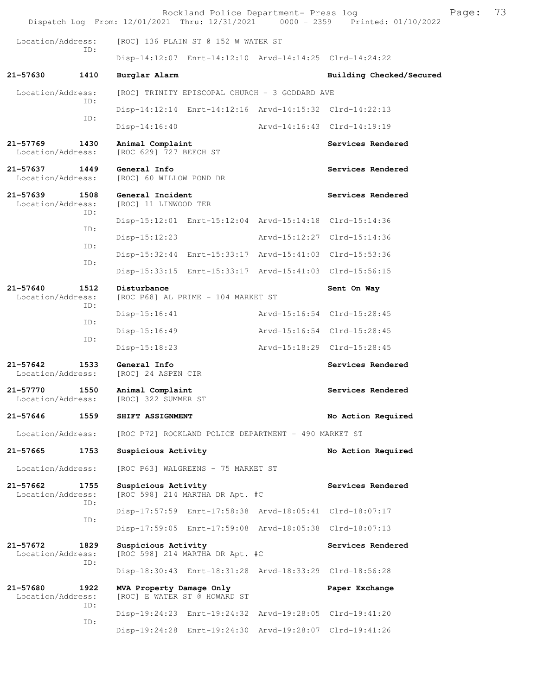|                                              |             |                                                          |  | Rockland Police Department- Press log | Dispatch Log From: 12/01/2021 Thru: 12/31/2021 0000 - 2359 Printed: 01/10/2022 | Page: | 73 |  |
|----------------------------------------------|-------------|----------------------------------------------------------|--|---------------------------------------|--------------------------------------------------------------------------------|-------|----|--|
| Location/Address:                            |             | [ROC] 136 PLAIN ST @ 152 W WATER ST                      |  |                                       |                                                                                |       |    |  |
| ID:                                          |             | Disp-14:12:07 Enrt-14:12:10 Arvd-14:14:25 Clrd-14:24:22  |  |                                       |                                                                                |       |    |  |
| 21-57630                                     | 1410        | Burglar Alarm                                            |  |                                       | Building Checked/Secured                                                       |       |    |  |
| Location/Address:<br>ID:                     |             | [ROC] TRINITY EPISCOPAL CHURCH - 3 GODDARD AVE           |  |                                       |                                                                                |       |    |  |
|                                              |             | Disp-14:12:14 Enrt-14:12:16 Arvd-14:15:32 Clrd-14:22:13  |  |                                       |                                                                                |       |    |  |
|                                              | ID:         | $Disp-14:16:40$                                          |  |                                       | Arvd-14:16:43 Clrd-14:19:19                                                    |       |    |  |
| $21 - 57769$<br>Location/Address:            | 1430        | Animal Complaint<br>[ROC 629] 727 BEECH ST               |  |                                       | Services Rendered                                                              |       |    |  |
| 21-57637<br>Location/Address:                | 1449        | General Info<br>[ROC] 60 WILLOW POND DR                  |  |                                       | Services Rendered                                                              |       |    |  |
| 21-57639<br>Location/Address:                | 1508<br>ID: | General Incident<br>[ROC] 11 LINWOOD TER                 |  |                                       | Services Rendered                                                              |       |    |  |
|                                              | ID:         | Disp-15:12:01 Enrt-15:12:04 Arvd-15:14:18 Clrd-15:14:36  |  |                                       |                                                                                |       |    |  |
|                                              | ID:         | $Disp-15:12:23$                                          |  |                                       | Arvd-15:12:27 Clrd-15:14:36                                                    |       |    |  |
|                                              | ID:         | Disp-15:32:44 Enrt-15:33:17 Arvd-15:41:03 Clrd-15:53:36  |  |                                       |                                                                                |       |    |  |
|                                              |             | Disp-15:33:15 Enrt-15:33:17 Arvd-15:41:03 Clrd-15:56:15  |  |                                       |                                                                                |       |    |  |
| 21-57640<br>Location/Address:                | 1512<br>ID: | Disturbance<br>[ROC P68] AL PRIME - 104 MARKET ST        |  | Sent On Way                           |                                                                                |       |    |  |
|                                              | ID:         | $Disp-15:16:41$                                          |  |                                       | Arvd-15:16:54 Clrd-15:28:45                                                    |       |    |  |
|                                              |             | Disp-15:16:49                                            |  |                                       | Arvd-15:16:54 Clrd-15:28:45                                                    |       |    |  |
| ID:                                          |             | $Disp-15:18:23$                                          |  |                                       | Arvd-15:18:29 Clrd-15:28:45                                                    |       |    |  |
| $21 - 57642$<br>Location/Address:            | 1533        | General Info<br>[ROC] 24 ASPEN CIR                       |  |                                       | Services Rendered                                                              |       |    |  |
| 1550<br>21-57770<br>Location/Address:        |             | Animal Complaint<br>[ROC] 322 SUMMER ST                  |  | Services Rendered                     |                                                                                |       |    |  |
| 21-57646                                     | 1559        | SHIFT ASSIGNMENT                                         |  |                                       | No Action Required                                                             |       |    |  |
| Location/Address:                            |             | [ROC P72] ROCKLAND POLICE DEPARTMENT - 490 MARKET ST     |  |                                       |                                                                                |       |    |  |
| 21-57665                                     | 1753        | Suspicious Activity                                      |  |                                       | No Action Required                                                             |       |    |  |
| Location/Address:                            |             | [ROC P63] WALGREENS - 75 MARKET ST                       |  |                                       |                                                                                |       |    |  |
| 21-57662<br>Location/Address:                | 1755<br>ID: | Suspicious Activity<br>[ROC 598] 214 MARTHA DR Apt. #C   |  |                                       | Services Rendered                                                              |       |    |  |
|                                              | ID:         | Disp-17:57:59 Enrt-17:58:38 Arvd-18:05:41 Clrd-18:07:17  |  |                                       |                                                                                |       |    |  |
|                                              |             | Disp-17:59:05 Enrt-17:59:08 Arvd-18:05:38 Clrd-18:07:13  |  |                                       |                                                                                |       |    |  |
| 21-57672<br>1829<br>Location/Address:<br>ID: |             | Suspicious Activity<br>[ROC 598] 214 MARTHA DR Apt. #C   |  | Services Rendered                     |                                                                                |       |    |  |
|                                              |             | Disp-18:30:43 Enrt-18:31:28 Arvd-18:33:29 Clrd-18:56:28  |  |                                       |                                                                                |       |    |  |
| 21-57680<br>1922<br>Location/Address:<br>ID: |             | MVA Property Damage Only<br>[ROC] E WATER ST @ HOWARD ST |  |                                       | Paper Exchange                                                                 |       |    |  |
|                                              | ID:         | Disp-19:24:23 Enrt-19:24:32 Arvd-19:28:05 Clrd-19:41:20  |  |                                       |                                                                                |       |    |  |
|                                              |             | Disp-19:24:28 Enrt-19:24:30 Arvd-19:28:07 Clrd-19:41:26  |  |                                       |                                                                                |       |    |  |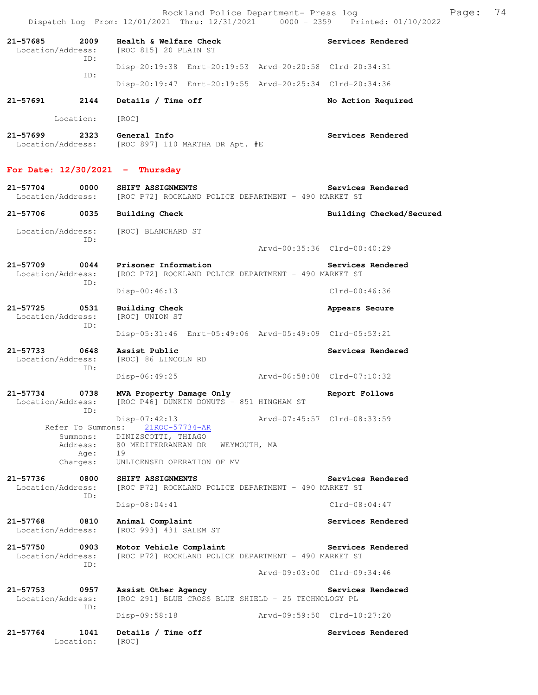|                                              |                                          | Rockland Police Department- Press log<br>Dispatch Log From: 12/01/2021 Thru: 12/31/2021 0000 - 2359 Printed: 01/10/2022                            |                             | Page: | 74 |
|----------------------------------------------|------------------------------------------|----------------------------------------------------------------------------------------------------------------------------------------------------|-----------------------------|-------|----|
| 21-57685<br>Location/Address:                | 2009                                     | Health & Welfare Check<br>[ROC 815] 20 PLAIN ST                                                                                                    | Services Rendered           |       |    |
|                                              | ID:                                      | Disp-20:19:38 Enrt-20:19:53 Arvd-20:20:58 Clrd-20:34:31                                                                                            |                             |       |    |
|                                              | ID:                                      | Disp-20:19:47 Enrt-20:19:55 Arvd-20:25:34 Clrd-20:34:36                                                                                            |                             |       |    |
| 21-57691 2144                                |                                          | Details / Time off                                                                                                                                 | No Action Required          |       |    |
|                                              | Location:                                | [ROC]                                                                                                                                              |                             |       |    |
| 21-57699                                     | 2323                                     | General Info<br>Location/Address: [ROC 897] 110 MARTHA DR Apt. #E                                                                                  | Services Rendered           |       |    |
|                                              |                                          | For Date: $12/30/2021$ - Thursday                                                                                                                  |                             |       |    |
| $21 - 57704$<br>Location/Address:            | 0000                                     | SHIFT ASSIGNMENTS<br>[ROC P72] ROCKLAND POLICE DEPARTMENT - 490 MARKET ST                                                                          | Services Rendered           |       |    |
| 21-57706 0035                                |                                          | <b>Building Check</b>                                                                                                                              | Building Checked/Secured    |       |    |
|                                              | ID:                                      | Location/Address: [ROC] BLANCHARD ST                                                                                                               | Arvd-00:35:36 Clrd-00:40:29 |       |    |
| 21-57709 0044<br>Location/Address:           |                                          | Prisoner Information<br>[ROC P72] ROCKLAND POLICE DEPARTMENT - 490 MARKET ST                                                                       | Services Rendered           |       |    |
|                                              | ID:                                      | $Disp-00:46:13$                                                                                                                                    | Clrd-00:46:36               |       |    |
| 21-57725<br>Location/Address:                | 0531<br>ID:                              | Building Check<br>[ROC] UNION ST                                                                                                                   | Appears Secure              |       |    |
|                                              |                                          | Disp-05:31:46 Enrt-05:49:06 Arvd-05:49:09 Clrd-05:53:21                                                                                            |                             |       |    |
| 21-57733<br>0648<br>Location/Address:<br>ID: |                                          | Assist Public<br>[ROC] 86 LINCOLN RD                                                                                                               | Services Rendered           |       |    |
|                                              |                                          | Arvd-06:58:08 Clrd-07:10:32<br>$Disp-06:49:25$                                                                                                     |                             |       |    |
| 21-57734<br>Location/Address:                | 0738<br>ID:                              | MVA Property Damage Only<br>[ROC P46] DUNKIN DONUTS - 851 HINGHAM ST                                                                               | Report Follows              |       |    |
|                                              | Summons:<br>Address:<br>Age:<br>Charges: | $Disp-07:42:13$<br>Refer To Summons: 21ROC-57734-AR<br>DINIZSCOTTI, THIAGO<br>80 MEDITERRANEAN DR WEYMOUTH, MA<br>19<br>UNLICENSED OPERATION OF MV | Arvd-07:45:57 Clrd-08:33:59 |       |    |
| 21-57736<br>0800<br>Location/Address:<br>ID: |                                          | SHIFT ASSIGNMENTS<br>[ROC P72] ROCKLAND POLICE DEPARTMENT - 490 MARKET ST                                                                          | Services Rendered           |       |    |
|                                              |                                          | $Disp-08:04:41$                                                                                                                                    | $Clrd-08:04:47$             |       |    |
| 21-57768 0810<br>Location/Address:           |                                          | Animal Complaint<br>[ROC 993] 431 SALEM ST                                                                                                         | Services Rendered           |       |    |
| 21-57750<br>0903<br>Location/Address:<br>TD: |                                          | Motor Vehicle Complaint<br>[ROC P72] ROCKLAND POLICE DEPARTMENT - 490 MARKET ST                                                                    | Services Rendered           |       |    |
|                                              |                                          |                                                                                                                                                    | Arvd-09:03:00 Clrd-09:34:46 |       |    |
| 21-57753<br>Location/Address:                | 0957<br>ID:                              | Assist Other Agency<br>[ROC 291] BLUE CROSS BLUE SHIELD - 25 TECHNOLOGY PL                                                                         | Services Rendered           |       |    |
|                                              |                                          | Arvd-09:59:50 Clrd-10:27:20<br>Disp-09:58:18                                                                                                       |                             |       |    |
| 21-57764                                     | 1041<br>Location:                        | Details / Time off<br>[ROC]                                                                                                                        | Services Rendered           |       |    |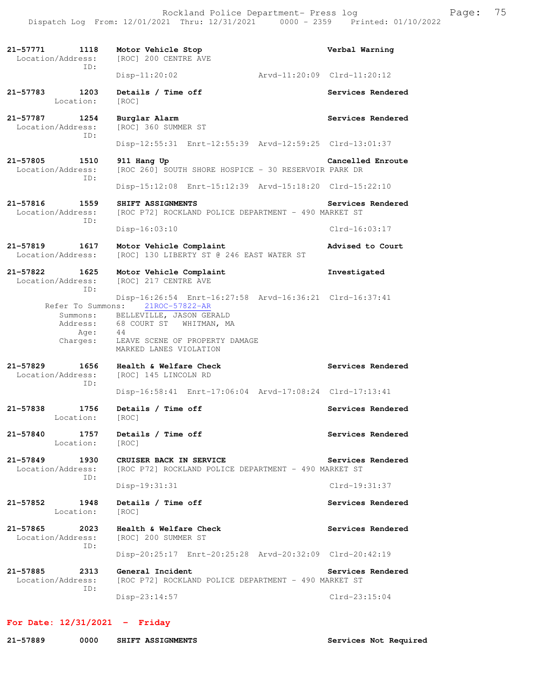**21-57771 1118 Motor Vehicle Stop Verbal Warning**  Location/Address: [ROC] 200 CENTRE AVE ID: Disp-11:20:02 Arvd-11:20:09 Clrd-11:20:12 21-57783 1203 Details / Time off **Services Rendered Services** Rendered Location: [ROC] **21-57787 1254 Burglar Alarm Services Rendered**  Location/Address: [ROC] 360 SUMMER ST ID: Disp-12:55:31 Enrt-12:55:39 Arvd-12:59:25 Clrd-13:01:37 **21-57805 1510 911 Hang Up Cancelled Enroute**  Location/Address: [ROC 260] SOUTH SHORE HOSPICE - 30 RESERVOIR PARK DR ID: Disp-15:12:08 Enrt-15:12:39 Arvd-15:18:20 Clrd-15:22:10 **21-57816 1559 SHIFT ASSIGNMENTS Services Rendered**  Location/Address: [ROC P72] ROCKLAND POLICE DEPARTMENT - 490 MARKET ST ID: Disp-16:03:10 Clrd-16:03:17 **21-57819 1617 Motor Vehicle Complaint Advised to Court**  Location/Address: [ROC] 130 LIBERTY ST @ 246 EAST WATER ST **21-57822 1625 Motor Vehicle Complaint Investigated**  Location/Address: [ROC] 217 CENTRE AVE ID: Disp-16:26:54 Enrt-16:27:58 Arvd-16:36:21 Clrd-16:37:41 Refer To Summons: 21ROC-57822-AR Summons: BELLEVILLE, JASON GERALD Address: 68 COURT ST WHITMAN, MA<br>Age: 44 Age: Charges: LEAVE SCENE OF PROPERTY DAMAGE MARKED LANES VIOLATION **21-57829 1656 Health & Welfare Check Services Rendered**  Location/Address: [ROC] 145 LINCOLN RD ID: Disp-16:58:41 Enrt-17:06:04 Arvd-17:08:24 Clrd-17:13:41 **21-57838 1756 Details / Time off Services Rendered**  Location: [ROC] **21-57840 1757 Details / Time off Services Rendered**  Location: [ROC] **21-57849 1930 CRUISER BACK IN SERVICE Services Rendered**  Location/Address: [ROC P72] ROCKLAND POLICE DEPARTMENT - 490 MARKET ST ID: Disp-19:31:31 Clrd-19:31:37 **21-57852 1948 Details / Time off Services Rendered**  Location: [ROC] **21-57865 2023 Health & Welfare Check Services Rendered**  Location/Address: [ROC] 200 SUMMER ST ID: Disp-20:25:17 Enrt-20:25:28 Arvd-20:32:09 Clrd-20:42:19 **21-57885 2313 General Incident Services Rendered**  Location/Address: [ROC P72] ROCKLAND POLICE DEPARTMENT - 490 MARKET ST ID: Disp-23:14:57 Clrd-23:15:04

## **For Date: 12/31/2021 - Friday**

| 21-57889 | 0000 | SHIFT ASSIGNMENTS |
|----------|------|-------------------|
|          |      |                   |

Services Not Required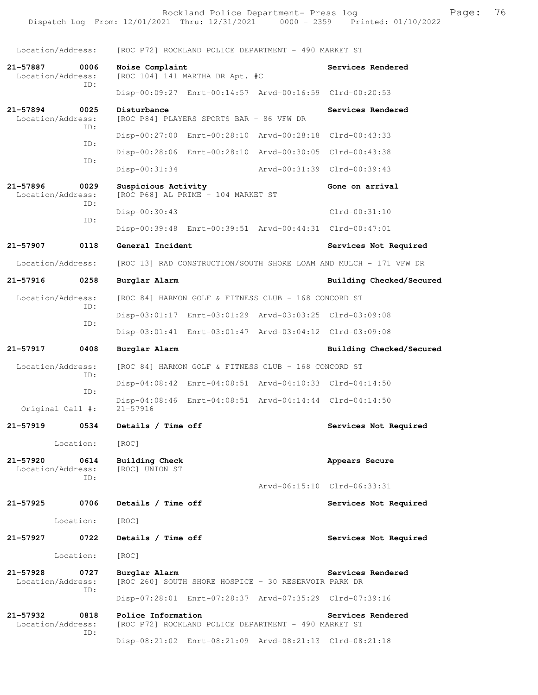Location/Address: [ROC P72] ROCKLAND POLICE DEPARTMENT - 490 MARKET ST **21-57887 0006 Noise Complaint Services Rendered**  Location/Address: [ROC 104] 141 MARTHA DR Apt. #C ID: Disp-00:09:27 Enrt-00:14:57 Arvd-00:16:59 Clrd-00:20:53 **21-57894 0025 Disturbance Services Rendered**  Location/Address: [ROC P84] PLAYERS SPORTS BAR - 86 VFW DR ID: Disp-00:27:00 Enrt-00:28:10 Arvd-00:28:18 Clrd-00:43:33 ID: Disp-00:28:06 Enrt-00:28:10 Arvd-00:30:05 Clrd-00:43:38 ID: Disp-00:31:34 Arvd-00:31:39 Clrd-00:39:43 **21-57896 0029 Suspicious Activity 60ne on arrival** Location/Address: [ROC P68] AL PRIME - 104 MARKET ST [ROC P68] AL PRIME - 104 MARKET ST ID: Disp-00:30:43 Clrd-00:31:10 ID: Disp-00:39:48 Enrt-00:39:51 Arvd-00:44:31 Clrd-00:47:01 **21-57907 0118 General Incident Services Not Required**  Location/Address: [ROC 13] RAD CONSTRUCTION/SOUTH SHORE LOAM AND MULCH - 171 VFW DR **21-57916 0258 Burglar Alarm Building Checked/Secured**  Location/Address: [ROC 84] HARMON GOLF & FITNESS CLUB - 168 CONCORD ST ID: Disp-03:01:17 Enrt-03:01:29 Arvd-03:03:25 Clrd-03:09:08 ID: Disp-03:01:41 Enrt-03:01:47 Arvd-03:04:12 Clrd-03:09:08 **21-57917 0408 Burglar Alarm Building Checked/Secured**  Location/Address: [ROC 84] HARMON GOLF & FITNESS CLUB - 168 CONCORD ST ID: Disp-04:08:42 Enrt-04:08:51 Arvd-04:10:33 Clrd-04:14:50 ID: Disp-04:08:46 Enrt-04:08:51 Arvd-04:14:44 Clrd-04:14:50 Original Call #: **21-57919 0534 Details / Time off Services Not Required**  Location: [ROC] **21-57920 0614 Building Check Appears Secure**  Location/Address: ID: Arvd-06:15:10 Clrd-06:33:31 **21-57925 0706 Details / Time off Services Not Required**  Location: [ROC] 21-57927 0722 Details / Time off Services Not Required Location: [ROC] 21-57928 0727 Burglar Alarm Services Rendered Location/Address: [ROC 260] SOUTH SHORE HOSPICE - 30 RESERVOIR PARK DR ID: Disp-07:28:01 Enrt-07:28:37 Arvd-07:35:29 Clrd-07:39:16 **21-57932 0818 Police Information Services Rendered**  Location/Address: [ROC P72] ROCKLAND POLICE DEPARTMENT - 490 MARKET ST ID: Disp-08:21:02 Enrt-08:21:09 Arvd-08:21:13 Clrd-08:21:18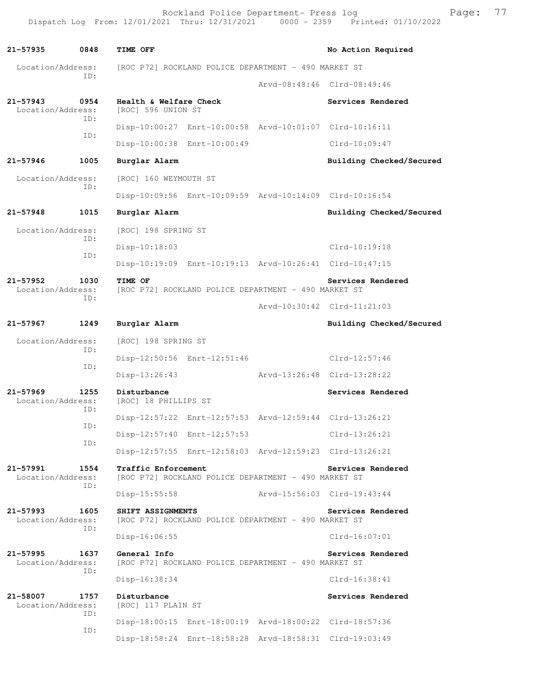Rockland Police Department- Press log Fage: 77 Dispatch Log From: 12/01/2021 Thru: 12/31/2021 0000 - 2359 Printed: 01/10/2022

**21-57935 0848 TIME OFF No Action Required**  Location/Address: [ROC P72] ROCKLAND POLICE DEPARTMENT - 490 MARKET ST ID: Arvd-08:48:46 Clrd-08:49:46 21-57943 0954 **Health & Welfare Check Services Rendered Location/Address:** [ROC] 596 UNION ST Location/Address: ID: Disp-10:00:27 Enrt-10:00:58 Arvd-10:01:07 Clrd-10:16:11 ID: Disp-10:00:38 Enrt-10:00:49 Clrd-10:09:47 **21-57946 1005 Burglar Alarm Building Checked/Secured**  Location/Address: [ROC] 160 WEYMOUTH ST ID: Disp-10:09:56 Enrt-10:09:59 Arvd-10:14:09 Clrd-10:16:54 **21-57948 1015 Burglar Alarm Building Checked/Secured**  Location/Address: [ROC] 198 SPRING ST ID: Disp-10:18:03 Clrd-10:19:18 ID: Disp-10:19:09 Enrt-10:19:13 Arvd-10:26:41 Clrd-10:47:15 21-57952 1030 TIME OF **Services Rendered** Location/Address: [ROC P72] ROCKLAND POLICE DEPARTMENT - 490 MARKET ST [ROC P72] ROCKLAND POLICE DEPARTMENT - 490 MARKET ST ID: Arvd-10:30:42 Clrd-11:21:03 **21-57967 1249 Burglar Alarm Building Checked/Secured**  Location/Address: [ROC] 198 SPRING ST ID: Disp-12:50:56 Enrt-12:51:46 Clrd-12:57:46 ID: Disp-13:26:43 Arvd-13:26:48 Clrd-13:28:22 **21-57969 1255 Disturbance Services Rendered**  Location/Address: [ROC] 18 PHILLIPS ST ID: Disp-12:57:22 Enrt-12:57:53 Arvd-12:59:44 Clrd-13:26:21 ID: Disp-12:57:40 Enrt-12:57:53 Clrd-13:26:21 ID: Disp-12:57:55 Enrt-12:58:03 Arvd-12:59:23 Clrd-13:26:21 **21-57991 1554 Traffic Enforcement Services Rendered**  Location/Address: [ROC P72] ROCKLAND POLICE DEPARTMENT - 490 MARKET ST ID: Disp-15:55:58 Arvd-15:56:03 Clrd-19:43:44 **21-57993 1605 SHIFT ASSIGNMENTS Services Rendered**  Location/Address: [ROC P72] ROCKLAND POLICE DEPARTMENT - 490 MARKET ST ID: Disp-16:06:55 Clrd-16:07:01 **21-57995 1637 General Info Services Rendered**  Location/Address: [ROC P72] ROCKLAND POLICE DEPARTMENT - 490 MARKET ST ID: Disp-16:38:34 Clrd-16:38:41 **21-58007 1757 Disturbance Services Rendered**  Location/Address: [ROC] 117 PLAIN ST ID: Disp-18:00:15 Enrt-18:00:19 Arvd-18:00:22 Clrd-18:57:36 ID: Disp-18:58:24 Enrt-18:58:28 Arvd-18:58:31 Clrd-19:03:49